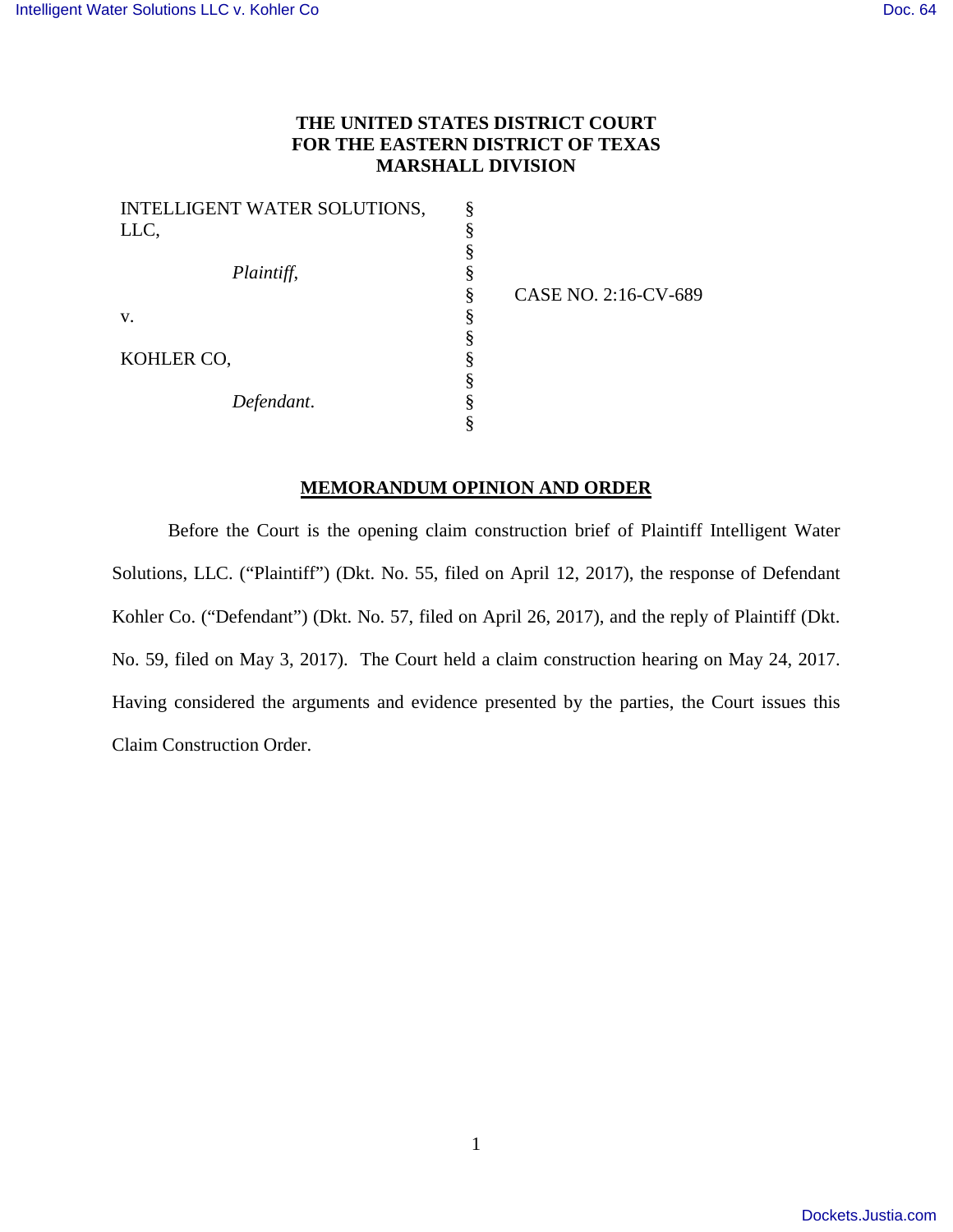## **THE UNITED STATES DISTRICT COURT FOR THE EASTERN DISTRICT OF TEXAS MARSHALL DIVISION**

| INTELLIGENT WATER SOLUTIONS, |   |
|------------------------------|---|
| LLC,                         | § |
|                              | § |
| Plaintiff,                   | § |
|                              | § |
| V.                           | § |
|                              | § |
| KOHLER CO.                   | § |
|                              | § |
| Defendant.                   | § |
|                              |   |

CASE NO. 2:16-CV-689

## **MEMORANDUM OPINION AND ORDER**

Before the Court is the opening claim construction brief of Plaintiff Intelligent Water Solutions, LLC. ("Plaintiff") (Dkt. No. 55, filed on April 12, 2017), the response of Defendant Kohler Co. ("Defendant") (Dkt. No. 57, filed on April 26, 2017), and the reply of Plaintiff (Dkt. No. 59, filed on May 3, 2017). The Court held a claim construction hearing on May 24, 2017. Having considered the arguments and evidence presented by the parties, the Court issues this Claim Construction Order.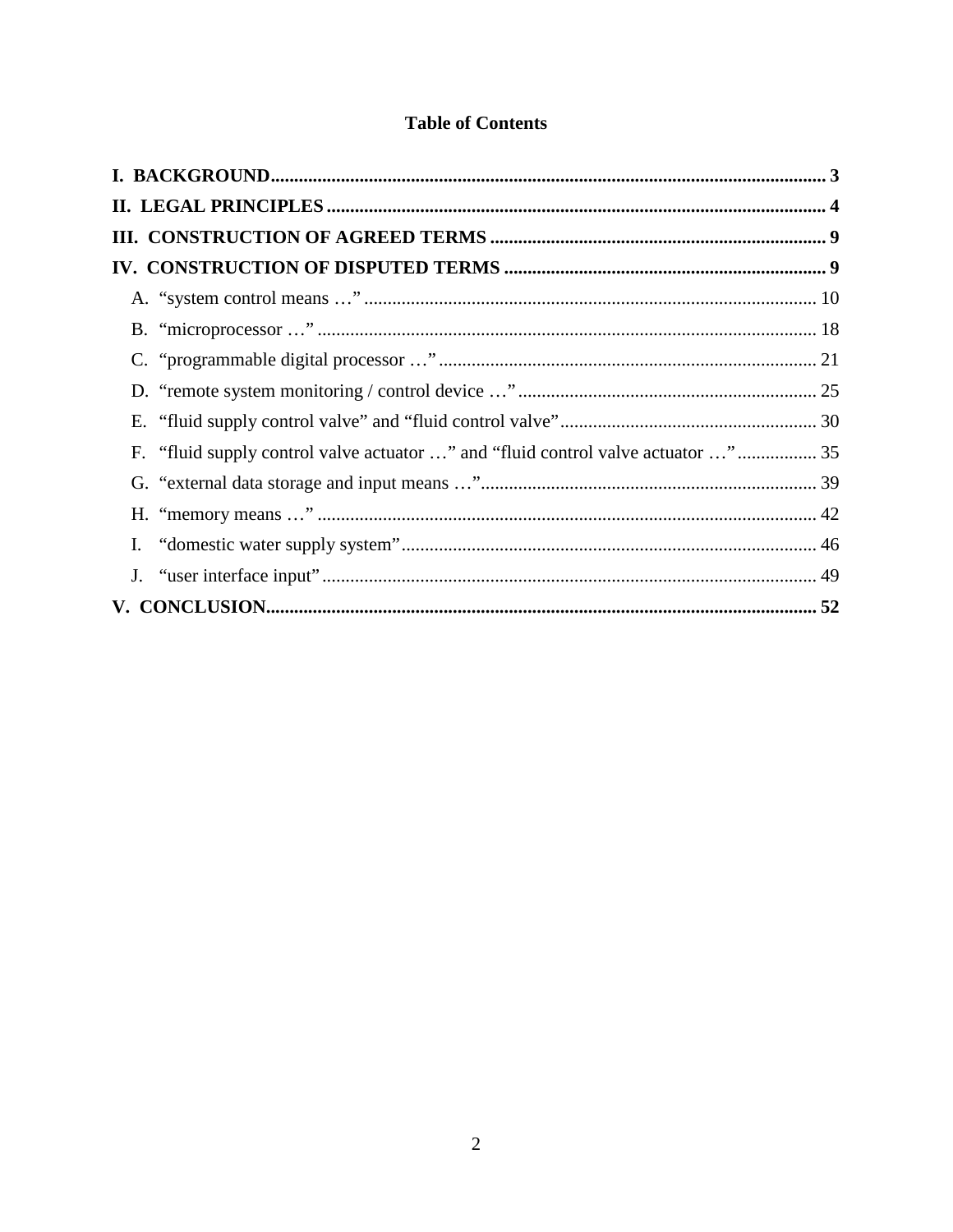# **Table of Contents**

| F. "fluid supply control valve actuator " and "fluid control valve actuator "  35 |  |
|-----------------------------------------------------------------------------------|--|
|                                                                                   |  |
|                                                                                   |  |
|                                                                                   |  |
|                                                                                   |  |
|                                                                                   |  |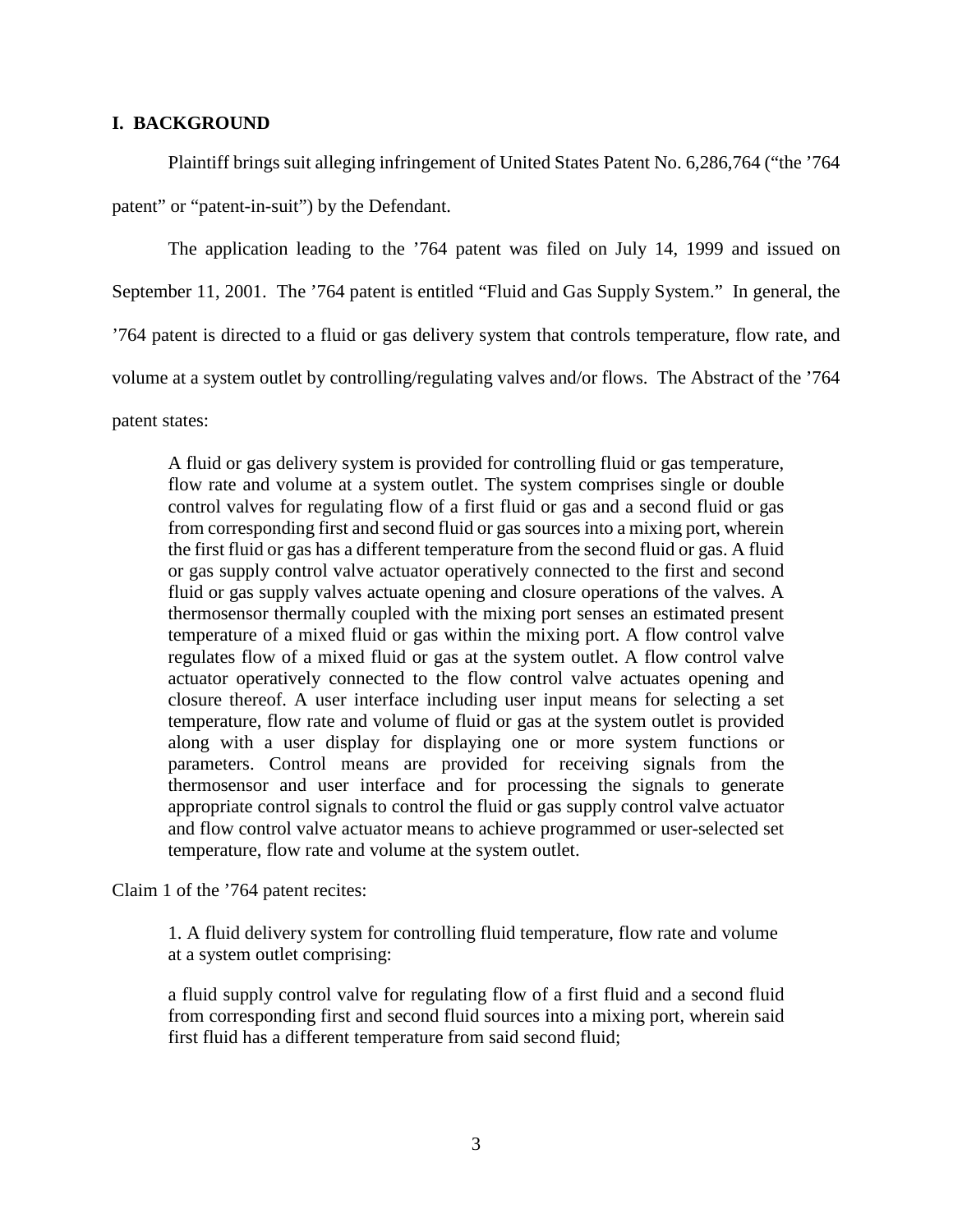## **I. BACKGROUND**

Plaintiff brings suit alleging infringement of United States Patent No. 6,286,764 ("the '764 patent" or "patent-in-suit") by the Defendant.

The application leading to the '764 patent was filed on July 14, 1999 and issued on September 11, 2001. The '764 patent is entitled "Fluid and Gas Supply System." In general, the '764 patent is directed to a fluid or gas delivery system that controls temperature, flow rate, and volume at a system outlet by controlling/regulating valves and/or flows. The Abstract of the '764

patent states:

A fluid or gas delivery system is provided for controlling fluid or gas temperature, flow rate and volume at a system outlet. The system comprises single or double control valves for regulating flow of a first fluid or gas and a second fluid or gas from corresponding first and second fluid or gas sources into a mixing port, wherein the first fluid or gas has a different temperature from the second fluid or gas. A fluid or gas supply control valve actuator operatively connected to the first and second fluid or gas supply valves actuate opening and closure operations of the valves. A thermosensor thermally coupled with the mixing port senses an estimated present temperature of a mixed fluid or gas within the mixing port. A flow control valve regulates flow of a mixed fluid or gas at the system outlet. A flow control valve actuator operatively connected to the flow control valve actuates opening and closure thereof. A user interface including user input means for selecting a set temperature, flow rate and volume of fluid or gas at the system outlet is provided along with a user display for displaying one or more system functions or parameters. Control means are provided for receiving signals from the thermosensor and user interface and for processing the signals to generate appropriate control signals to control the fluid or gas supply control valve actuator and flow control valve actuator means to achieve programmed or user-selected set temperature, flow rate and volume at the system outlet.

Claim 1 of the '764 patent recites:

1. A fluid delivery system for controlling fluid temperature, flow rate and volume at a system outlet comprising:

a fluid supply control valve for regulating flow of a first fluid and a second fluid from corresponding first and second fluid sources into a mixing port, wherein said first fluid has a different temperature from said second fluid;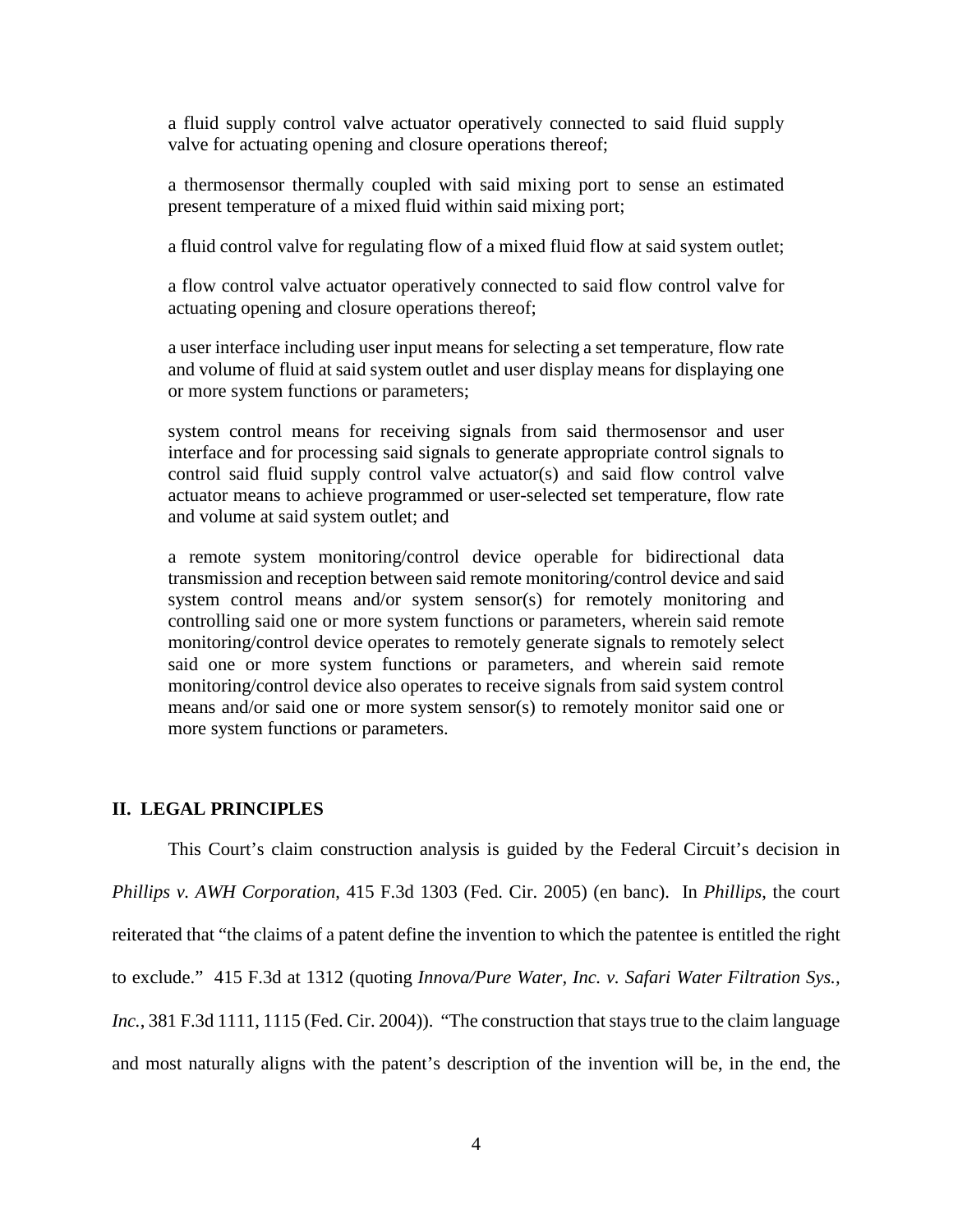a fluid supply control valve actuator operatively connected to said fluid supply valve for actuating opening and closure operations thereof;

a thermosensor thermally coupled with said mixing port to sense an estimated present temperature of a mixed fluid within said mixing port;

a fluid control valve for regulating flow of a mixed fluid flow at said system outlet;

a flow control valve actuator operatively connected to said flow control valve for actuating opening and closure operations thereof;

a user interface including user input means for selecting a set temperature, flow rate and volume of fluid at said system outlet and user display means for displaying one or more system functions or parameters;

system control means for receiving signals from said thermosensor and user interface and for processing said signals to generate appropriate control signals to control said fluid supply control valve actuator(s) and said flow control valve actuator means to achieve programmed or user-selected set temperature, flow rate and volume at said system outlet; and

a remote system monitoring/control device operable for bidirectional data transmission and reception between said remote monitoring/control device and said system control means and/or system sensor(s) for remotely monitoring and controlling said one or more system functions or parameters, wherein said remote monitoring/control device operates to remotely generate signals to remotely select said one or more system functions or parameters, and wherein said remote monitoring/control device also operates to receive signals from said system control means and/or said one or more system sensor(s) to remotely monitor said one or more system functions or parameters.

#### **II. LEGAL PRINCIPLES**

This Court's claim construction analysis is guided by the Federal Circuit's decision in *Phillips v. AWH Corporation*, 415 F.3d 1303 (Fed. Cir. 2005) (en banc). In *Phillips*, the court reiterated that "the claims of a patent define the invention to which the patentee is entitled the right to exclude." 415 F.3d at 1312 (quoting *Innova/Pure Water, Inc. v. Safari Water Filtration Sys., Inc.*, 381 F.3d 1111, 1115 (Fed. Cir. 2004)). "The construction that stays true to the claim language and most naturally aligns with the patent's description of the invention will be, in the end, the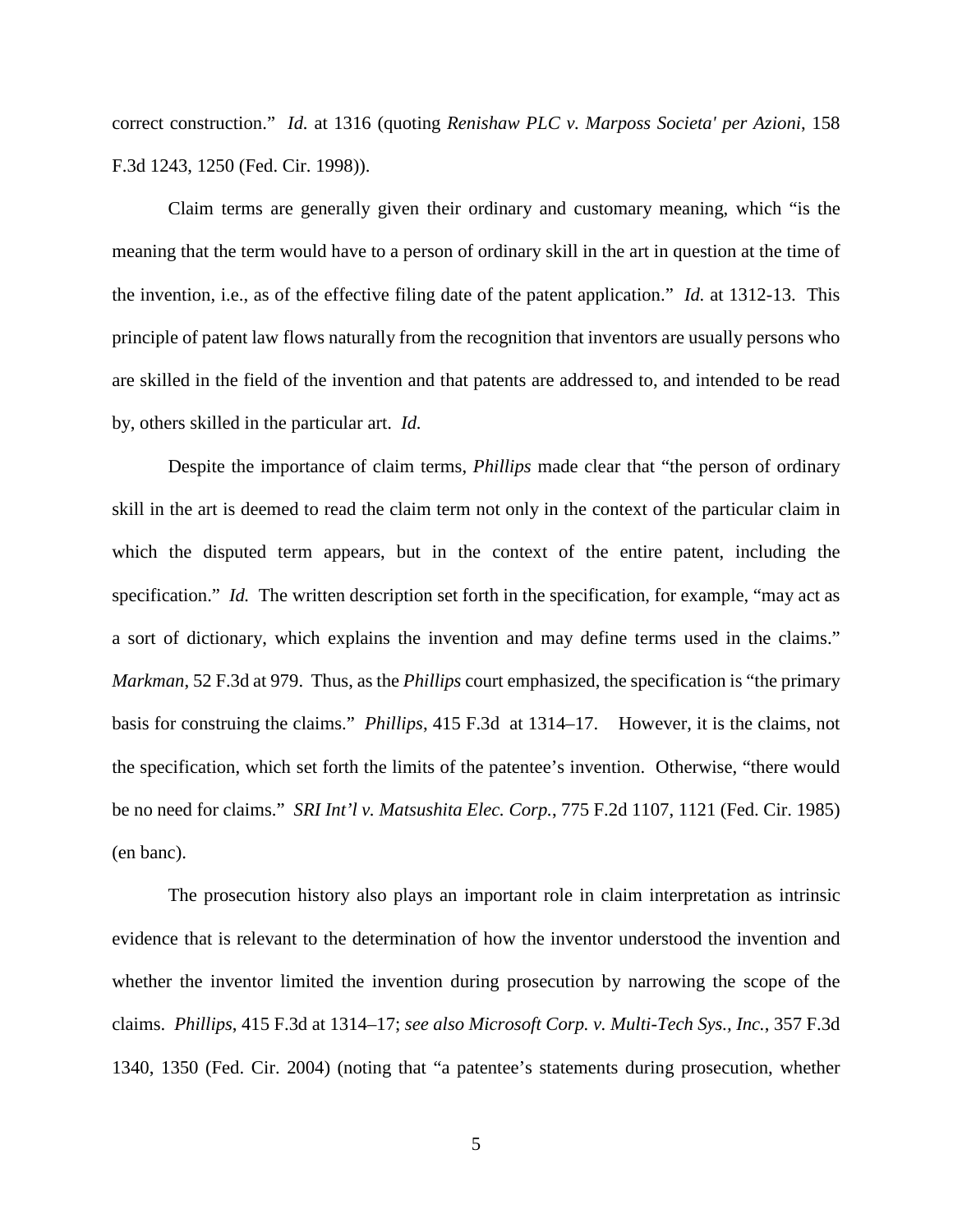correct construction." *Id.* at 1316 (quoting *Renishaw PLC v. Marposs Societa' per Azioni*, 158 F.3d 1243, 1250 (Fed. Cir. 1998)).

Claim terms are generally given their ordinary and customary meaning, which "is the meaning that the term would have to a person of ordinary skill in the art in question at the time of the invention, i.e., as of the effective filing date of the patent application." *Id.* at 1312-13. This principle of patent law flows naturally from the recognition that inventors are usually persons who are skilled in the field of the invention and that patents are addressed to, and intended to be read by, others skilled in the particular art. *Id.*

Despite the importance of claim terms, *Phillips* made clear that "the person of ordinary skill in the art is deemed to read the claim term not only in the context of the particular claim in which the disputed term appears, but in the context of the entire patent, including the specification." *Id.* The written description set forth in the specification, for example, "may act as a sort of dictionary, which explains the invention and may define terms used in the claims." *Markman*, 52 F.3d at 979. Thus, as the *Phillips* court emphasized, the specification is "the primary basis for construing the claims." *Phillips*, 415 F.3d at 1314–17. However, it is the claims, not the specification, which set forth the limits of the patentee's invention. Otherwise, "there would be no need for claims." *SRI Int'l v. Matsushita Elec. Corp.*, 775 F.2d 1107, 1121 (Fed. Cir. 1985) (en banc).

The prosecution history also plays an important role in claim interpretation as intrinsic evidence that is relevant to the determination of how the inventor understood the invention and whether the inventor limited the invention during prosecution by narrowing the scope of the claims. *Phillips*, 415 F.3d at 1314–17; *see also Microsoft Corp. v. Multi-Tech Sys., Inc.*, 357 F.3d 1340, 1350 (Fed. Cir. 2004) (noting that "a patentee's statements during prosecution, whether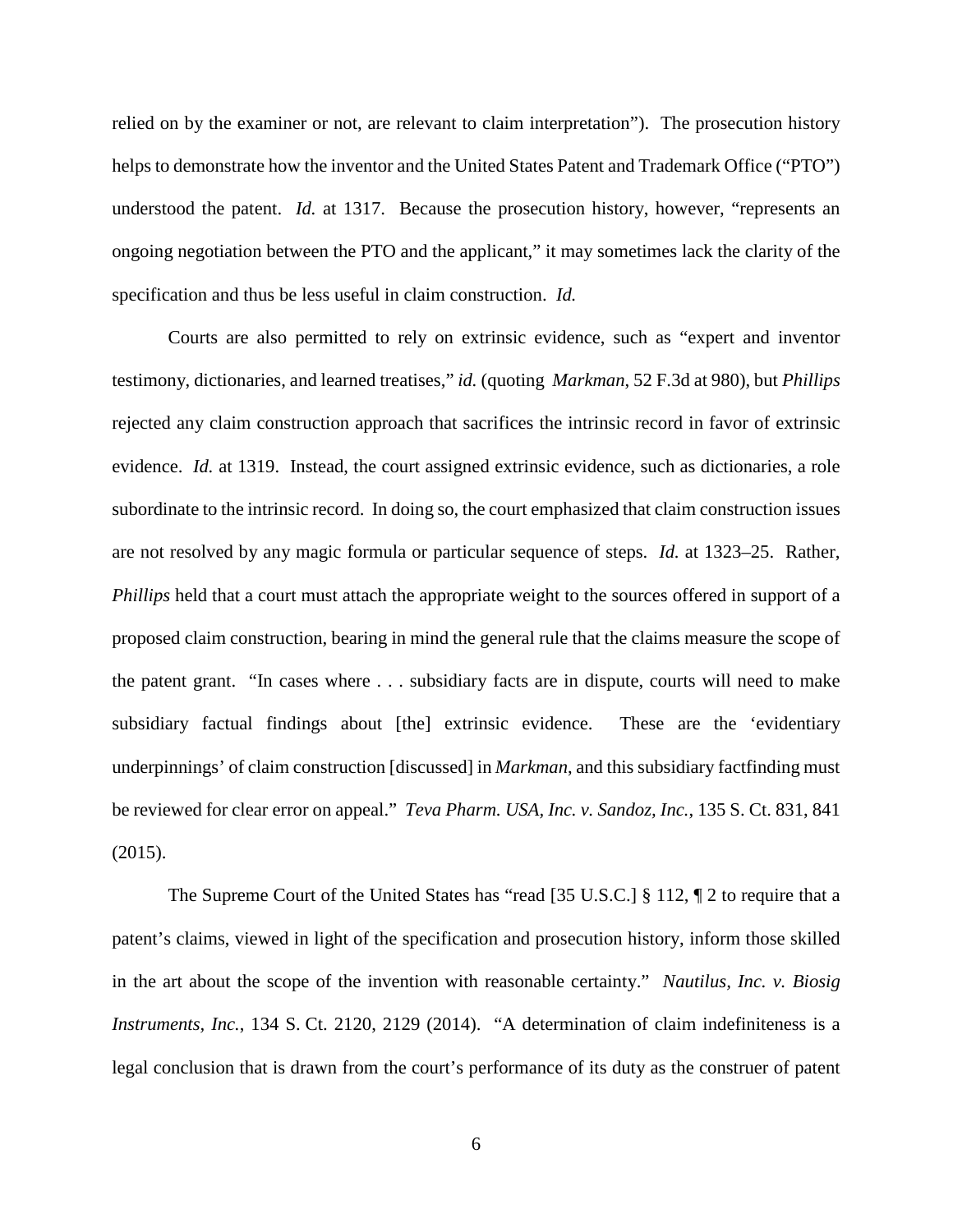relied on by the examiner or not, are relevant to claim interpretation"). The prosecution history helps to demonstrate how the inventor and the United States Patent and Trademark Office ("PTO") understood the patent. *Id.* at 1317. Because the prosecution history, however, "represents an ongoing negotiation between the PTO and the applicant," it may sometimes lack the clarity of the specification and thus be less useful in claim construction. *Id.*

Courts are also permitted to rely on extrinsic evidence, such as "expert and inventor testimony, dictionaries, and learned treatises," *id.* (quoting *Markman*, 52 F.3d at 980), but *Phillips* rejected any claim construction approach that sacrifices the intrinsic record in favor of extrinsic evidence. *Id.* at 1319. Instead, the court assigned extrinsic evidence, such as dictionaries, a role subordinate to the intrinsic record. In doing so, the court emphasized that claim construction issues are not resolved by any magic formula or particular sequence of steps. *Id.* at 1323–25. Rather, *Phillips* held that a court must attach the appropriate weight to the sources offered in support of a proposed claim construction, bearing in mind the general rule that the claims measure the scope of the patent grant. "In cases where . . . subsidiary facts are in dispute, courts will need to make subsidiary factual findings about [the] extrinsic evidence. These are the 'evidentiary underpinnings' of claim construction [discussed] in *Markman*, and this subsidiary factfinding must be reviewed for clear error on appeal." *Teva Pharm. USA, Inc. v. Sandoz, Inc.*, 135 S. Ct. 831, 841 (2015).

The Supreme Court of the United States has "read [35 U.S.C.] § 112, ¶ 2 to require that a patent's claims, viewed in light of the specification and prosecution history, inform those skilled in the art about the scope of the invention with reasonable certainty." *Nautilus, Inc. v. Biosig Instruments, Inc.*, 134 S. Ct. 2120, 2129 (2014). "A determination of claim indefiniteness is a legal conclusion that is drawn from the court's performance of its duty as the construer of patent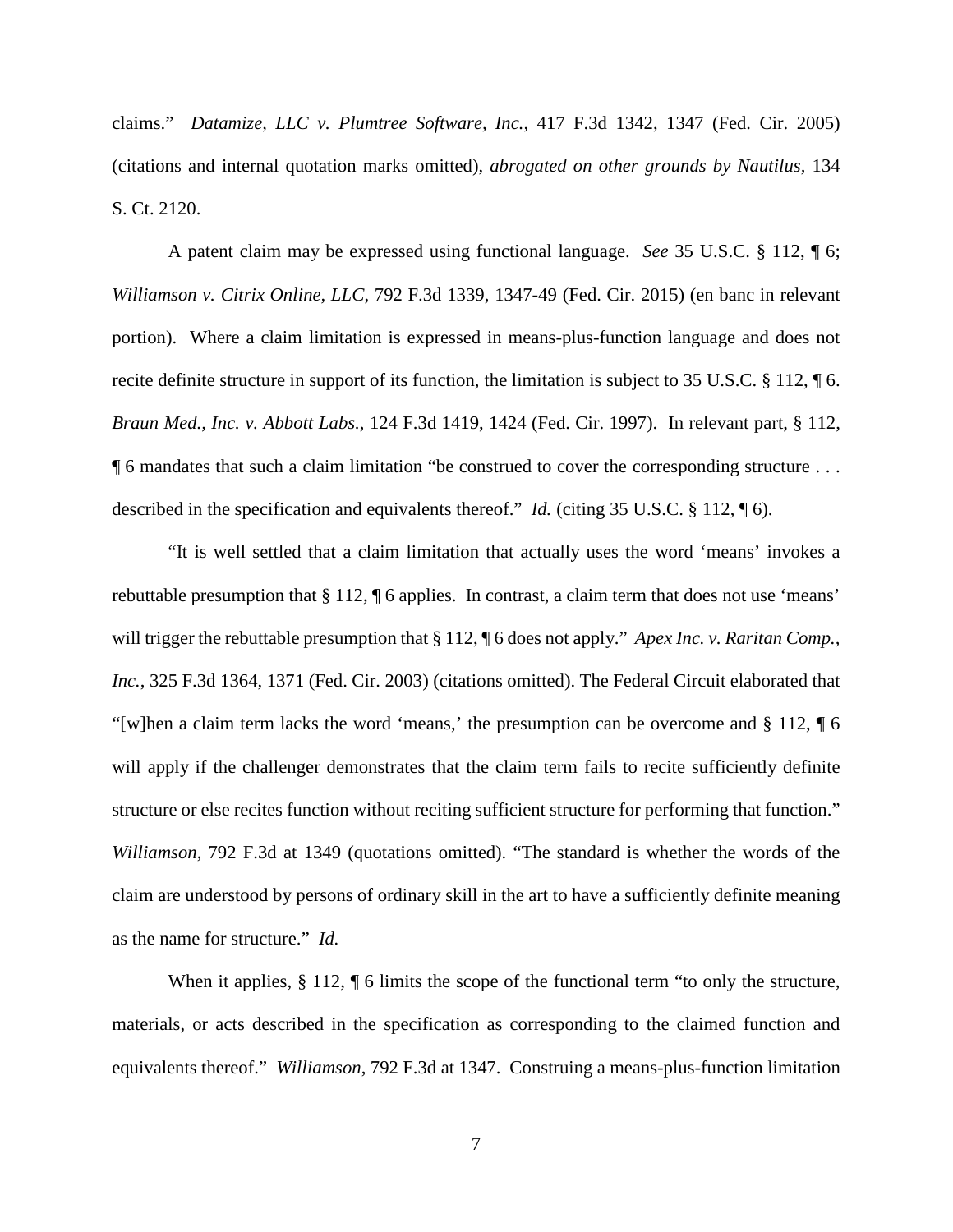claims." *Datamize, LLC v. Plumtree Software, Inc.*, 417 F.3d 1342, 1347 (Fed. Cir. 2005) (citations and internal quotation marks omitted), *abrogated on other grounds by Nautilus,* 134 S. Ct. 2120.

A patent claim may be expressed using functional language. *See* 35 U.S.C. § 112, ¶ 6; *Williamson v. Citrix Online, LLC*, 792 F.3d 1339, 1347-49 (Fed. Cir. 2015) (en banc in relevant portion). Where a claim limitation is expressed in means-plus-function language and does not recite definite structure in support of its function, the limitation is subject to 35 U.S.C. § 112, ¶ 6. *Braun Med., Inc. v. Abbott Labs.*, 124 F.3d 1419, 1424 (Fed. Cir. 1997). In relevant part, § 112, ¶ 6 mandates that such a claim limitation "be construed to cover the corresponding structure . . . described in the specification and equivalents thereof." *Id.* (citing 35 U.S.C. § 112, ¶ 6).

"It is well settled that a claim limitation that actually uses the word 'means' invokes a rebuttable presumption that § 112, ¶ 6 applies. In contrast, a claim term that does not use 'means' will trigger the rebuttable presumption that § 112, ¶ 6 does not apply." *Apex Inc. v. Raritan Comp.*, *Inc.*, 325 F.3d 1364, 1371 (Fed. Cir. 2003) (citations omitted). The Federal Circuit elaborated that "[w]hen a claim term lacks the word 'means,' the presumption can be overcome and § 112, ¶ 6 will apply if the challenger demonstrates that the claim term fails to recite sufficiently definite structure or else recites function without reciting sufficient structure for performing that function." *Williamson*, 792 F.3d at 1349 (quotations omitted). "The standard is whether the words of the claim are understood by persons of ordinary skill in the art to have a sufficiently definite meaning as the name for structure." *Id.*

When it applies,  $\S 112$ ,  $\P 6$  limits the scope of the functional term "to only the structure, materials, or acts described in the specification as corresponding to the claimed function and equivalents thereof." *Williamson*, 792 F.3d at 1347. Construing a means-plus-function limitation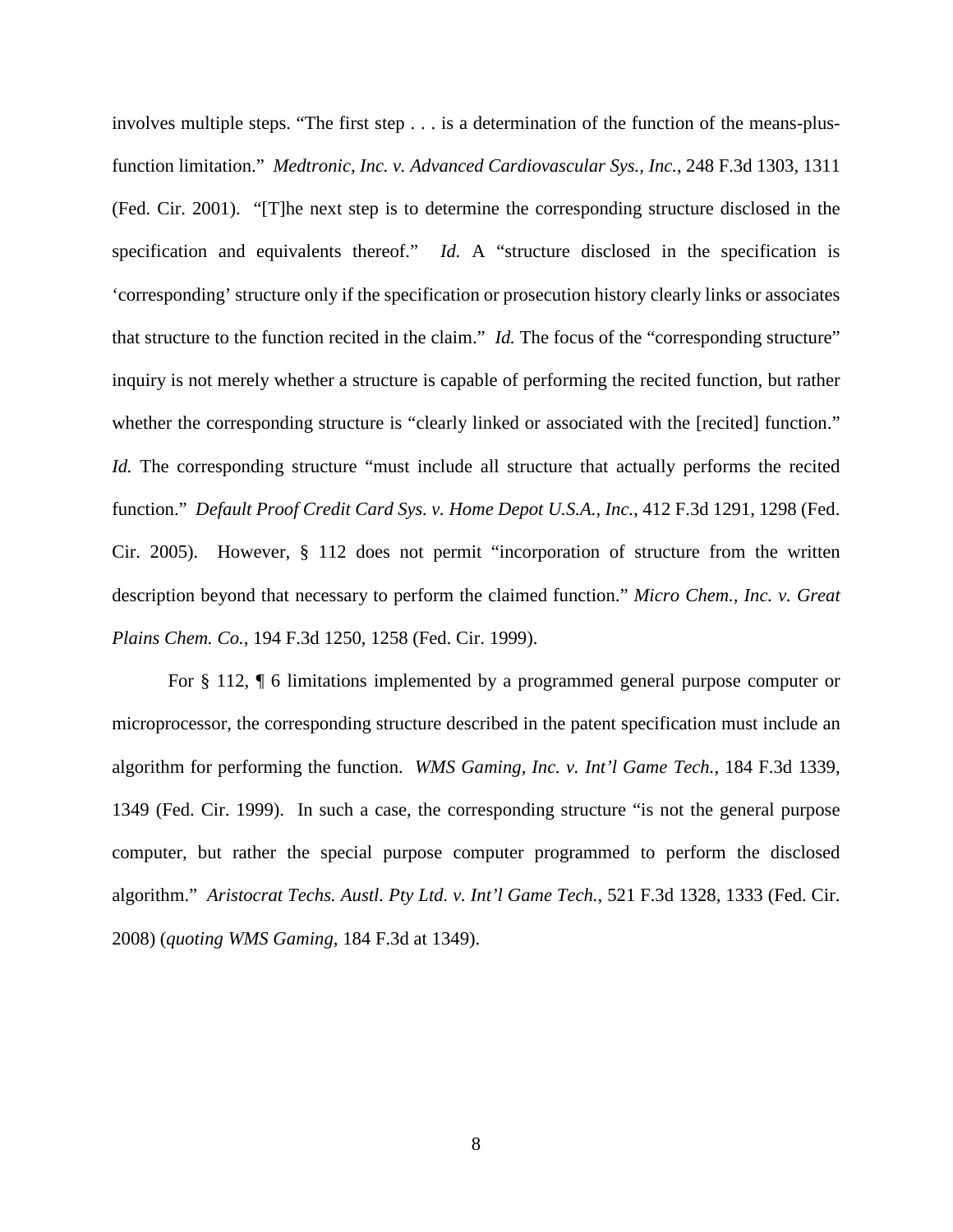involves multiple steps. "The first step . . . is a determination of the function of the means-plusfunction limitation." *Medtronic, Inc. v. Advanced Cardiovascular Sys., Inc.*, 248 F.3d 1303, 1311 (Fed. Cir. 2001). "[T]he next step is to determine the corresponding structure disclosed in the specification and equivalents thereof." *Id.* A "structure disclosed in the specification is 'corresponding' structure only if the specification or prosecution history clearly links or associates that structure to the function recited in the claim." *Id*. The focus of the "corresponding structure" inquiry is not merely whether a structure is capable of performing the recited function, but rather whether the corresponding structure is "clearly linked or associated with the [recited] function." *Id.* The corresponding structure "must include all structure that actually performs the recited function." *Default Proof Credit Card Sys. v. Home Depot U.S.A., Inc.*, 412 F.3d 1291, 1298 (Fed. Cir. 2005). However, § 112 does not permit "incorporation of structure from the written description beyond that necessary to perform the claimed function." *Micro Chem., Inc. v. Great Plains Chem. Co.*, 194 F.3d 1250, 1258 (Fed. Cir. 1999).

For § 112, ¶ 6 limitations implemented by a programmed general purpose computer or microprocessor, the corresponding structure described in the patent specification must include an algorithm for performing the function. *WMS Gaming, Inc. v. Int'l Game Tech.*, 184 F.3d 1339, 1349 (Fed. Cir. 1999). In such a case, the corresponding structure "is not the general purpose computer, but rather the special purpose computer programmed to perform the disclosed algorithm." *Aristocrat Techs. Austl. Pty Ltd. v. Int'l Game Tech.*, 521 F.3d 1328, 1333 (Fed. Cir. 2008) (*quoting WMS Gaming*, 184 F.3d at 1349).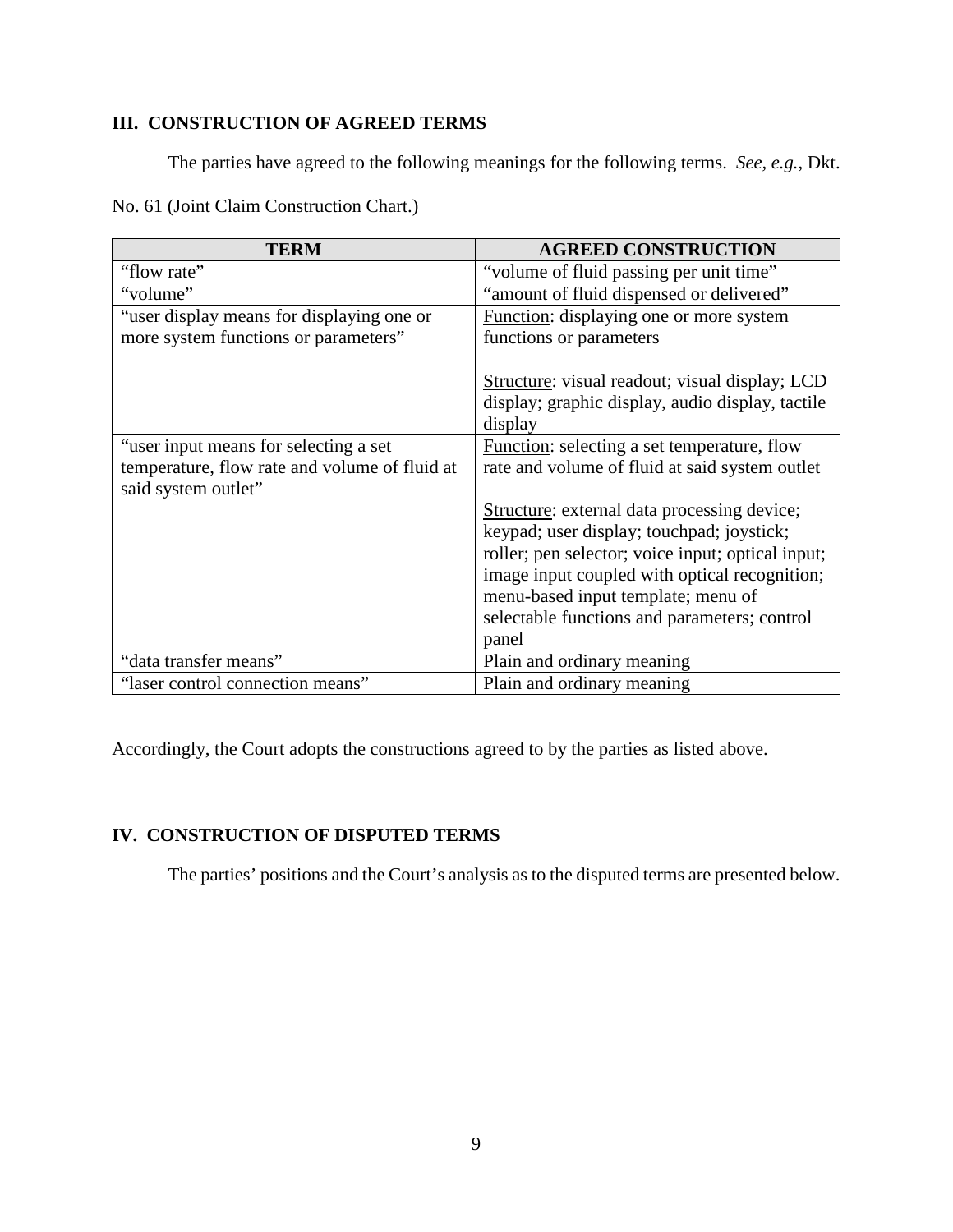# **III. CONSTRUCTION OF AGREED TERMS**

The parties have agreed to the following meanings for the following terms. *See, e.g.*, Dkt.

No. 61 (Joint Claim Construction Chart.)

| <b>TERM</b>                                                          | <b>AGREED CONSTRUCTION</b>                            |
|----------------------------------------------------------------------|-------------------------------------------------------|
| "flow rate"                                                          | "volume of fluid passing per unit time"               |
| "volume"                                                             | "amount of fluid dispensed or delivered"              |
| "user display means for displaying one or                            | Function: displaying one or more system               |
| more system functions or parameters"                                 | functions or parameters                               |
|                                                                      |                                                       |
|                                                                      | <b>Structure:</b> visual readout; visual display; LCD |
|                                                                      | display; graphic display, audio display, tactile      |
|                                                                      | display                                               |
| "user input means for selecting a set                                | Function: selecting a set temperature, flow           |
| temperature, flow rate and volume of fluid at<br>said system outlet" | rate and volume of fluid at said system outlet        |
|                                                                      | Structure: external data processing device;           |
|                                                                      | keypad; user display; touchpad; joystick;             |
|                                                                      | roller; pen selector; voice input; optical input;     |
|                                                                      | image input coupled with optical recognition;         |
|                                                                      | menu-based input template; menu of                    |
|                                                                      | selectable functions and parameters; control          |
|                                                                      | panel                                                 |
| "data transfer means"                                                | Plain and ordinary meaning                            |
| "laser control connection means"                                     | Plain and ordinary meaning                            |

Accordingly, the Court adopts the constructions agreed to by the parties as listed above.

# **IV. CONSTRUCTION OF DISPUTED TERMS**

The parties' positions and the Court's analysis as to the disputed terms are presented below.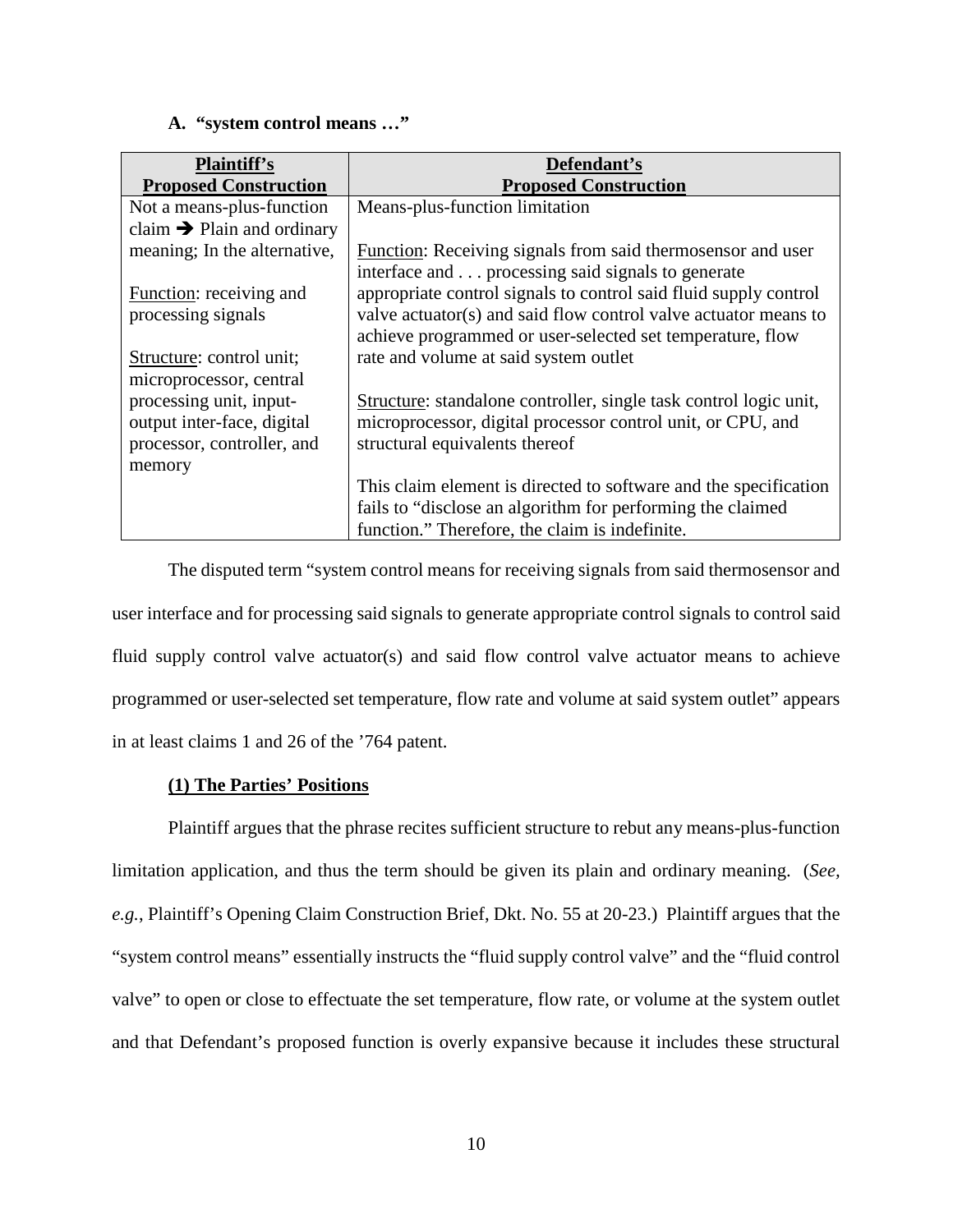## **A. "system control means …"**

| <b>Plaintiff's</b>                     | Defendant's                                                                                                                  |
|----------------------------------------|------------------------------------------------------------------------------------------------------------------------------|
| <b>Proposed Construction</b>           | <b>Proposed Construction</b>                                                                                                 |
| Not a means-plus-function              | Means-plus-function limitation                                                                                               |
| claim $\rightarrow$ Plain and ordinary |                                                                                                                              |
| meaning; In the alternative,           | <b>Function:</b> Receiving signals from said thermosensor and user<br>interface and processing said signals to generate      |
| Function: receiving and                | appropriate control signals to control said fluid supply control                                                             |
| processing signals                     | valve actuator(s) and said flow control valve actuator means to<br>achieve programmed or user-selected set temperature, flow |
| Structure: control unit;               | rate and volume at said system outlet                                                                                        |
| microprocessor, central                |                                                                                                                              |
| processing unit, input-                | Structure: standalone controller, single task control logic unit,                                                            |
| output inter-face, digital             | microprocessor, digital processor control unit, or CPU, and                                                                  |
| processor, controller, and             | structural equivalents thereof                                                                                               |
| memory                                 |                                                                                                                              |
|                                        | This claim element is directed to software and the specification                                                             |
|                                        | fails to "disclose an algorithm for performing the claimed                                                                   |
|                                        | function." Therefore, the claim is indefinite.                                                                               |

The disputed term "system control means for receiving signals from said thermosensor and user interface and for processing said signals to generate appropriate control signals to control said fluid supply control valve actuator(s) and said flow control valve actuator means to achieve programmed or user-selected set temperature, flow rate and volume at said system outlet" appears in at least claims 1 and 26 of the '764 patent.

## **(1) The Parties' Positions**

Plaintiff argues that the phrase recites sufficient structure to rebut any means-plus-function limitation application, and thus the term should be given its plain and ordinary meaning. (*See, e.g.*, Plaintiff's Opening Claim Construction Brief, Dkt. No. 55 at 20-23.) Plaintiff argues that the "system control means" essentially instructs the "fluid supply control valve" and the "fluid control valve" to open or close to effectuate the set temperature, flow rate, or volume at the system outlet and that Defendant's proposed function is overly expansive because it includes these structural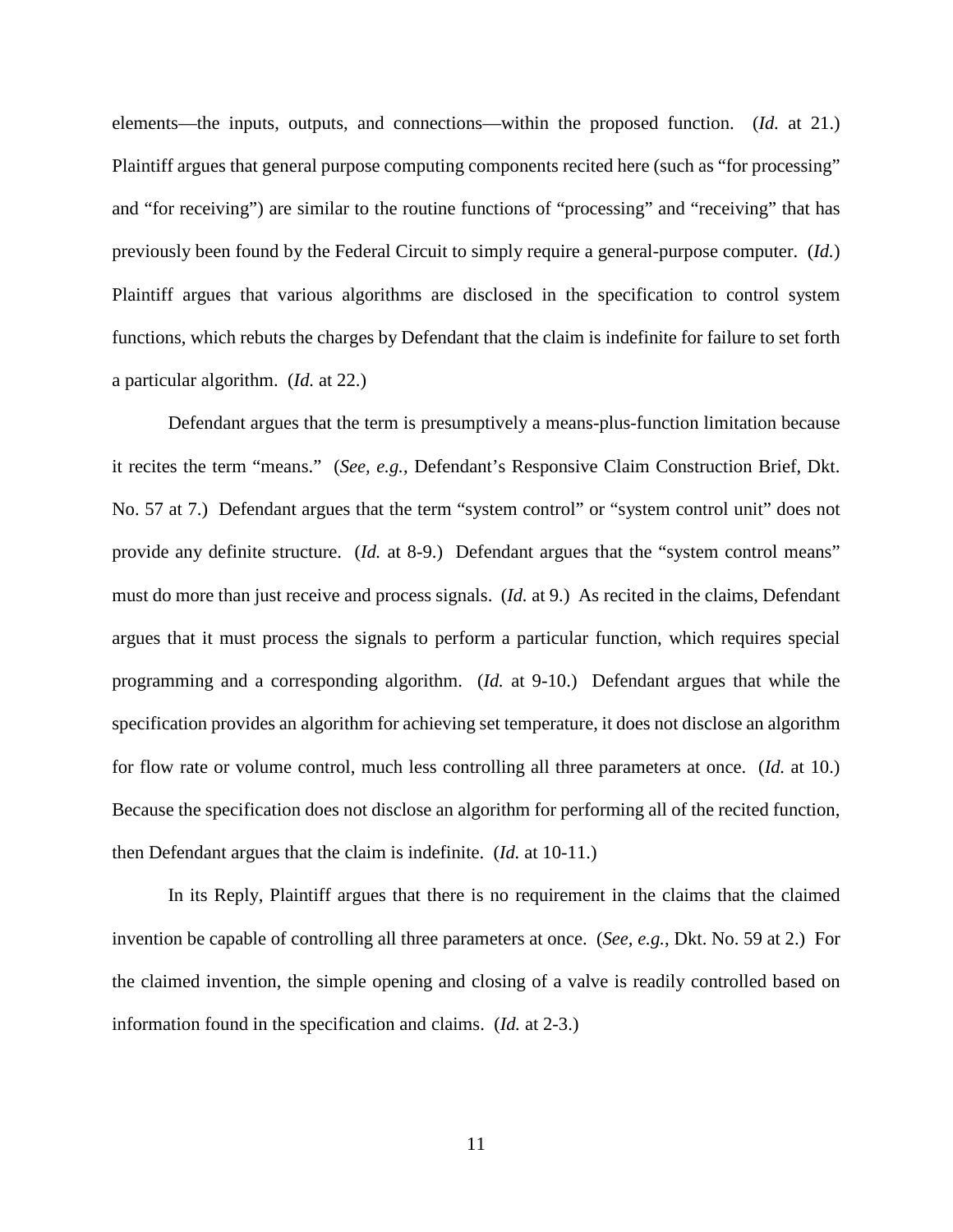elements—the inputs, outputs, and connections—within the proposed function. (*Id.* at 21.) Plaintiff argues that general purpose computing components recited here (such as "for processing" and "for receiving") are similar to the routine functions of "processing" and "receiving" that has previously been found by the Federal Circuit to simply require a general-purpose computer. (*Id.*) Plaintiff argues that various algorithms are disclosed in the specification to control system functions, which rebuts the charges by Defendant that the claim is indefinite for failure to set forth a particular algorithm. (*Id.* at 22.)

Defendant argues that the term is presumptively a means-plus-function limitation because it recites the term "means." (*See, e.g.*, Defendant's Responsive Claim Construction Brief, Dkt. No. 57 at 7.) Defendant argues that the term "system control" or "system control unit" does not provide any definite structure. (*Id.* at 8-9.) Defendant argues that the "system control means" must do more than just receive and process signals. (*Id.* at 9.) As recited in the claims, Defendant argues that it must process the signals to perform a particular function, which requires special programming and a corresponding algorithm. (*Id.* at 9-10.) Defendant argues that while the specification provides an algorithm for achieving set temperature, it does not disclose an algorithm for flow rate or volume control, much less controlling all three parameters at once. (*Id.* at 10.) Because the specification does not disclose an algorithm for performing all of the recited function, then Defendant argues that the claim is indefinite. (*Id.* at 10-11.)

In its Reply, Plaintiff argues that there is no requirement in the claims that the claimed invention be capable of controlling all three parameters at once. (*See, e.g.*, Dkt. No. 59 at 2.) For the claimed invention, the simple opening and closing of a valve is readily controlled based on information found in the specification and claims. (*Id.* at 2-3.)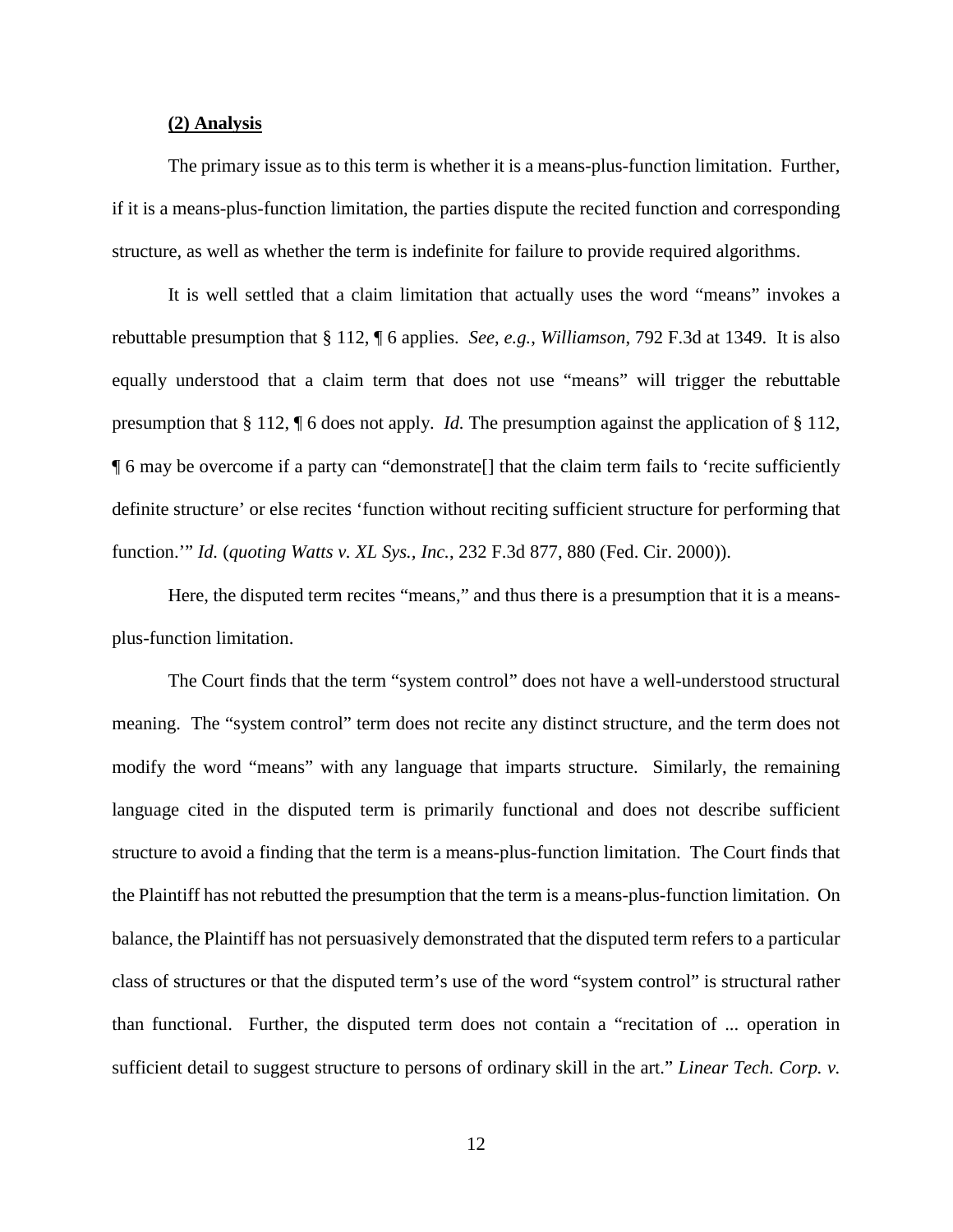#### **(2) Analysis**

The primary issue as to this term is whether it is a means-plus-function limitation. Further, if it is a means-plus-function limitation, the parties dispute the recited function and corresponding structure, as well as whether the term is indefinite for failure to provide required algorithms.

It is well settled that a claim limitation that actually uses the word "means" invokes a rebuttable presumption that § 112, ¶ 6 applies. *See*, *e.g.*, *Williamson*, 792 F.3d at 1349. It is also equally understood that a claim term that does not use "means" will trigger the rebuttable presumption that § 112, ¶ 6 does not apply. *Id.* The presumption against the application of § 112, ¶ 6 may be overcome if a party can "demonstrate[] that the claim term fails to 'recite sufficiently definite structure' or else recites 'function without reciting sufficient structure for performing that function.'" *Id.* (*quoting Watts v. XL Sys., Inc.*, 232 F.3d 877, 880 (Fed. Cir. 2000)).

Here, the disputed term recites "means," and thus there is a presumption that it is a meansplus-function limitation.

The Court finds that the term "system control" does not have a well-understood structural meaning. The "system control" term does not recite any distinct structure, and the term does not modify the word "means" with any language that imparts structure. Similarly, the remaining language cited in the disputed term is primarily functional and does not describe sufficient structure to avoid a finding that the term is a means-plus-function limitation. The Court finds that the Plaintiff has not rebutted the presumption that the term is a means-plus-function limitation. On balance, the Plaintiff has not persuasively demonstrated that the disputed term refers to a particular class of structures or that the disputed term's use of the word "system control" is structural rather than functional. Further, the disputed term does not contain a "recitation of ... operation in sufficient detail to suggest structure to persons of ordinary skill in the art." *Linear Tech. Corp. v.*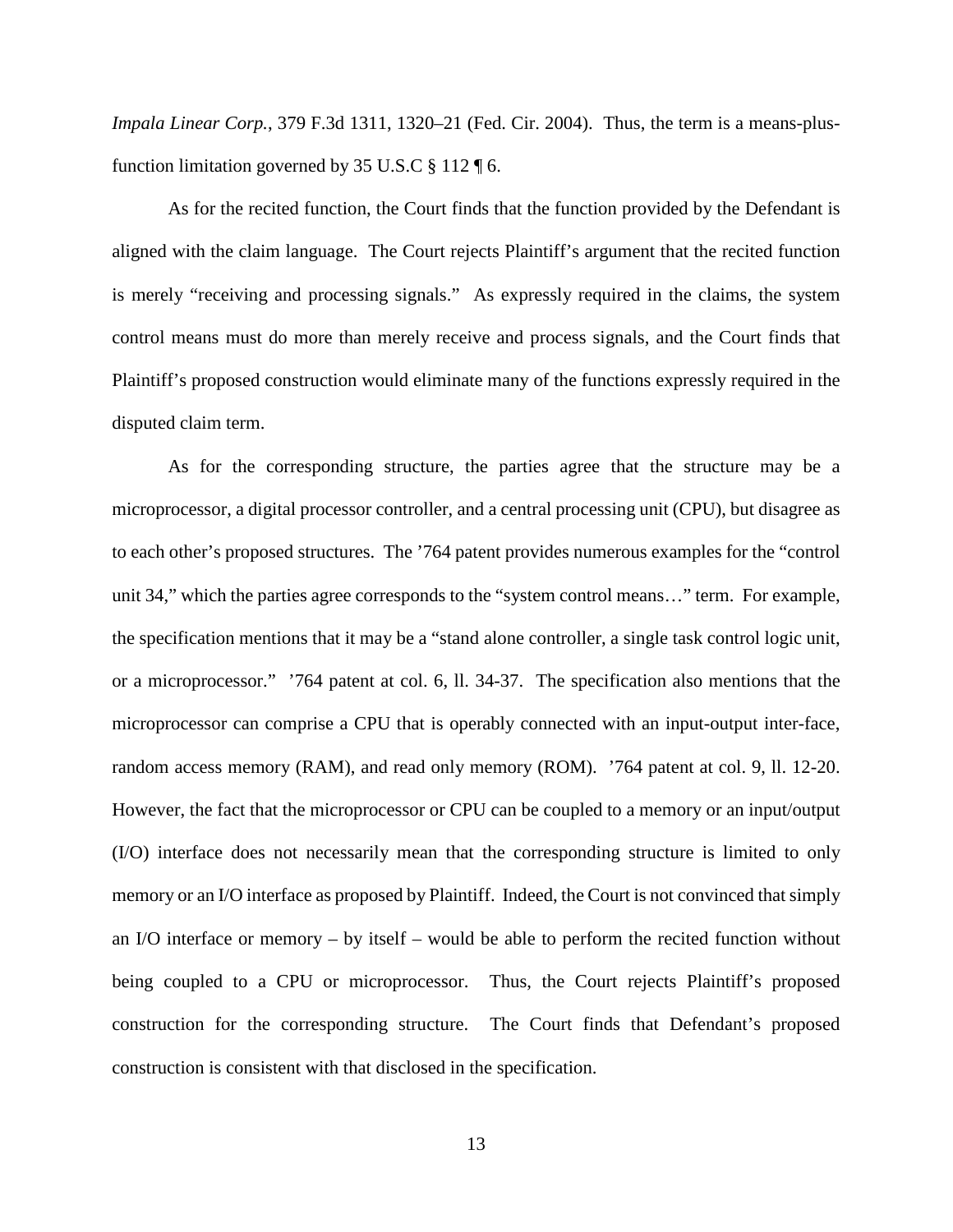*Impala Linear Corp.*, 379 F.3d 1311, 1320–21 (Fed. Cir. 2004). Thus, the term is a means-plusfunction limitation governed by 35 U.S.C  $\S 112 \text{ }\mathsf{16}$ .

As for the recited function, the Court finds that the function provided by the Defendant is aligned with the claim language. The Court rejects Plaintiff's argument that the recited function is merely "receiving and processing signals." As expressly required in the claims, the system control means must do more than merely receive and process signals, and the Court finds that Plaintiff's proposed construction would eliminate many of the functions expressly required in the disputed claim term.

As for the corresponding structure, the parties agree that the structure may be a microprocessor, a digital processor controller, and a central processing unit (CPU), but disagree as to each other's proposed structures. The '764 patent provides numerous examples for the "control unit 34," which the parties agree corresponds to the "system control means…" term. For example, the specification mentions that it may be a "stand alone controller, a single task control logic unit, or a microprocessor." '764 patent at col. 6, ll. 34-37. The specification also mentions that the microprocessor can comprise a CPU that is operably connected with an input-output inter-face, random access memory (RAM), and read only memory (ROM). '764 patent at col. 9, ll. 12-20. However, the fact that the microprocessor or CPU can be coupled to a memory or an input/output (I/O) interface does not necessarily mean that the corresponding structure is limited to only memory or an I/O interface as proposed by Plaintiff. Indeed, the Court is not convinced that simply an I/O interface or memory – by itself – would be able to perform the recited function without being coupled to a CPU or microprocessor. Thus, the Court rejects Plaintiff's proposed construction for the corresponding structure. The Court finds that Defendant's proposed construction is consistent with that disclosed in the specification.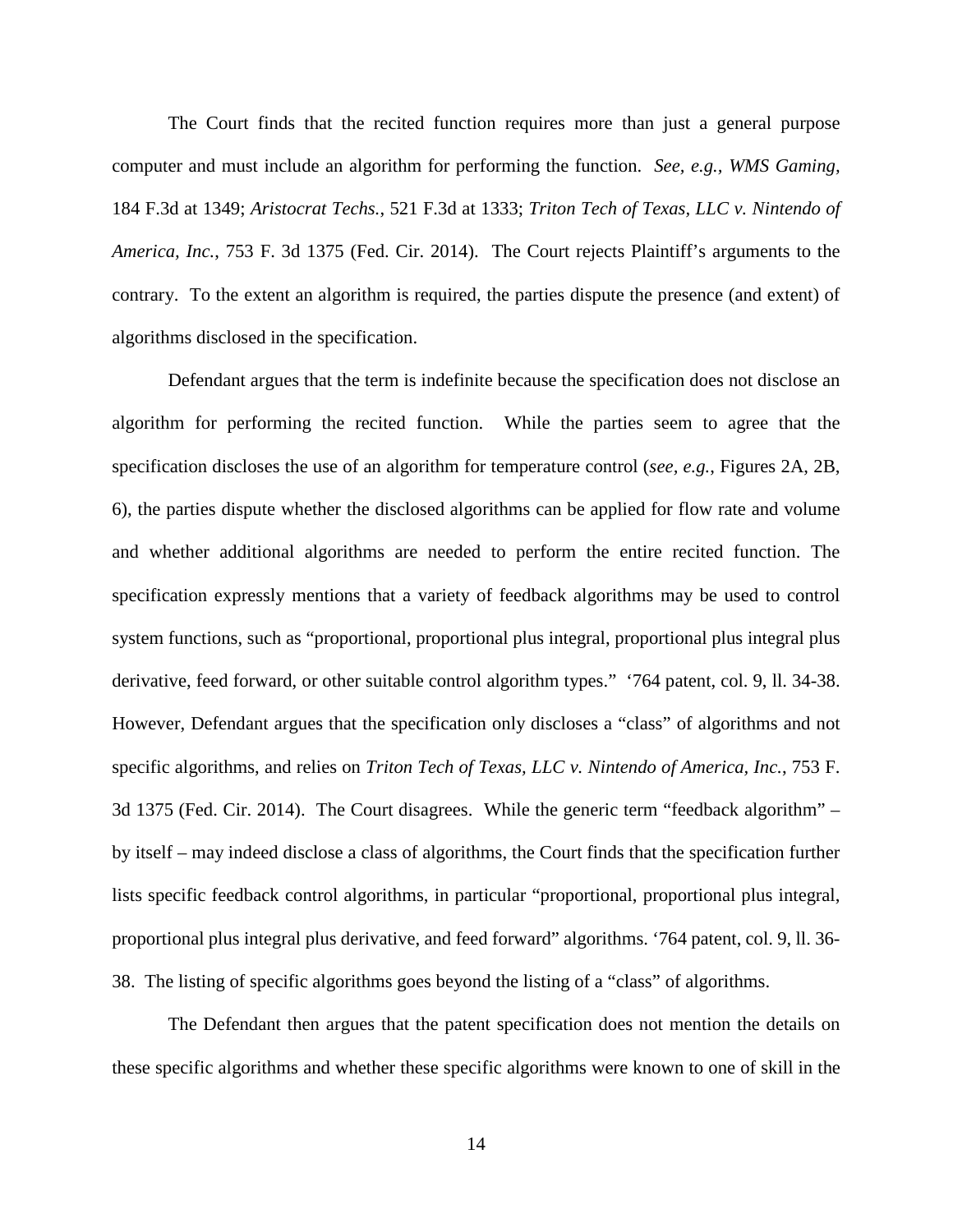The Court finds that the recited function requires more than just a general purpose computer and must include an algorithm for performing the function. *See, e.g., WMS Gaming,*  184 F.3d at 1349; *Aristocrat Techs.*, 521 F.3d at 1333; *Triton Tech of Texas, LLC v. Nintendo of America, Inc.*, 753 F. 3d 1375 (Fed. Cir. 2014). The Court rejects Plaintiff's arguments to the contrary. To the extent an algorithm is required, the parties dispute the presence (and extent) of algorithms disclosed in the specification.

Defendant argues that the term is indefinite because the specification does not disclose an algorithm for performing the recited function. While the parties seem to agree that the specification discloses the use of an algorithm for temperature control (*see, e.g.*, Figures 2A, 2B, 6), the parties dispute whether the disclosed algorithms can be applied for flow rate and volume and whether additional algorithms are needed to perform the entire recited function. The specification expressly mentions that a variety of feedback algorithms may be used to control system functions, such as "proportional, proportional plus integral, proportional plus integral plus derivative, feed forward, or other suitable control algorithm types." '764 patent, col. 9, ll. 34-38. However, Defendant argues that the specification only discloses a "class" of algorithms and not specific algorithms, and relies on *Triton Tech of Texas, LLC v. Nintendo of America, Inc.*, 753 F. 3d 1375 (Fed. Cir. 2014). The Court disagrees. While the generic term "feedback algorithm" – by itself – may indeed disclose a class of algorithms, the Court finds that the specification further lists specific feedback control algorithms, in particular "proportional, proportional plus integral, proportional plus integral plus derivative, and feed forward" algorithms. '764 patent, col. 9, ll. 36- 38. The listing of specific algorithms goes beyond the listing of a "class" of algorithms.

The Defendant then argues that the patent specification does not mention the details on these specific algorithms and whether these specific algorithms were known to one of skill in the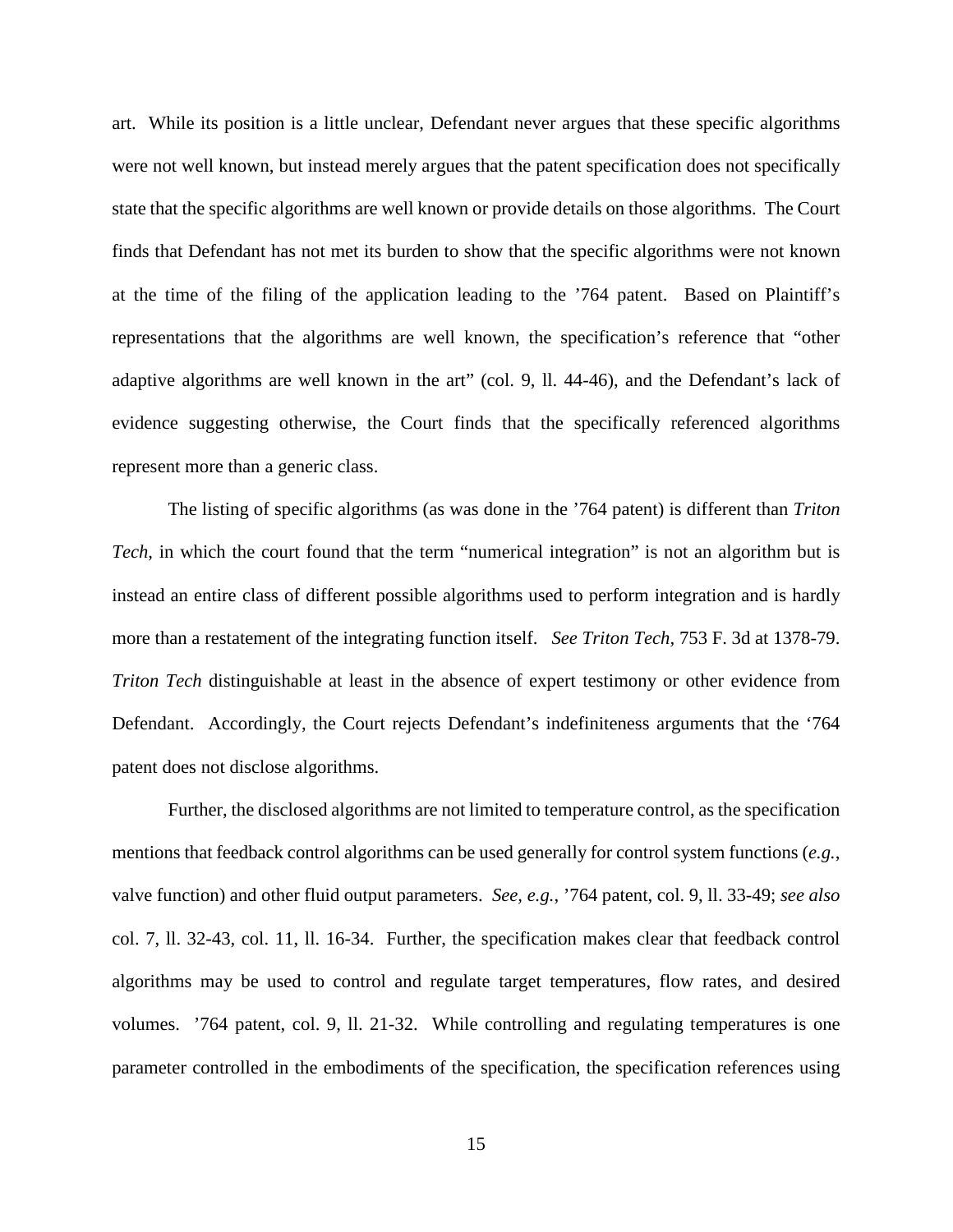art. While its position is a little unclear, Defendant never argues that these specific algorithms were not well known, but instead merely argues that the patent specification does not specifically state that the specific algorithms are well known or provide details on those algorithms. The Court finds that Defendant has not met its burden to show that the specific algorithms were not known at the time of the filing of the application leading to the '764 patent. Based on Plaintiff's representations that the algorithms are well known, the specification's reference that "other adaptive algorithms are well known in the art" (col. 9, ll. 44-46), and the Defendant's lack of evidence suggesting otherwise, the Court finds that the specifically referenced algorithms represent more than a generic class.

The listing of specific algorithms (as was done in the '764 patent) is different than *Triton Tech*, in which the court found that the term "numerical integration" is not an algorithm but is instead an entire class of different possible algorithms used to perform integration and is hardly more than a restatement of the integrating function itself. *See Triton Tech,* 753 F. 3d at 1378-79. *Triton Tech* distinguishable at least in the absence of expert testimony or other evidence from Defendant. Accordingly, the Court rejects Defendant's indefiniteness arguments that the '764 patent does not disclose algorithms.

Further, the disclosed algorithms are not limited to temperature control, as the specification mentions that feedback control algorithms can be used generally for control system functions (*e.g.*, valve function) and other fluid output parameters. *See, e.g.*, '764 patent, col. 9, ll. 33-49; *see also* col. 7, ll. 32-43, col. 11, ll. 16-34. Further, the specification makes clear that feedback control algorithms may be used to control and regulate target temperatures, flow rates, and desired volumes. '764 patent, col. 9, ll. 21-32. While controlling and regulating temperatures is one parameter controlled in the embodiments of the specification, the specification references using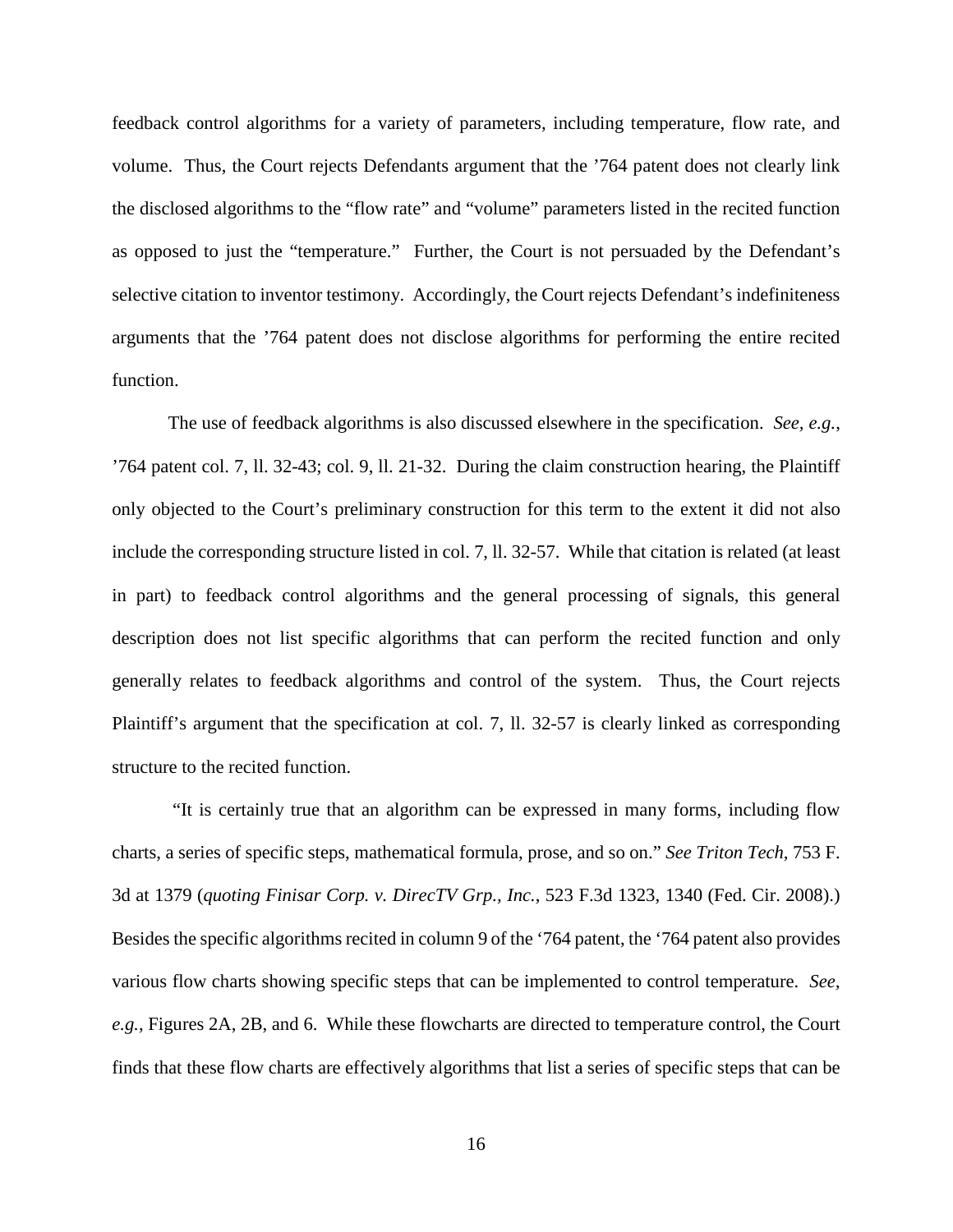feedback control algorithms for a variety of parameters, including temperature, flow rate, and volume. Thus, the Court rejects Defendants argument that the '764 patent does not clearly link the disclosed algorithms to the "flow rate" and "volume" parameters listed in the recited function as opposed to just the "temperature." Further, the Court is not persuaded by the Defendant's selective citation to inventor testimony. Accordingly, the Court rejects Defendant's indefiniteness arguments that the '764 patent does not disclose algorithms for performing the entire recited function.

The use of feedback algorithms is also discussed elsewhere in the specification. *See, e.g.*, '764 patent col. 7, ll. 32-43; col. 9, ll. 21-32. During the claim construction hearing, the Plaintiff only objected to the Court's preliminary construction for this term to the extent it did not also include the corresponding structure listed in col. 7, ll. 32-57. While that citation is related (at least in part) to feedback control algorithms and the general processing of signals, this general description does not list specific algorithms that can perform the recited function and only generally relates to feedback algorithms and control of the system. Thus, the Court rejects Plaintiff's argument that the specification at col. 7, ll. 32-57 is clearly linked as corresponding structure to the recited function.

 "It is certainly true that an algorithm can be expressed in many forms, including flow charts, a series of specific steps, mathematical formula, prose, and so on." *See Triton Tech,* 753 F. 3d at 1379 (*quoting Finisar Corp. v. DirecTV Grp., Inc.*, 523 F.3d 1323, 1340 (Fed. Cir. 2008).) Besides the specific algorithms recited in column 9 of the '764 patent, the '764 patent also provides various flow charts showing specific steps that can be implemented to control temperature. *See, e.g.*, Figures 2A, 2B, and 6. While these flowcharts are directed to temperature control, the Court finds that these flow charts are effectively algorithms that list a series of specific steps that can be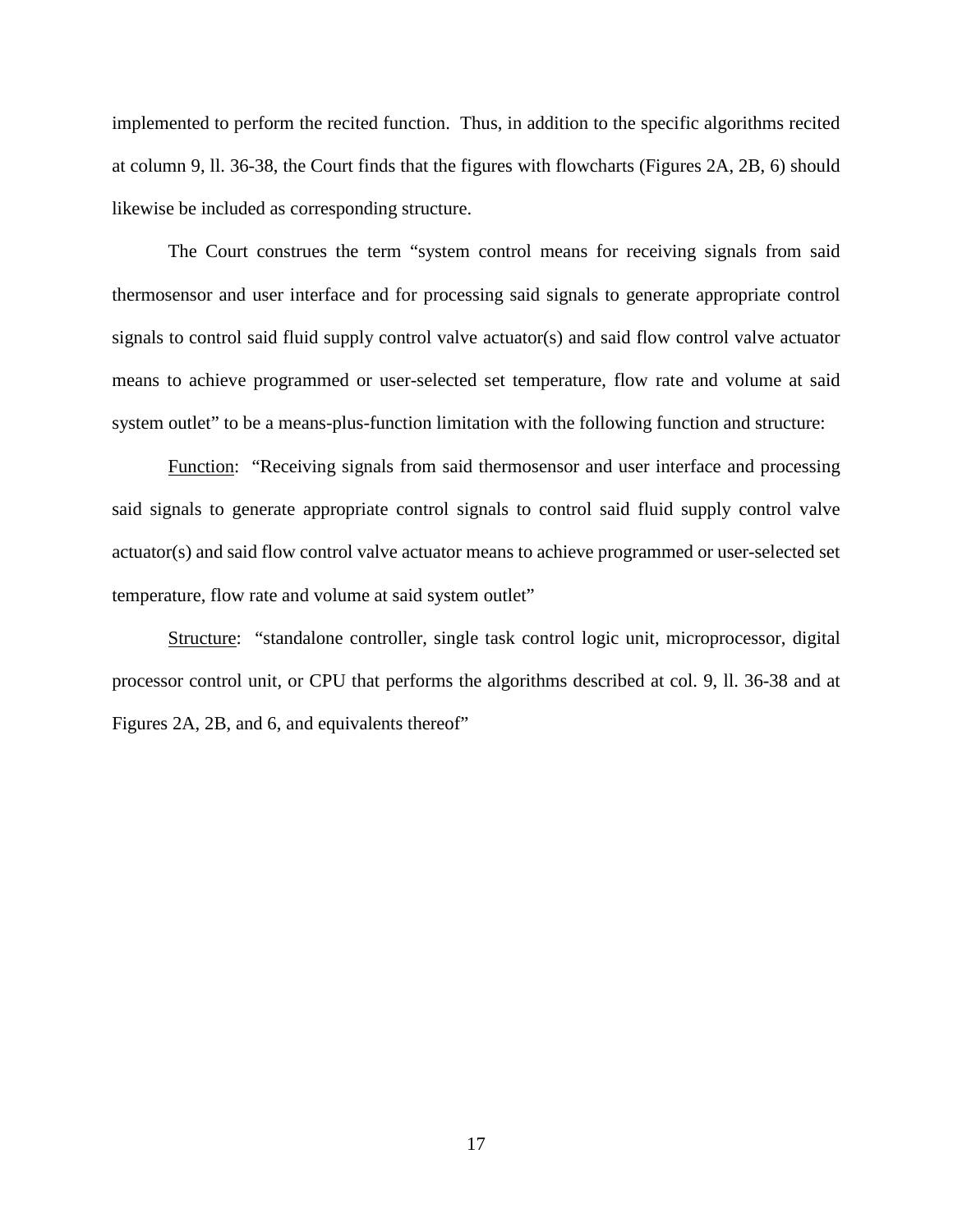implemented to perform the recited function. Thus, in addition to the specific algorithms recited at column 9, ll. 36-38, the Court finds that the figures with flowcharts (Figures 2A, 2B, 6) should likewise be included as corresponding structure.

The Court construes the term "system control means for receiving signals from said thermosensor and user interface and for processing said signals to generate appropriate control signals to control said fluid supply control valve actuator(s) and said flow control valve actuator means to achieve programmed or user-selected set temperature, flow rate and volume at said system outlet" to be a means-plus-function limitation with the following function and structure:

Function: "Receiving signals from said thermosensor and user interface and processing said signals to generate appropriate control signals to control said fluid supply control valve actuator(s) and said flow control valve actuator means to achieve programmed or user-selected set temperature, flow rate and volume at said system outlet"

Structure: "standalone controller, single task control logic unit, microprocessor, digital processor control unit, or CPU that performs the algorithms described at col. 9, ll. 36-38 and at Figures 2A, 2B, and 6, and equivalents thereof"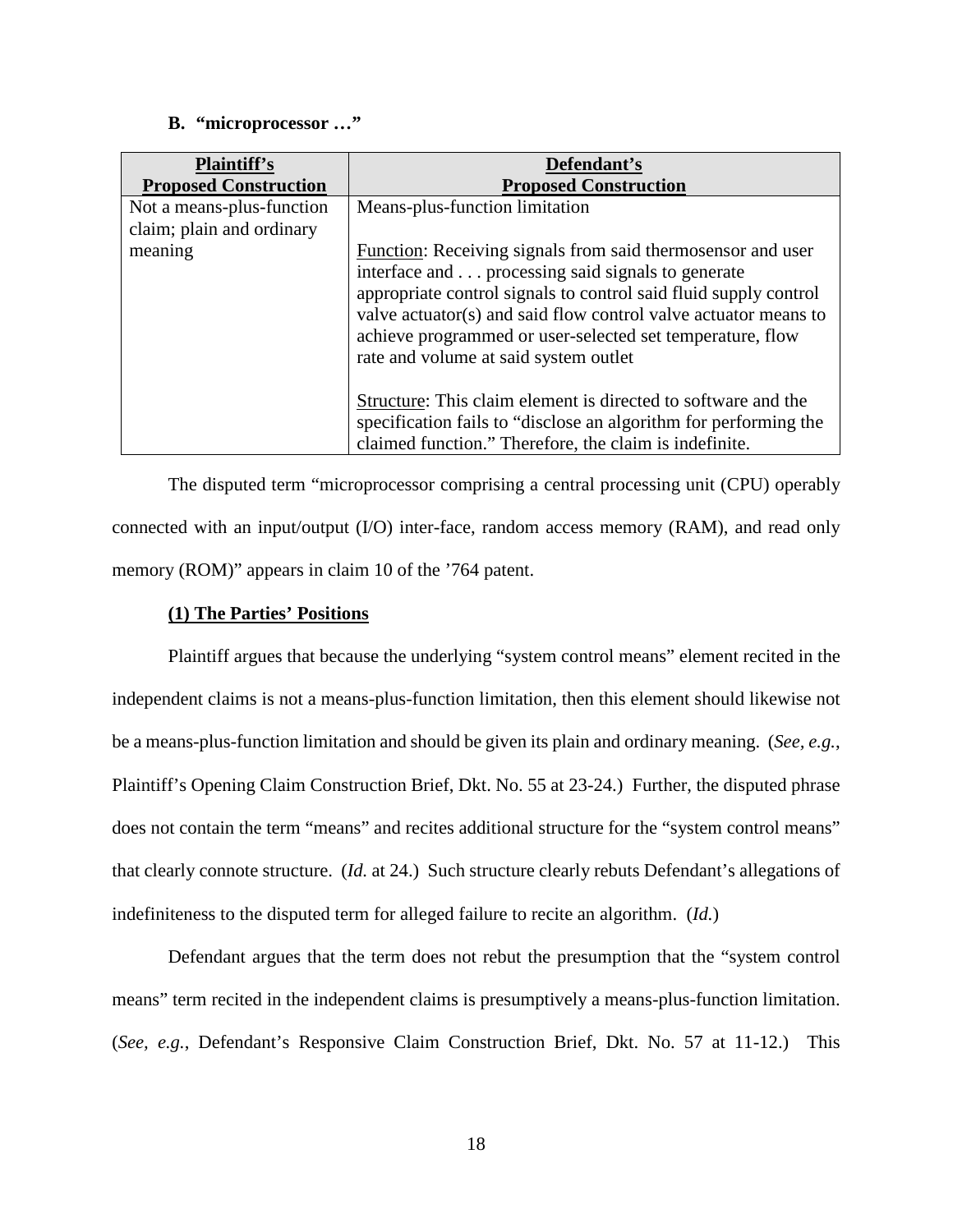## **B. "microprocessor …"**

| <b>Plaintiff's</b><br><b>Proposed Construction</b> | Defendant's<br><b>Proposed Construction</b>                                                                                                                                                                                               |
|----------------------------------------------------|-------------------------------------------------------------------------------------------------------------------------------------------------------------------------------------------------------------------------------------------|
|                                                    |                                                                                                                                                                                                                                           |
| Not a means-plus-function                          | Means-plus-function limitation                                                                                                                                                                                                            |
| claim; plain and ordinary                          |                                                                                                                                                                                                                                           |
| meaning                                            | Function: Receiving signals from said thermosensor and user                                                                                                                                                                               |
|                                                    | interface and processing said signals to generate                                                                                                                                                                                         |
|                                                    | appropriate control signals to control said fluid supply control<br>valve actuator(s) and said flow control valve actuator means to<br>achieve programmed or user-selected set temperature, flow<br>rate and volume at said system outlet |
|                                                    | Structure: This claim element is directed to software and the<br>specification fails to "disclose an algorithm for performing the<br>claimed function." Therefore, the claim is indefinite.                                               |

The disputed term "microprocessor comprising a central processing unit (CPU) operably connected with an input/output (I/O) inter-face, random access memory (RAM), and read only memory (ROM)" appears in claim 10 of the '764 patent.

## **(1) The Parties' Positions**

Plaintiff argues that because the underlying "system control means" element recited in the independent claims is not a means-plus-function limitation, then this element should likewise not be a means-plus-function limitation and should be given its plain and ordinary meaning. (*See, e.g.*, Plaintiff's Opening Claim Construction Brief, Dkt. No. 55 at 23-24.) Further, the disputed phrase does not contain the term "means" and recites additional structure for the "system control means" that clearly connote structure. (*Id.* at 24.) Such structure clearly rebuts Defendant's allegations of indefiniteness to the disputed term for alleged failure to recite an algorithm. (*Id.*)

Defendant argues that the term does not rebut the presumption that the "system control means" term recited in the independent claims is presumptively a means-plus-function limitation. (*See, e.g.*, Defendant's Responsive Claim Construction Brief, Dkt. No. 57 at 11-12.) This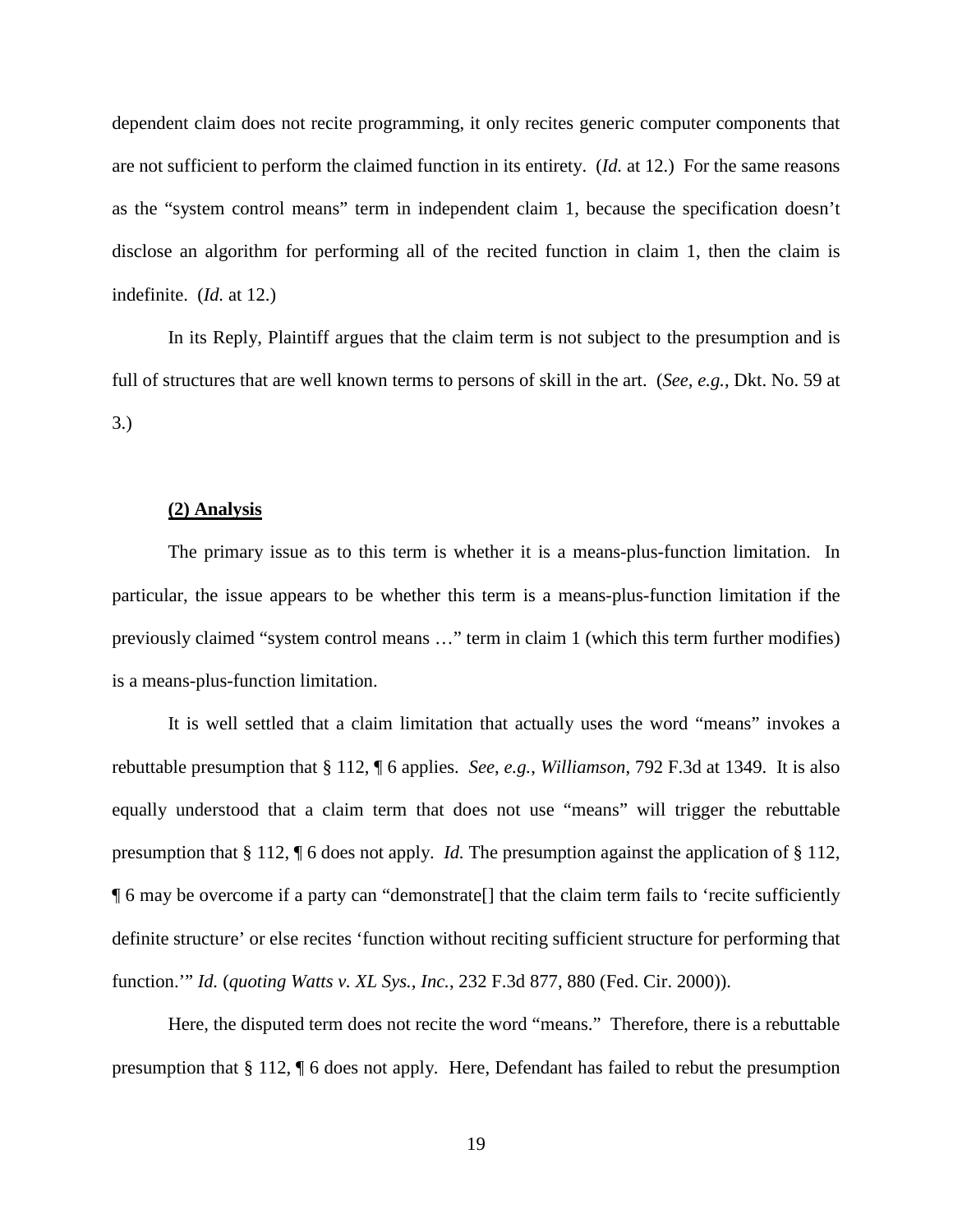dependent claim does not recite programming, it only recites generic computer components that are not sufficient to perform the claimed function in its entirety. (*Id.* at 12.) For the same reasons as the "system control means" term in independent claim 1, because the specification doesn't disclose an algorithm for performing all of the recited function in claim 1, then the claim is indefinite. (*Id.* at 12.)

In its Reply, Plaintiff argues that the claim term is not subject to the presumption and is full of structures that are well known terms to persons of skill in the art. (*See, e.g.*, Dkt. No. 59 at 3.)

#### **(2) Analysis**

The primary issue as to this term is whether it is a means-plus-function limitation. In particular, the issue appears to be whether this term is a means-plus-function limitation if the previously claimed "system control means …" term in claim 1 (which this term further modifies) is a means-plus-function limitation.

It is well settled that a claim limitation that actually uses the word "means" invokes a rebuttable presumption that § 112, ¶ 6 applies. *See*, *e.g.*, *Williamson*, 792 F.3d at 1349. It is also equally understood that a claim term that does not use "means" will trigger the rebuttable presumption that § 112, ¶ 6 does not apply. *Id.* The presumption against the application of § 112, ¶ 6 may be overcome if a party can "demonstrate[] that the claim term fails to 'recite sufficiently definite structure' or else recites 'function without reciting sufficient structure for performing that function.'" *Id.* (*quoting Watts v. XL Sys., Inc.*, 232 F.3d 877, 880 (Fed. Cir. 2000)).

Here, the disputed term does not recite the word "means." Therefore, there is a rebuttable presumption that § 112, ¶ 6 does not apply. Here, Defendant has failed to rebut the presumption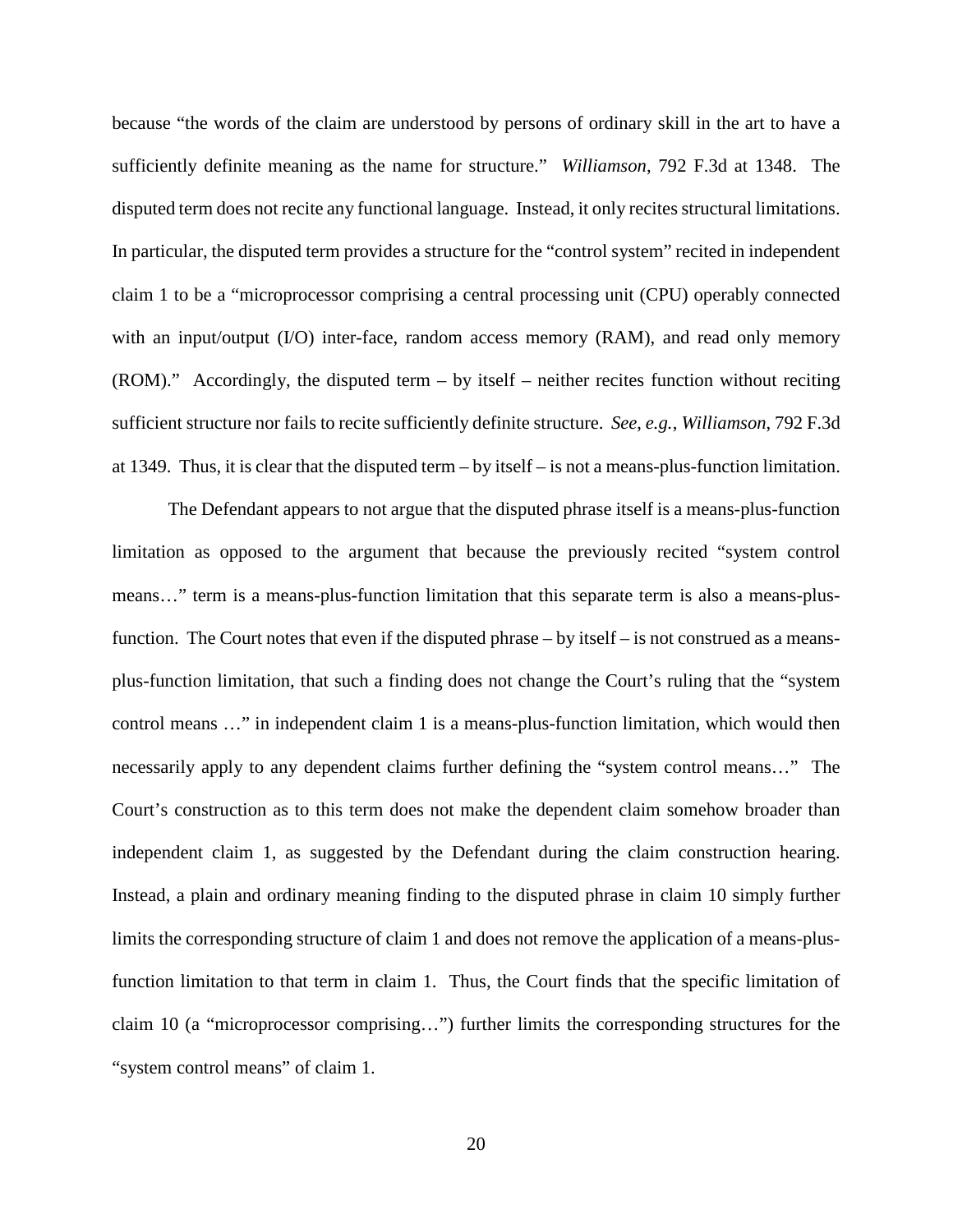because "the words of the claim are understood by persons of ordinary skill in the art to have a sufficiently definite meaning as the name for structure." *Williamson*, 792 F.3d at 1348. The disputed term does not recite any functional language. Instead, it only recites structural limitations. In particular, the disputed term provides a structure for the "control system" recited in independent claim 1 to be a "microprocessor comprising a central processing unit (CPU) operably connected with an input/output (I/O) inter-face, random access memory (RAM), and read only memory  $(ROM)$ ." Accordingly, the disputed term – by itself – neither recites function without reciting sufficient structure nor fails to recite sufficiently definite structure. *See*, *e.g.*, *Williamson*, 792 F.3d at 1349. Thus, it is clear that the disputed term – by itself – is not a means-plus-function limitation.

The Defendant appears to not argue that the disputed phrase itself is a means-plus-function limitation as opposed to the argument that because the previously recited "system control means…" term is a means-plus-function limitation that this separate term is also a means-plusfunction. The Court notes that even if the disputed phrase – by itself – is not construed as a meansplus-function limitation, that such a finding does not change the Court's ruling that the "system control means …" in independent claim 1 is a means-plus-function limitation, which would then necessarily apply to any dependent claims further defining the "system control means…" The Court's construction as to this term does not make the dependent claim somehow broader than independent claim 1, as suggested by the Defendant during the claim construction hearing. Instead, a plain and ordinary meaning finding to the disputed phrase in claim 10 simply further limits the corresponding structure of claim 1 and does not remove the application of a means-plusfunction limitation to that term in claim 1. Thus, the Court finds that the specific limitation of claim 10 (a "microprocessor comprising…") further limits the corresponding structures for the "system control means" of claim 1.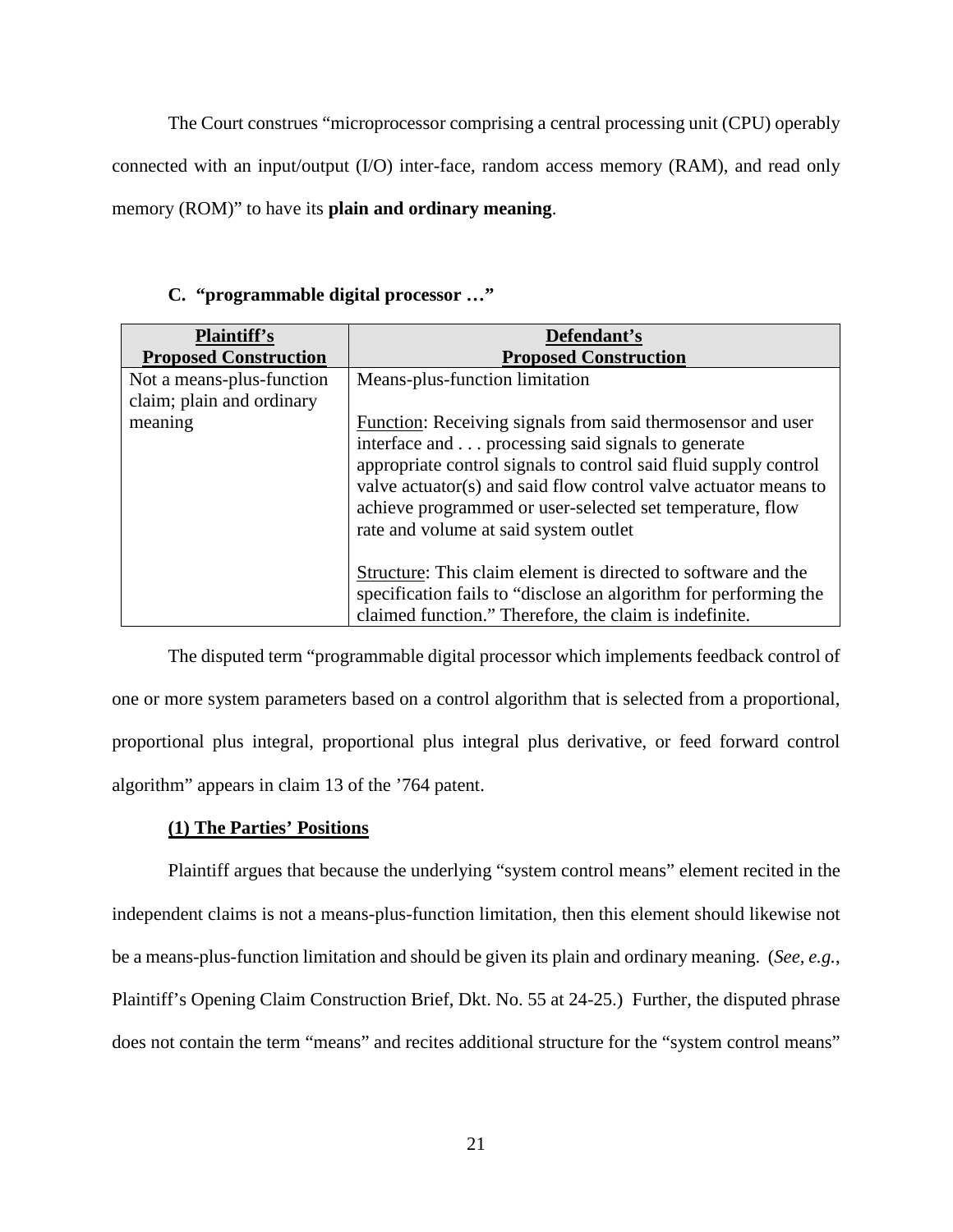The Court construes "microprocessor comprising a central processing unit (CPU) operably connected with an input/output (I/O) inter-face, random access memory (RAM), and read only memory (ROM)" to have its **plain and ordinary meaning**.

| <b>Plaintiff's</b><br><b>Proposed Construction</b>     | Defendant's<br><b>Proposed Construction</b>                                                                                                                                                                                                                                                                                                                   |
|--------------------------------------------------------|---------------------------------------------------------------------------------------------------------------------------------------------------------------------------------------------------------------------------------------------------------------------------------------------------------------------------------------------------------------|
| Not a means-plus-function<br>claim; plain and ordinary | Means-plus-function limitation                                                                                                                                                                                                                                                                                                                                |
| meaning                                                | Function: Receiving signals from said thermosensor and user<br>interface and processing said signals to generate<br>appropriate control signals to control said fluid supply control<br>valve actuator(s) and said flow control valve actuator means to<br>achieve programmed or user-selected set temperature, flow<br>rate and volume at said system outlet |
|                                                        | Structure: This claim element is directed to software and the<br>specification fails to "disclose an algorithm for performing the<br>claimed function." Therefore, the claim is indefinite.                                                                                                                                                                   |

## **C. "programmable digital processor …"**

The disputed term "programmable digital processor which implements feedback control of one or more system parameters based on a control algorithm that is selected from a proportional, proportional plus integral, proportional plus integral plus derivative, or feed forward control algorithm" appears in claim 13 of the '764 patent.

## **(1) The Parties' Positions**

Plaintiff argues that because the underlying "system control means" element recited in the independent claims is not a means-plus-function limitation, then this element should likewise not be a means-plus-function limitation and should be given its plain and ordinary meaning. (*See, e.g.*, Plaintiff's Opening Claim Construction Brief, Dkt. No. 55 at 24-25.) Further, the disputed phrase does not contain the term "means" and recites additional structure for the "system control means"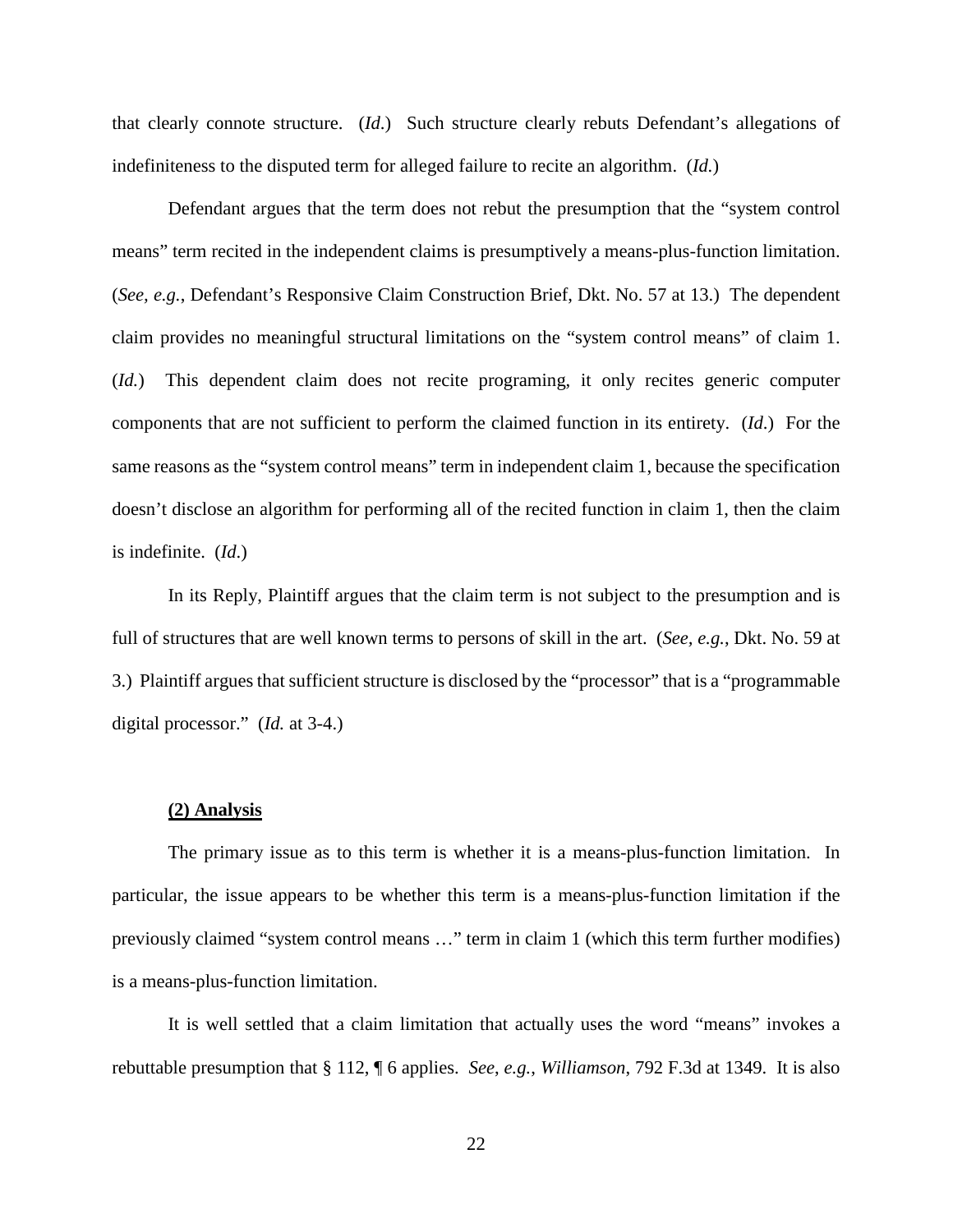that clearly connote structure. (*Id*.) Such structure clearly rebuts Defendant's allegations of indefiniteness to the disputed term for alleged failure to recite an algorithm. (*Id.*)

Defendant argues that the term does not rebut the presumption that the "system control means" term recited in the independent claims is presumptively a means-plus-function limitation. (*See, e.g.*, Defendant's Responsive Claim Construction Brief, Dkt. No. 57 at 13.) The dependent claim provides no meaningful structural limitations on the "system control means" of claim 1. (*Id.*) This dependent claim does not recite programing, it only recites generic computer components that are not sufficient to perform the claimed function in its entirety. (*Id*.) For the same reasons as the "system control means" term in independent claim 1, because the specification doesn't disclose an algorithm for performing all of the recited function in claim 1, then the claim is indefinite. (*Id*.)

In its Reply, Plaintiff argues that the claim term is not subject to the presumption and is full of structures that are well known terms to persons of skill in the art. (*See, e.g.*, Dkt. No. 59 at 3.) Plaintiff argues that sufficient structure is disclosed by the "processor" that is a "programmable digital processor." (*Id.* at 3-4.)

#### **(2) Analysis**

The primary issue as to this term is whether it is a means-plus-function limitation. In particular, the issue appears to be whether this term is a means-plus-function limitation if the previously claimed "system control means …" term in claim 1 (which this term further modifies) is a means-plus-function limitation.

It is well settled that a claim limitation that actually uses the word "means" invokes a rebuttable presumption that § 112, ¶ 6 applies. *See*, *e.g.*, *Williamson*, 792 F.3d at 1349. It is also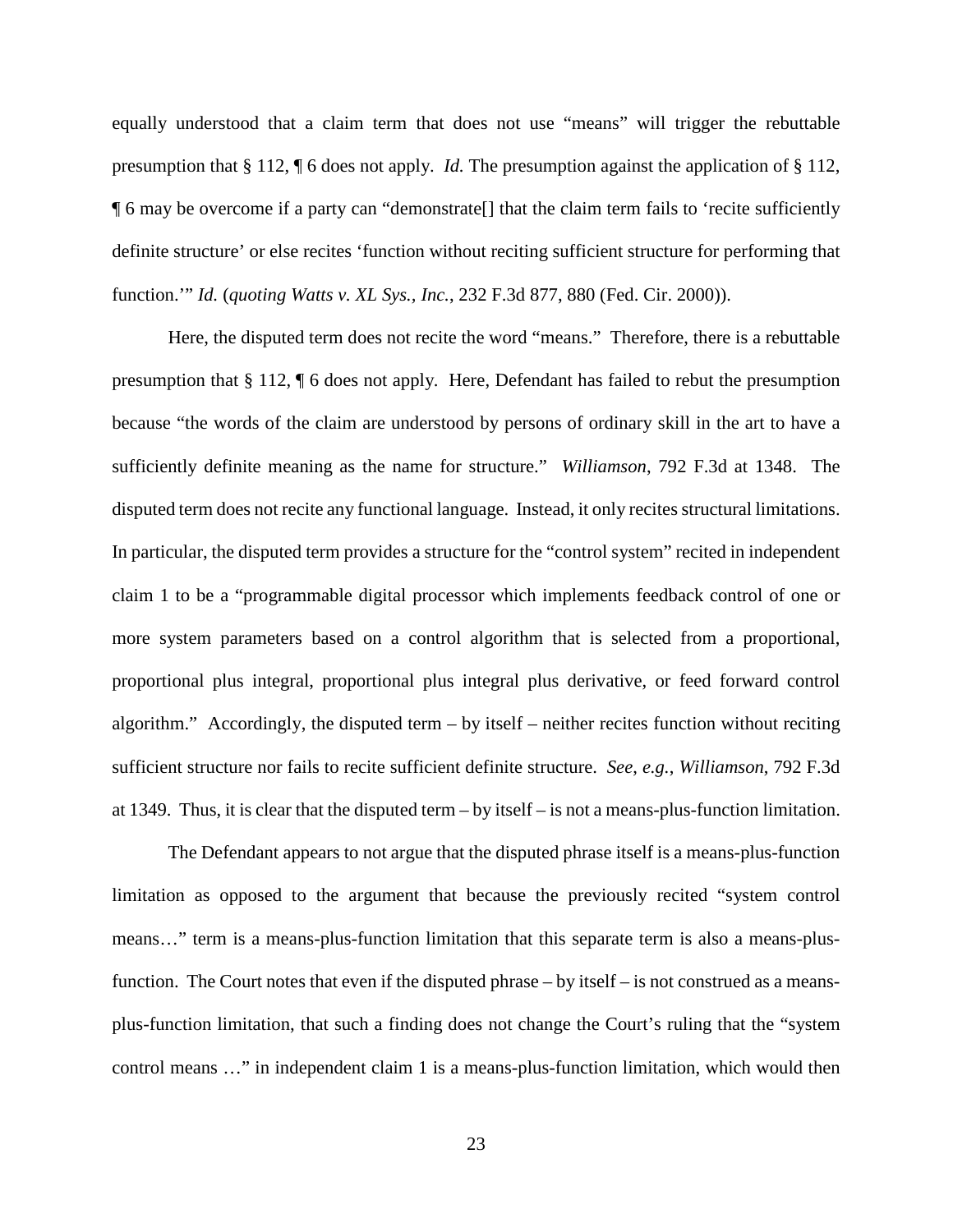equally understood that a claim term that does not use "means" will trigger the rebuttable presumption that § 112, ¶ 6 does not apply. *Id.* The presumption against the application of § 112, ¶ 6 may be overcome if a party can "demonstrate[] that the claim term fails to 'recite sufficiently definite structure' or else recites 'function without reciting sufficient structure for performing that function.'" *Id.* (*quoting Watts v. XL Sys., Inc.*, 232 F.3d 877, 880 (Fed. Cir. 2000)).

Here, the disputed term does not recite the word "means." Therefore, there is a rebuttable presumption that § 112, ¶ 6 does not apply. Here, Defendant has failed to rebut the presumption because "the words of the claim are understood by persons of ordinary skill in the art to have a sufficiently definite meaning as the name for structure." *Williamson*, 792 F.3d at 1348. The disputed term does not recite any functional language. Instead, it only recites structural limitations. In particular, the disputed term provides a structure for the "control system" recited in independent claim 1 to be a "programmable digital processor which implements feedback control of one or more system parameters based on a control algorithm that is selected from a proportional, proportional plus integral, proportional plus integral plus derivative, or feed forward control algorithm." Accordingly, the disputed term – by itself – neither recites function without reciting sufficient structure nor fails to recite sufficient definite structure. *See*, *e.g.*, *Williamson*, 792 F.3d at 1349. Thus, it is clear that the disputed term  $-$  by itself  $-$  is not a means-plus-function limitation.

The Defendant appears to not argue that the disputed phrase itself is a means-plus-function limitation as opposed to the argument that because the previously recited "system control means…" term is a means-plus-function limitation that this separate term is also a means-plusfunction. The Court notes that even if the disputed phrase – by itself – is not construed as a meansplus-function limitation, that such a finding does not change the Court's ruling that the "system control means …" in independent claim 1 is a means-plus-function limitation, which would then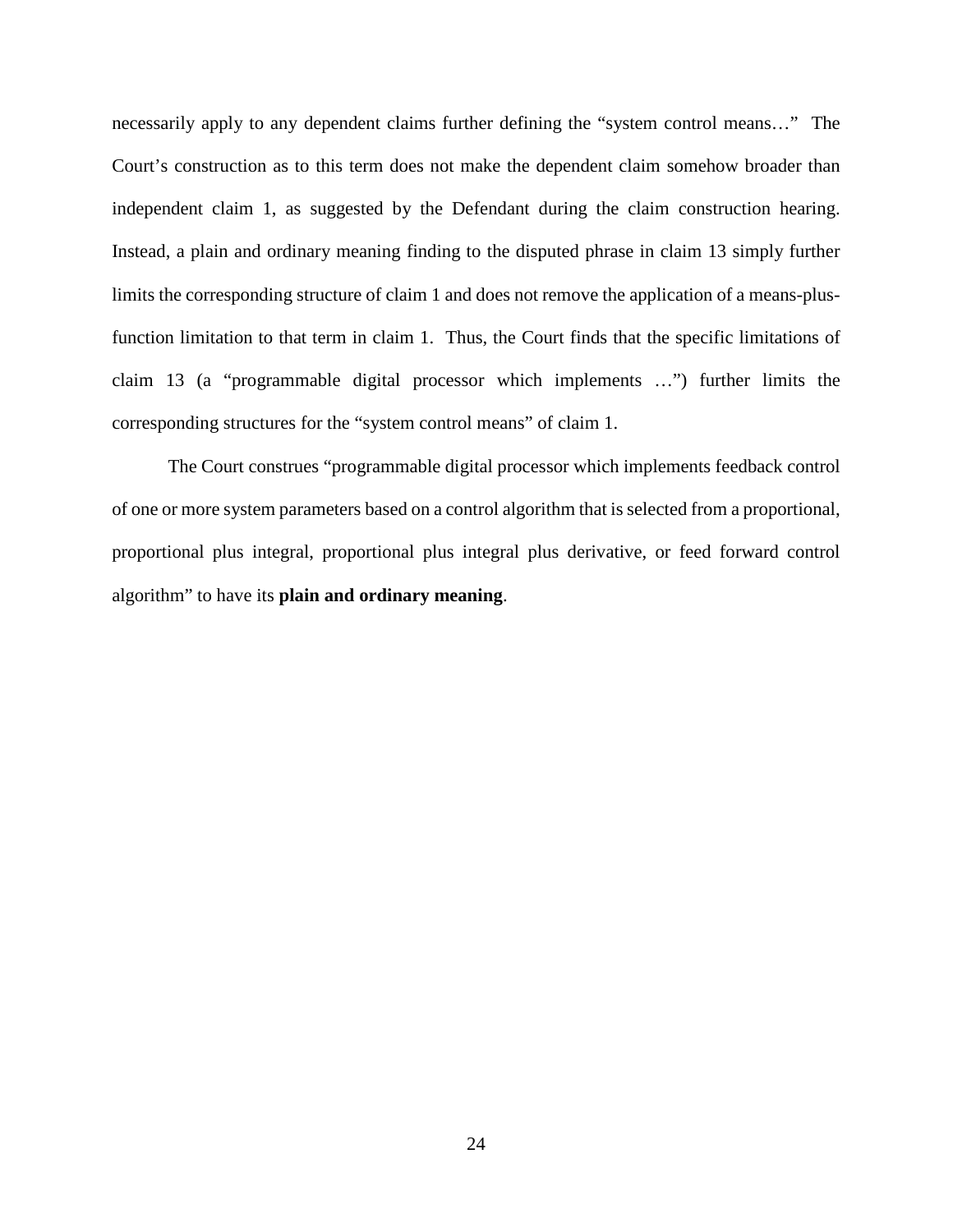necessarily apply to any dependent claims further defining the "system control means…" The Court's construction as to this term does not make the dependent claim somehow broader than independent claim 1, as suggested by the Defendant during the claim construction hearing. Instead, a plain and ordinary meaning finding to the disputed phrase in claim 13 simply further limits the corresponding structure of claim 1 and does not remove the application of a means-plusfunction limitation to that term in claim 1. Thus, the Court finds that the specific limitations of claim 13 (a "programmable digital processor which implements …") further limits the corresponding structures for the "system control means" of claim 1.

The Court construes "programmable digital processor which implements feedback control of one or more system parameters based on a control algorithm that is selected from a proportional, proportional plus integral, proportional plus integral plus derivative, or feed forward control algorithm" to have its **plain and ordinary meaning**.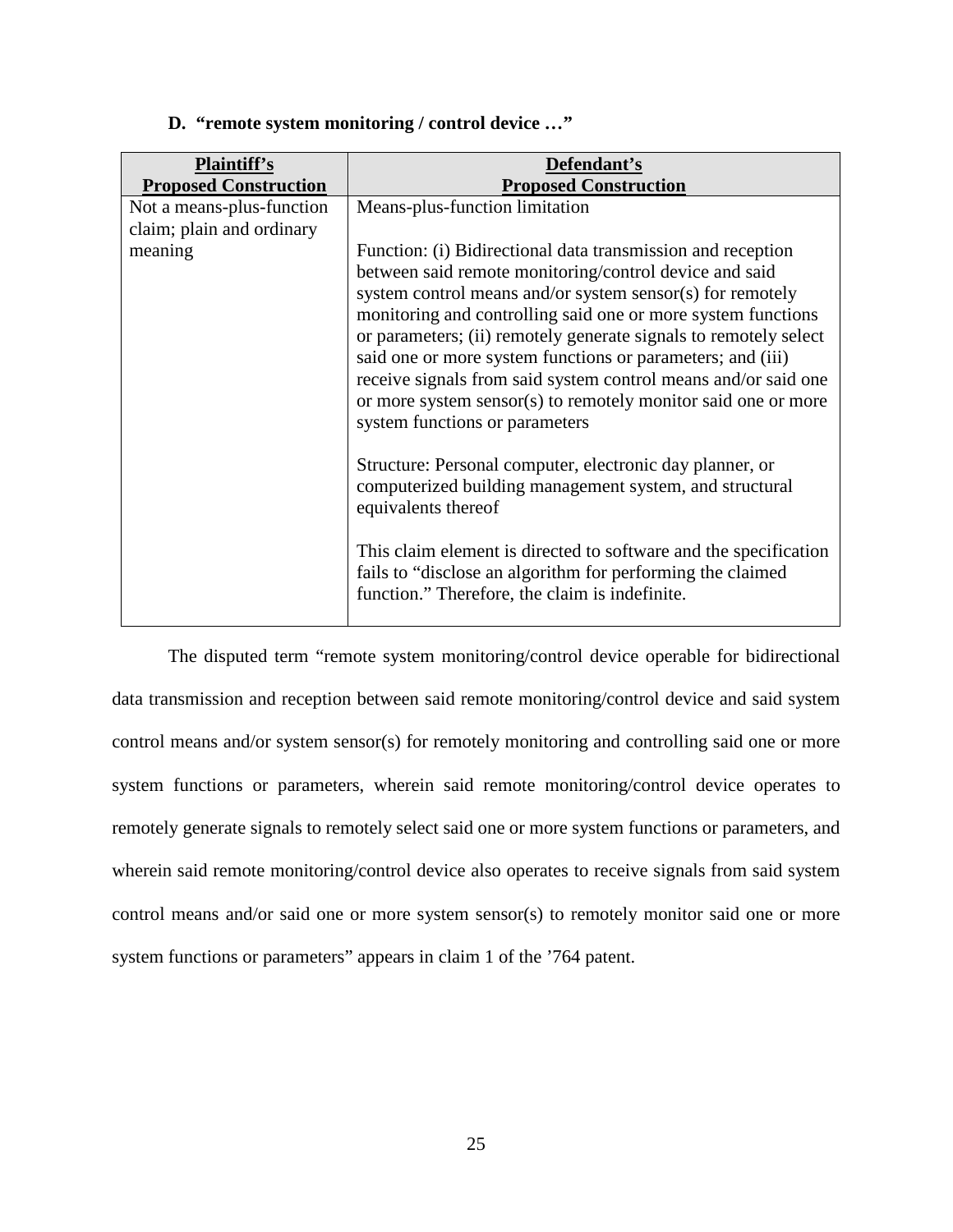| <b>Plaintiff's</b><br><b>Proposed Construction</b>     | Defendant's<br><b>Proposed Construction</b>                                                                                                                                                                                                                                                                                                                                                                                                                                                                                                               |
|--------------------------------------------------------|-----------------------------------------------------------------------------------------------------------------------------------------------------------------------------------------------------------------------------------------------------------------------------------------------------------------------------------------------------------------------------------------------------------------------------------------------------------------------------------------------------------------------------------------------------------|
| Not a means-plus-function<br>claim; plain and ordinary | Means-plus-function limitation                                                                                                                                                                                                                                                                                                                                                                                                                                                                                                                            |
| meaning                                                | Function: (i) Bidirectional data transmission and reception<br>between said remote monitoring/control device and said<br>system control means and/or system sensor(s) for remotely<br>monitoring and controlling said one or more system functions<br>or parameters; (ii) remotely generate signals to remotely select<br>said one or more system functions or parameters; and (iii)<br>receive signals from said system control means and/or said one<br>or more system sensor(s) to remotely monitor said one or more<br>system functions or parameters |
|                                                        | Structure: Personal computer, electronic day planner, or<br>computerized building management system, and structural<br>equivalents thereof                                                                                                                                                                                                                                                                                                                                                                                                                |
|                                                        | This claim element is directed to software and the specification<br>fails to "disclose an algorithm for performing the claimed<br>function." Therefore, the claim is indefinite.                                                                                                                                                                                                                                                                                                                                                                          |

**D. "remote system monitoring / control device …"** 

The disputed term "remote system monitoring/control device operable for bidirectional data transmission and reception between said remote monitoring/control device and said system control means and/or system sensor(s) for remotely monitoring and controlling said one or more system functions or parameters, wherein said remote monitoring/control device operates to remotely generate signals to remotely select said one or more system functions or parameters, and wherein said remote monitoring/control device also operates to receive signals from said system control means and/or said one or more system sensor(s) to remotely monitor said one or more system functions or parameters" appears in claim 1 of the '764 patent.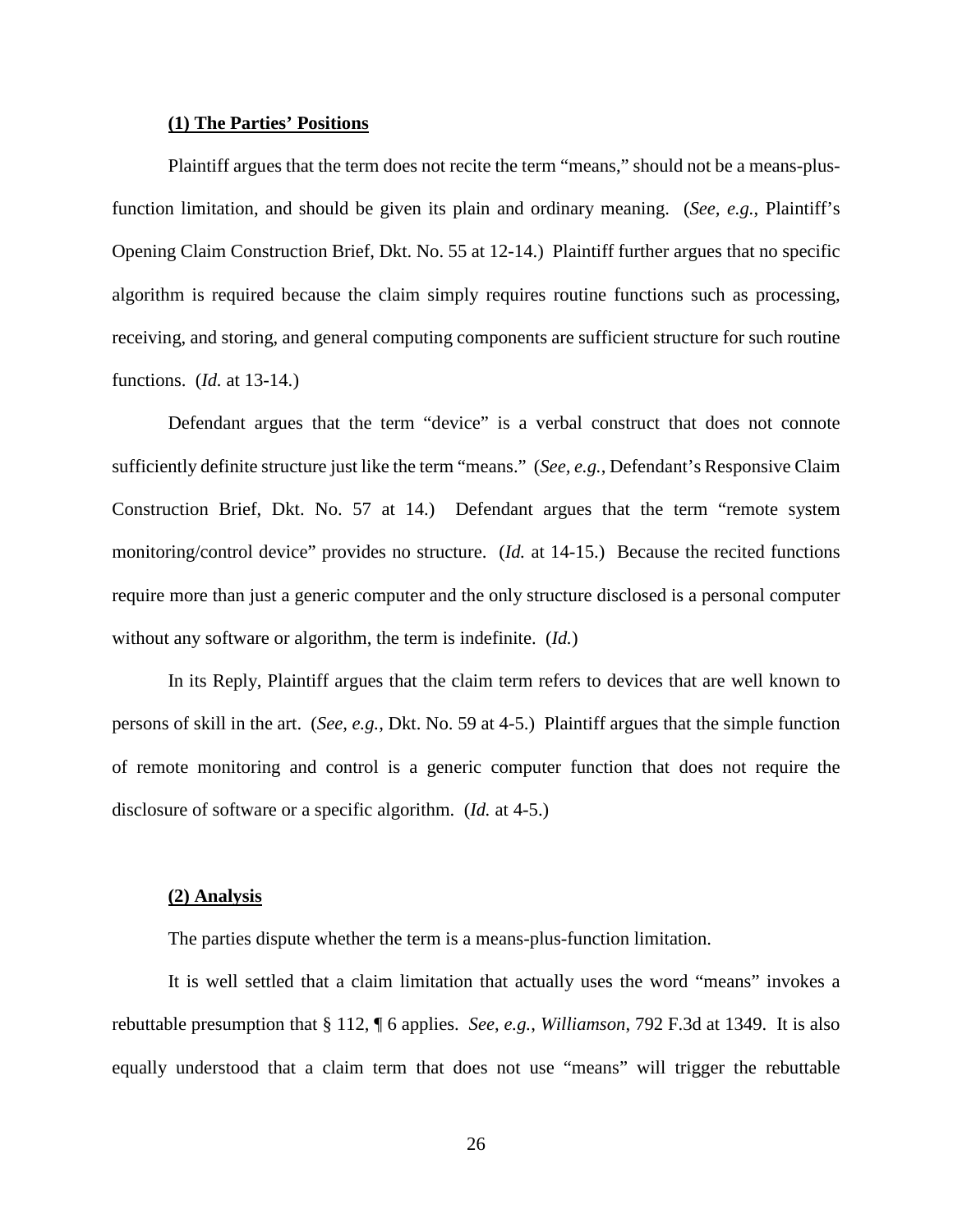#### **(1) The Parties' Positions**

Plaintiff argues that the term does not recite the term "means," should not be a means-plusfunction limitation, and should be given its plain and ordinary meaning. (*See, e.g.*, Plaintiff's Opening Claim Construction Brief, Dkt. No. 55 at 12-14.) Plaintiff further argues that no specific algorithm is required because the claim simply requires routine functions such as processing, receiving, and storing, and general computing components are sufficient structure for such routine functions. (*Id.* at 13-14.)

Defendant argues that the term "device" is a verbal construct that does not connote sufficiently definite structure just like the term "means." (*See, e.g.*, Defendant's Responsive Claim Construction Brief, Dkt. No. 57 at 14.) Defendant argues that the term "remote system monitoring/control device" provides no structure. (*Id.* at 14-15.) Because the recited functions require more than just a generic computer and the only structure disclosed is a personal computer without any software or algorithm, the term is indefinite. (*Id.*)

In its Reply, Plaintiff argues that the claim term refers to devices that are well known to persons of skill in the art. (*See, e.g.*, Dkt. No. 59 at 4-5.) Plaintiff argues that the simple function of remote monitoring and control is a generic computer function that does not require the disclosure of software or a specific algorithm. (*Id.* at 4-5.)

#### **(2) Analysis**

The parties dispute whether the term is a means-plus-function limitation.

It is well settled that a claim limitation that actually uses the word "means" invokes a rebuttable presumption that § 112, ¶ 6 applies. *See*, *e.g.*, *Williamson*, 792 F.3d at 1349. It is also equally understood that a claim term that does not use "means" will trigger the rebuttable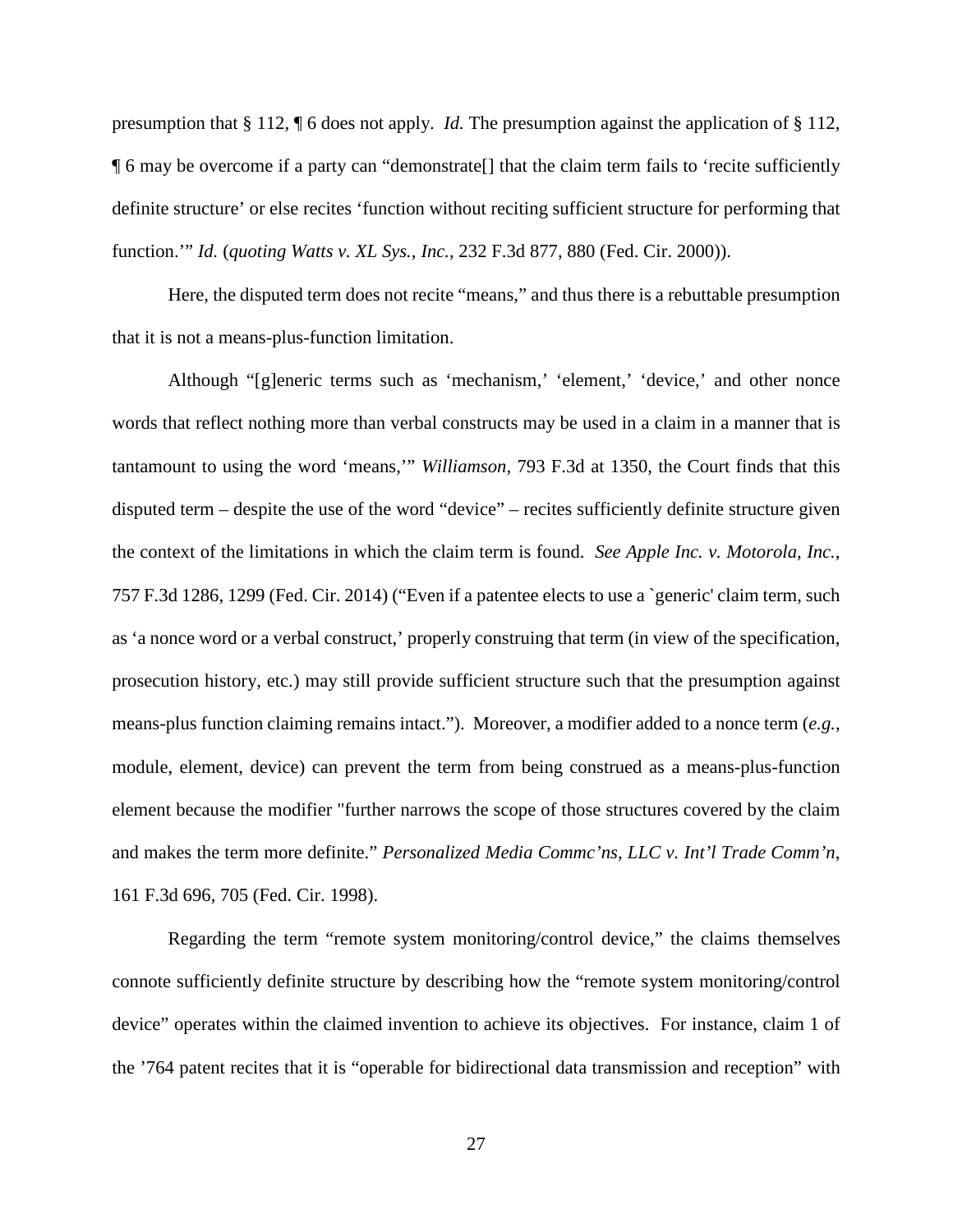presumption that § 112, ¶ 6 does not apply. *Id.* The presumption against the application of § 112, ¶ 6 may be overcome if a party can "demonstrate[] that the claim term fails to 'recite sufficiently definite structure' or else recites 'function without reciting sufficient structure for performing that function.'" *Id.* (*quoting Watts v. XL Sys., Inc.*, 232 F.3d 877, 880 (Fed. Cir. 2000)).

Here, the disputed term does not recite "means," and thus there is a rebuttable presumption that it is not a means-plus-function limitation.

Although "[g]eneric terms such as 'mechanism,' 'element,' 'device,' and other nonce words that reflect nothing more than verbal constructs may be used in a claim in a manner that is tantamount to using the word 'means,'" *Williamson,* 793 F.3d at 1350, the Court finds that this disputed term – despite the use of the word "device" – recites sufficiently definite structure given the context of the limitations in which the claim term is found. *See Apple Inc. v. Motorola, Inc.*, 757 F.3d 1286, 1299 (Fed. Cir. 2014) ("Even if a patentee elects to use a `generic' claim term, such as 'a nonce word or a verbal construct,' properly construing that term (in view of the specification, prosecution history, etc.) may still provide sufficient structure such that the presumption against means-plus function claiming remains intact."). Moreover, a modifier added to a nonce term (*e.g.*, module, element, device) can prevent the term from being construed as a means-plus-function element because the modifier "further narrows the scope of those structures covered by the claim and makes the term more definite." *Personalized Media Commc'ns, LLC v. Int'l Trade Comm'n*, 161 F.3d 696, 705 (Fed. Cir. 1998).

Regarding the term "remote system monitoring/control device," the claims themselves connote sufficiently definite structure by describing how the "remote system monitoring/control device" operates within the claimed invention to achieve its objectives. For instance, claim 1 of the '764 patent recites that it is "operable for bidirectional data transmission and reception" with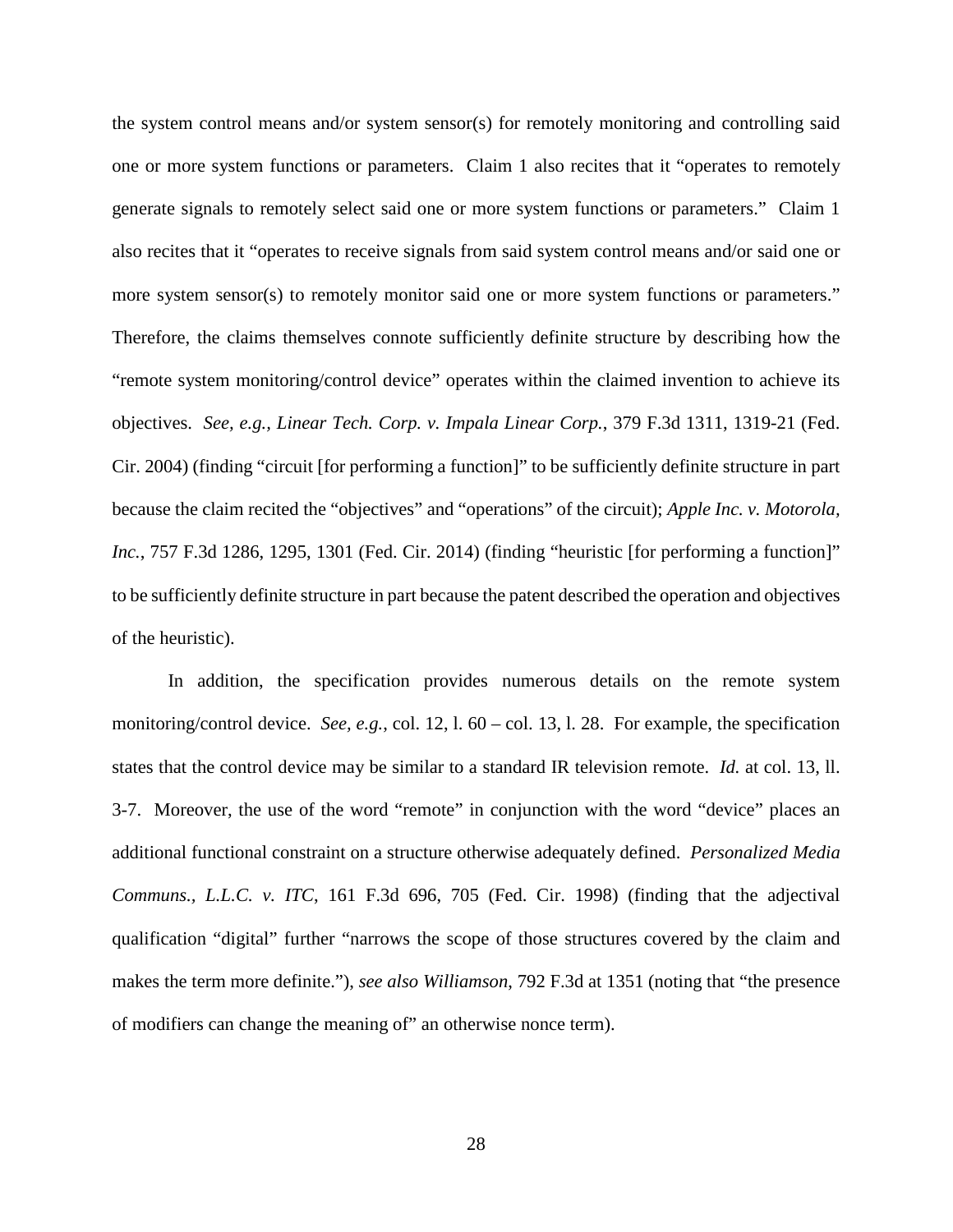the system control means and/or system sensor(s) for remotely monitoring and controlling said one or more system functions or parameters. Claim 1 also recites that it "operates to remotely generate signals to remotely select said one or more system functions or parameters." Claim 1 also recites that it "operates to receive signals from said system control means and/or said one or more system sensor(s) to remotely monitor said one or more system functions or parameters." Therefore, the claims themselves connote sufficiently definite structure by describing how the "remote system monitoring/control device" operates within the claimed invention to achieve its objectives. *See, e.g., Linear Tech. Corp. v. Impala Linear Corp.*, 379 F.3d 1311, 1319-21 (Fed. Cir. 2004) (finding "circuit [for performing a function]" to be sufficiently definite structure in part because the claim recited the "objectives" and "operations" of the circuit); *Apple Inc. v. Motorola, Inc.*, 757 F.3d 1286, 1295, 1301 (Fed. Cir. 2014) (finding "heuristic [for performing a function]" to be sufficiently definite structure in part because the patent described the operation and objectives of the heuristic).

In addition, the specification provides numerous details on the remote system monitoring/control device. *See, e.g.*, col. 12, l. 60 – col. 13, l. 28. For example, the specification states that the control device may be similar to a standard IR television remote. *Id.* at col. 13, ll. 3-7. Moreover, the use of the word "remote" in conjunction with the word "device" places an additional functional constraint on a structure otherwise adequately defined. *Personalized Media Communs., L.L.C. v. ITC*, 161 F.3d 696, 705 (Fed. Cir. 1998) (finding that the adjectival qualification "digital" further "narrows the scope of those structures covered by the claim and makes the term more definite."), *see also Williamson*, 792 F.3d at 1351 (noting that "the presence of modifiers can change the meaning of" an otherwise nonce term).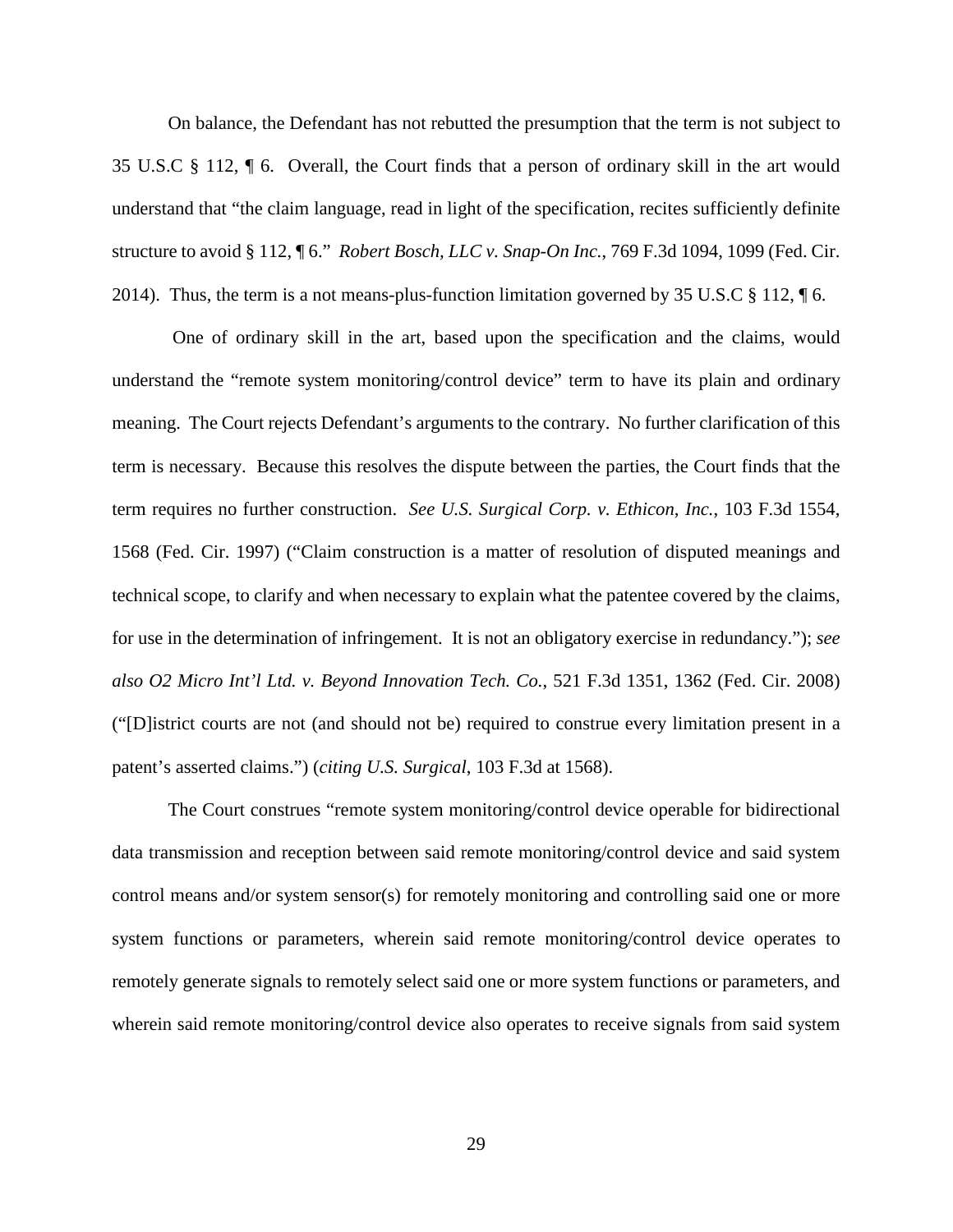On balance, the Defendant has not rebutted the presumption that the term is not subject to 35 U.S.C § 112, ¶ 6. Overall, the Court finds that a person of ordinary skill in the art would understand that "the claim language, read in light of the specification, recites sufficiently definite structure to avoid § 112, ¶ 6." *Robert Bosch, LLC v. Snap-On Inc.*, 769 F.3d 1094, 1099 (Fed. Cir. 2014). Thus, the term is a not means-plus-function limitation governed by 35 U.S.C  $\S$  112,  $\P$  6.

One of ordinary skill in the art, based upon the specification and the claims, would understand the "remote system monitoring/control device" term to have its plain and ordinary meaning. The Court rejects Defendant's arguments to the contrary. No further clarification of this term is necessary. Because this resolves the dispute between the parties, the Court finds that the term requires no further construction. *See U.S. Surgical Corp. v. Ethicon, Inc.*, 103 F.3d 1554, 1568 (Fed. Cir. 1997) ("Claim construction is a matter of resolution of disputed meanings and technical scope, to clarify and when necessary to explain what the patentee covered by the claims, for use in the determination of infringement. It is not an obligatory exercise in redundancy."); *see also O2 Micro Int'l Ltd. v. Beyond Innovation Tech. Co.*, 521 F.3d 1351, 1362 (Fed. Cir. 2008) ("[D]istrict courts are not (and should not be) required to construe every limitation present in a patent's asserted claims.") (*citing U.S. Surgical*, 103 F.3d at 1568).

The Court construes "remote system monitoring/control device operable for bidirectional data transmission and reception between said remote monitoring/control device and said system control means and/or system sensor(s) for remotely monitoring and controlling said one or more system functions or parameters, wherein said remote monitoring/control device operates to remotely generate signals to remotely select said one or more system functions or parameters, and wherein said remote monitoring/control device also operates to receive signals from said system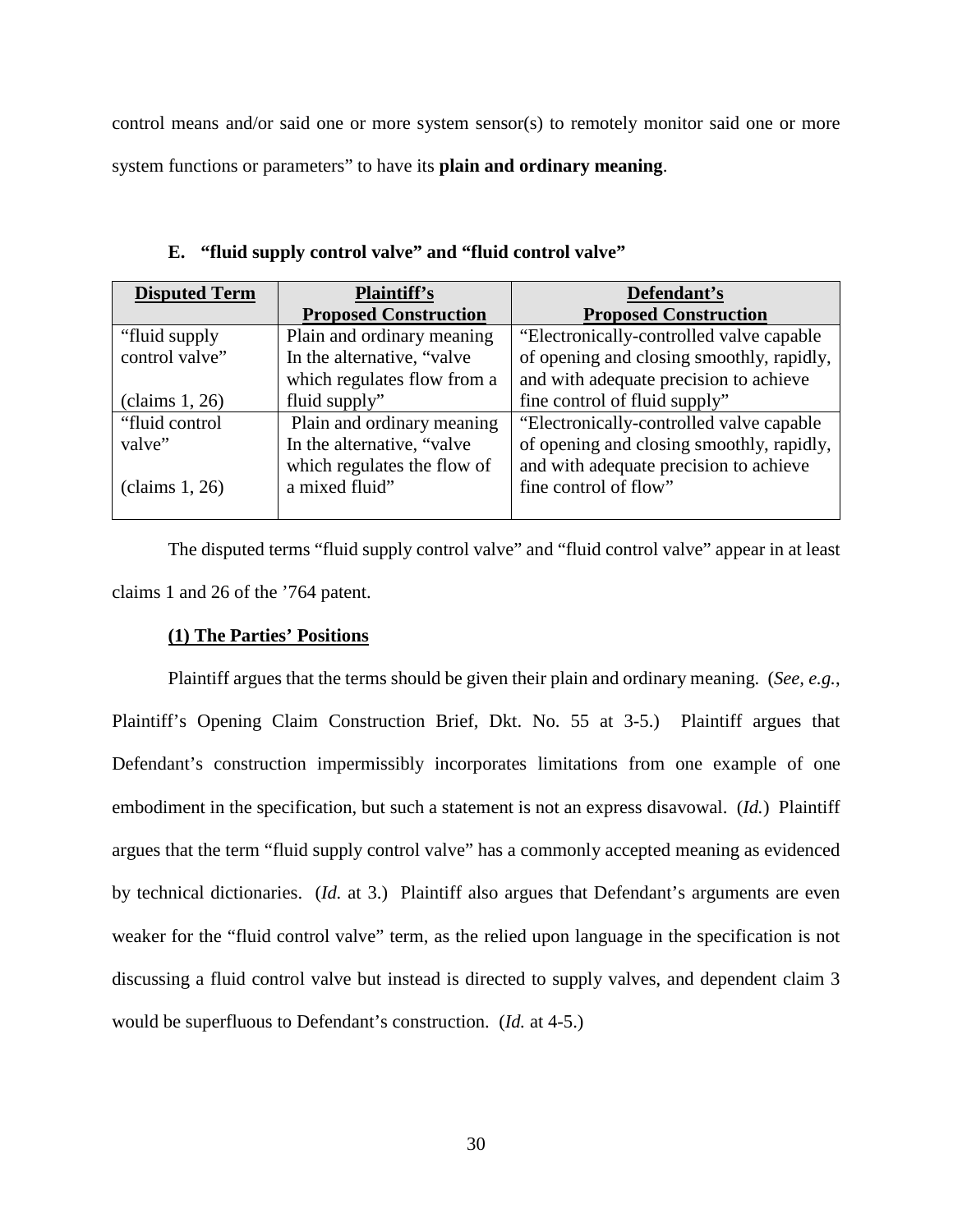control means and/or said one or more system sensor(s) to remotely monitor said one or more system functions or parameters" to have its **plain and ordinary meaning**.

| <b>Disputed Term</b> | <b>Plaintiff's</b>           | Defendant's                               |
|----------------------|------------------------------|-------------------------------------------|
|                      | <b>Proposed Construction</b> | <b>Proposed Construction</b>              |
| "fluid supply"       | Plain and ordinary meaning   | "Electronically-controlled valve capable" |
| control valve"       | In the alternative, "valve"  | of opening and closing smoothly, rapidly, |
|                      | which regulates flow from a  | and with adequate precision to achieve    |
| clains 1, 26)        | fluid supply"                | fine control of fluid supply"             |
| "fluid control"      | Plain and ordinary meaning   | "Electronically-controlled valve capable" |
| valve"               | In the alternative, "valve"  | of opening and closing smoothly, rapidly, |
|                      | which regulates the flow of  | and with adequate precision to achieve    |
| clains 1, 26         | a mixed fluid"               | fine control of flow"                     |

**E. "fluid supply control valve" and "fluid control valve"** 

The disputed terms "fluid supply control valve" and "fluid control valve" appear in at least claims 1 and 26 of the '764 patent.

## **(1) The Parties' Positions**

Plaintiff argues that the terms should be given their plain and ordinary meaning. (*See, e.g.*, Plaintiff's Opening Claim Construction Brief, Dkt. No. 55 at 3-5.) Plaintiff argues that Defendant's construction impermissibly incorporates limitations from one example of one embodiment in the specification, but such a statement is not an express disavowal. (*Id.*) Plaintiff argues that the term "fluid supply control valve" has a commonly accepted meaning as evidenced by technical dictionaries. (*Id.* at 3.) Plaintiff also argues that Defendant's arguments are even weaker for the "fluid control valve" term, as the relied upon language in the specification is not discussing a fluid control valve but instead is directed to supply valves, and dependent claim 3 would be superfluous to Defendant's construction. (*Id.* at 4-5.)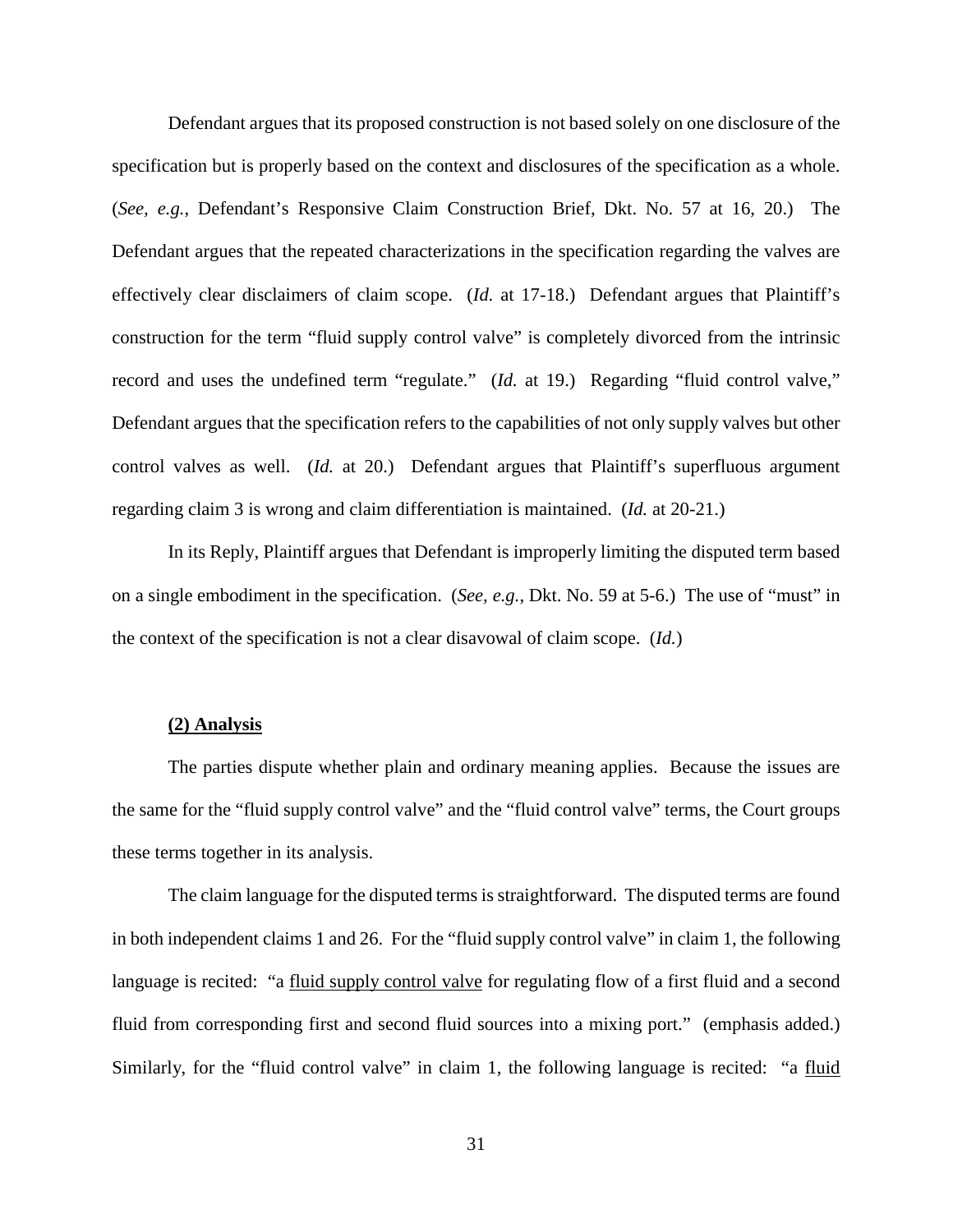Defendant argues that its proposed construction is not based solely on one disclosure of the specification but is properly based on the context and disclosures of the specification as a whole. (*See, e.g.*, Defendant's Responsive Claim Construction Brief, Dkt. No. 57 at 16, 20.) The Defendant argues that the repeated characterizations in the specification regarding the valves are effectively clear disclaimers of claim scope. (*Id.* at 17-18.) Defendant argues that Plaintiff's construction for the term "fluid supply control valve" is completely divorced from the intrinsic record and uses the undefined term "regulate." (*Id.* at 19.) Regarding "fluid control valve," Defendant argues that the specification refers to the capabilities of not only supply valves but other control valves as well. (*Id.* at 20.) Defendant argues that Plaintiff's superfluous argument regarding claim 3 is wrong and claim differentiation is maintained. (*Id.* at 20-21.)

In its Reply, Plaintiff argues that Defendant is improperly limiting the disputed term based on a single embodiment in the specification. (*See, e.g.*, Dkt. No. 59 at 5-6.) The use of "must" in the context of the specification is not a clear disavowal of claim scope. (*Id.*)

#### **(2) Analysis**

The parties dispute whether plain and ordinary meaning applies. Because the issues are the same for the "fluid supply control valve" and the "fluid control valve" terms, the Court groups these terms together in its analysis.

The claim language for the disputed terms is straightforward. The disputed terms are found in both independent claims 1 and 26. For the "fluid supply control valve" in claim 1, the following language is recited: "a fluid supply control valve for regulating flow of a first fluid and a second fluid from corresponding first and second fluid sources into a mixing port." (emphasis added.) Similarly, for the "fluid control valve" in claim 1, the following language is recited: "a fluid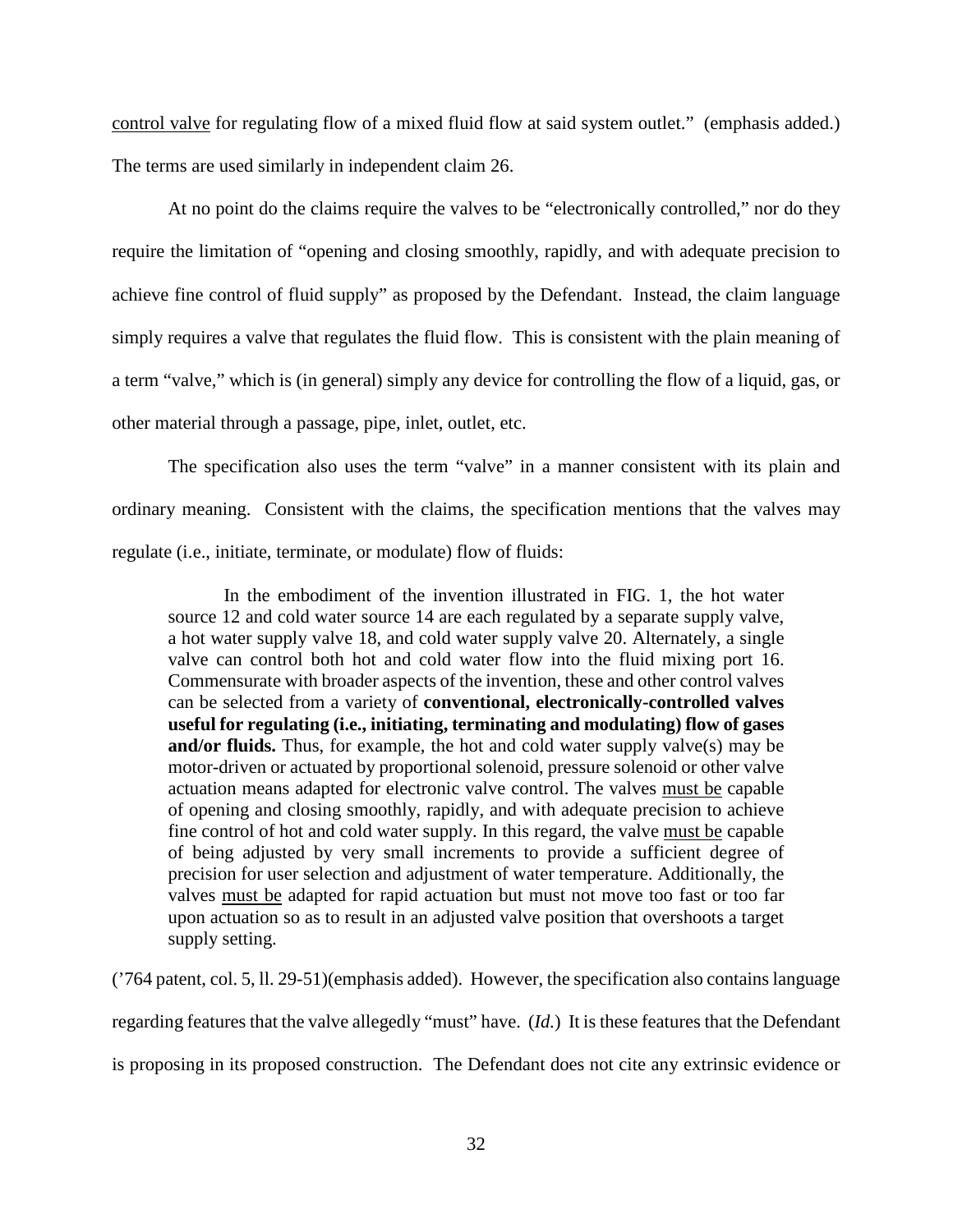control valve for regulating flow of a mixed fluid flow at said system outlet." (emphasis added.) The terms are used similarly in independent claim 26.

At no point do the claims require the valves to be "electronically controlled," nor do they require the limitation of "opening and closing smoothly, rapidly, and with adequate precision to achieve fine control of fluid supply" as proposed by the Defendant. Instead, the claim language simply requires a valve that regulates the fluid flow. This is consistent with the plain meaning of a term "valve," which is (in general) simply any device for controlling the flow of a liquid, gas, or other material through a passage, pipe, inlet, outlet, etc.

The specification also uses the term "valve" in a manner consistent with its plain and ordinary meaning. Consistent with the claims, the specification mentions that the valves may regulate (i.e., initiate, terminate, or modulate) flow of fluids:

In the embodiment of the invention illustrated in FIG. 1, the hot water source 12 and cold water source 14 are each regulated by a separate supply valve, a hot water supply valve 18, and cold water supply valve 20. Alternately, a single valve can control both hot and cold water flow into the fluid mixing port 16. Commensurate with broader aspects of the invention, these and other control valves can be selected from a variety of **conventional, electronically-controlled valves useful for regulating (i.e., initiating, terminating and modulating) flow of gases and/or fluids.** Thus, for example, the hot and cold water supply valve(s) may be motor-driven or actuated by proportional solenoid, pressure solenoid or other valve actuation means adapted for electronic valve control. The valves must be capable of opening and closing smoothly, rapidly, and with adequate precision to achieve fine control of hot and cold water supply. In this regard, the valve must be capable of being adjusted by very small increments to provide a sufficient degree of precision for user selection and adjustment of water temperature. Additionally, the valves must be adapted for rapid actuation but must not move too fast or too far upon actuation so as to result in an adjusted valve position that overshoots a target supply setting.

('764 patent, col. 5, ll. 29-51)(emphasis added). However, the specification also contains language regarding features that the valve allegedly "must" have. (*Id.*) It is these features that the Defendant is proposing in its proposed construction. The Defendant does not cite any extrinsic evidence or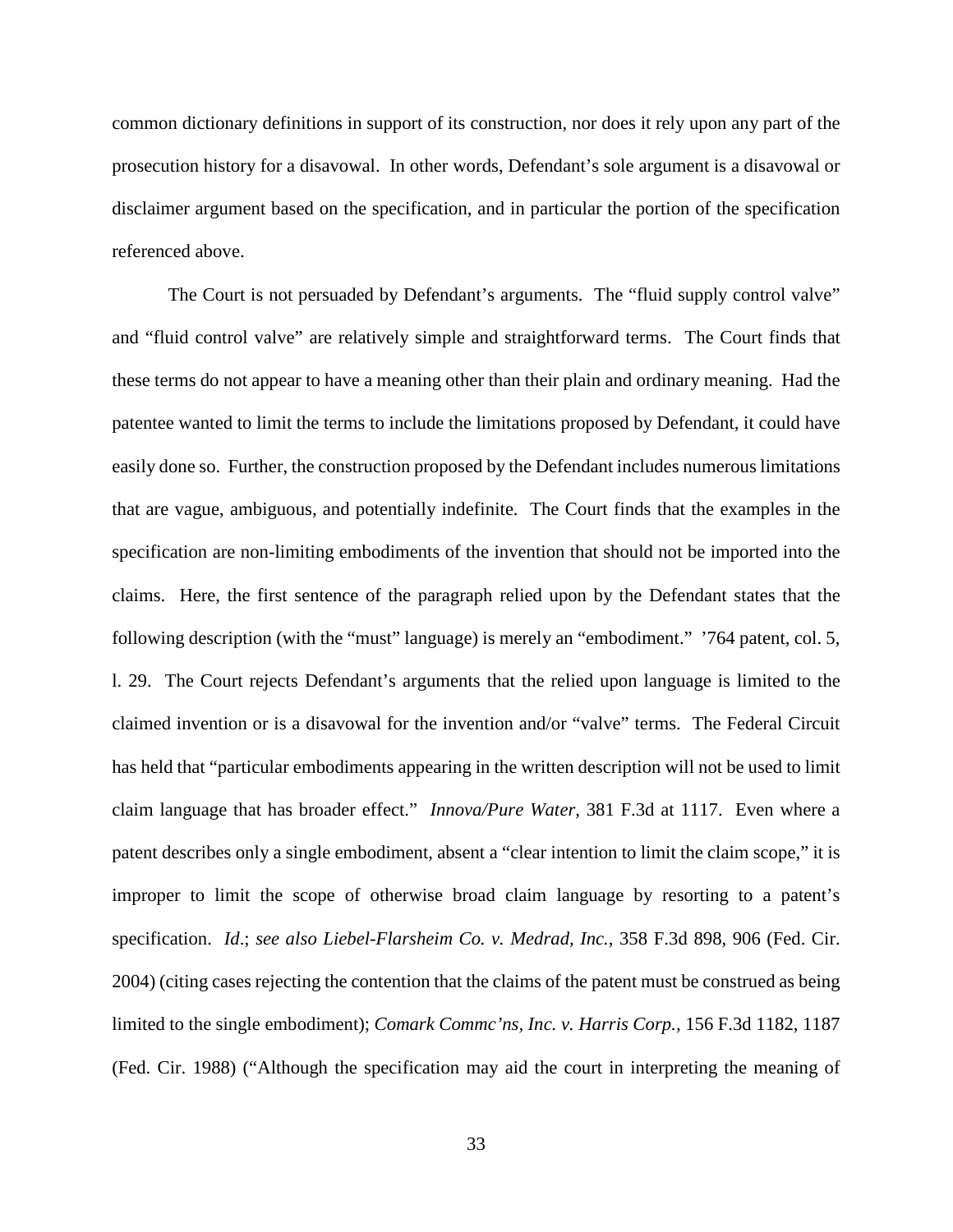common dictionary definitions in support of its construction, nor does it rely upon any part of the prosecution history for a disavowal. In other words, Defendant's sole argument is a disavowal or disclaimer argument based on the specification, and in particular the portion of the specification referenced above.

The Court is not persuaded by Defendant's arguments. The "fluid supply control valve" and "fluid control valve" are relatively simple and straightforward terms. The Court finds that these terms do not appear to have a meaning other than their plain and ordinary meaning. Had the patentee wanted to limit the terms to include the limitations proposed by Defendant, it could have easily done so. Further, the construction proposed by the Defendant includes numerous limitations that are vague, ambiguous, and potentially indefinite. The Court finds that the examples in the specification are non-limiting embodiments of the invention that should not be imported into the claims. Here, the first sentence of the paragraph relied upon by the Defendant states that the following description (with the "must" language) is merely an "embodiment." '764 patent, col. 5, l. 29. The Court rejects Defendant's arguments that the relied upon language is limited to the claimed invention or is a disavowal for the invention and/or "valve" terms. The Federal Circuit has held that "particular embodiments appearing in the written description will not be used to limit claim language that has broader effect." *Innova/Pure Water,* 381 F.3d at 1117. Even where a patent describes only a single embodiment, absent a "clear intention to limit the claim scope," it is improper to limit the scope of otherwise broad claim language by resorting to a patent's specification. *Id*.; *see also Liebel-Flarsheim Co. v. Medrad, Inc.*, 358 F.3d 898, 906 (Fed. Cir. 2004) (citing cases rejecting the contention that the claims of the patent must be construed as being limited to the single embodiment); *Comark Commc'ns, Inc. v. Harris Corp.,* 156 F.3d 1182, 1187 (Fed. Cir. 1988) ("Although the specification may aid the court in interpreting the meaning of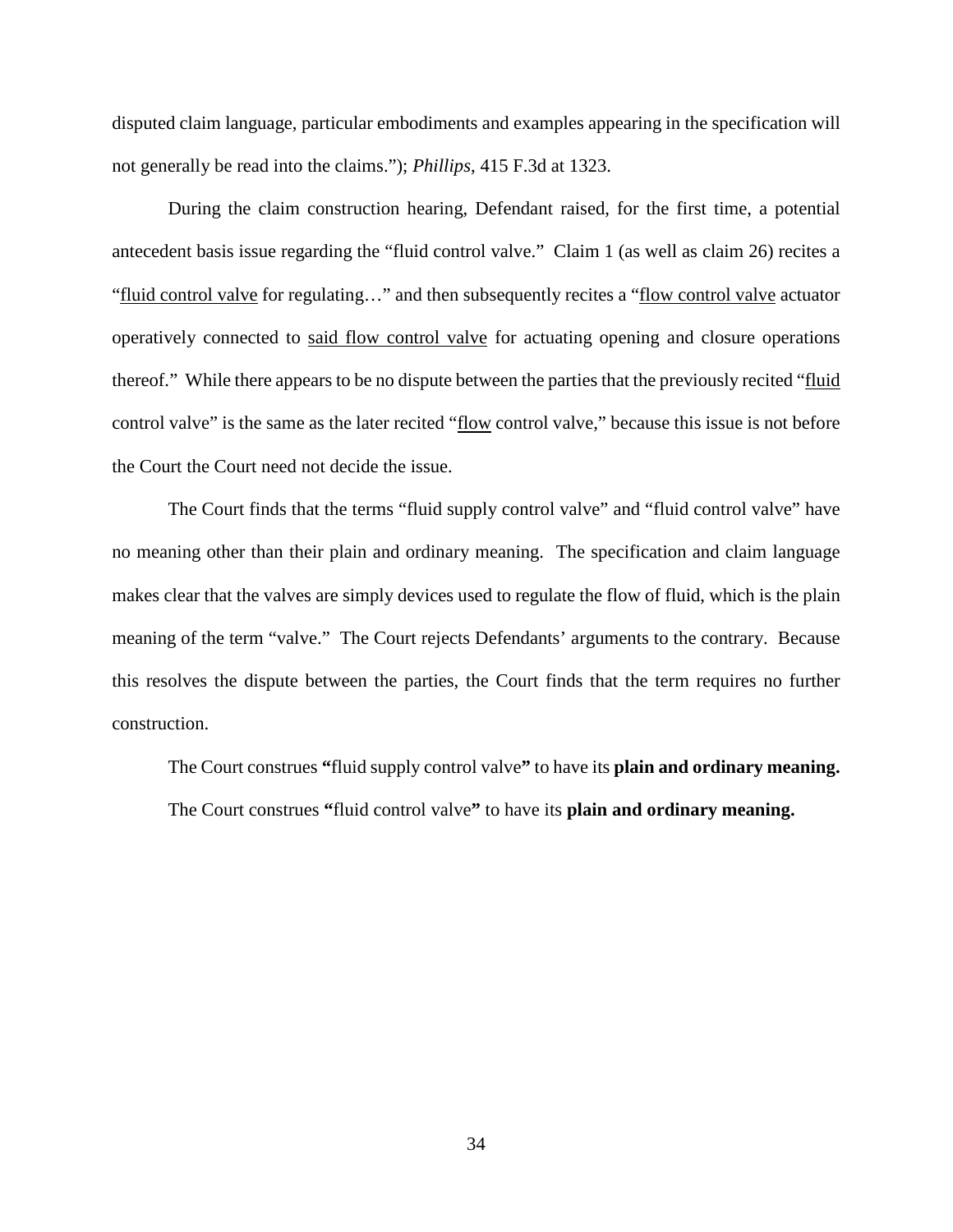disputed claim language, particular embodiments and examples appearing in the specification will not generally be read into the claims."); *Phillips*, 415 F.3d at 1323.

During the claim construction hearing, Defendant raised, for the first time, a potential antecedent basis issue regarding the "fluid control valve." Claim 1 (as well as claim 26) recites a "fluid control valve for regulating…" and then subsequently recites a "flow control valve actuator operatively connected to said flow control valve for actuating opening and closure operations thereof." While there appears to be no dispute between the parties that the previously recited "fluid control valve" is the same as the later recited "flow control valve," because this issue is not before the Court the Court need not decide the issue.

The Court finds that the terms "fluid supply control valve" and "fluid control valve" have no meaning other than their plain and ordinary meaning. The specification and claim language makes clear that the valves are simply devices used to regulate the flow of fluid, which is the plain meaning of the term "valve." The Court rejects Defendants' arguments to the contrary. Because this resolves the dispute between the parties, the Court finds that the term requires no further construction.

The Court construes **"**fluid supply control valve**"** to have its **plain and ordinary meaning.**  The Court construes **"**fluid control valve**"** to have its **plain and ordinary meaning.**

34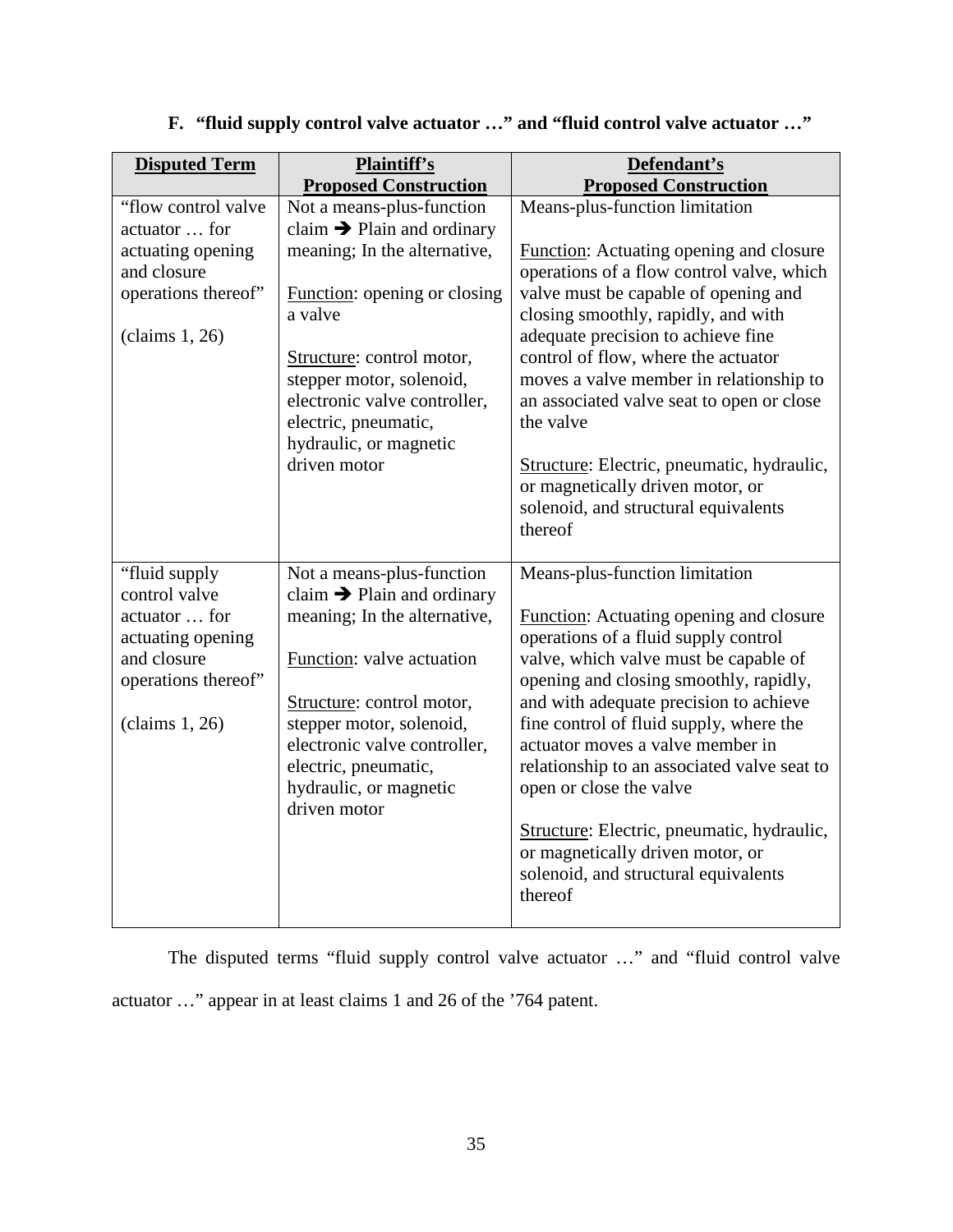| <b>Disputed Term</b>               | <b>Plaintiff's</b><br><b>Proposed Construction</b> | Defendant's<br><b>Proposed Construction</b>                                                 |
|------------------------------------|----------------------------------------------------|---------------------------------------------------------------------------------------------|
| "flow control valve"               | Not a means-plus-function                          | Means-plus-function limitation                                                              |
| actuator  for                      | claim $\rightarrow$ Plain and ordinary             |                                                                                             |
| actuating opening<br>and closure   | meaning; In the alternative,                       | <b>Function:</b> Actuating opening and closure<br>operations of a flow control valve, which |
| operations thereof"                | Function: opening or closing<br>a valve            | valve must be capable of opening and<br>closing smoothly, rapidly, and with                 |
| clains 1, 26)                      |                                                    | adequate precision to achieve fine                                                          |
|                                    | Structure: control motor,                          | control of flow, where the actuator                                                         |
|                                    | stepper motor, solenoid,                           | moves a valve member in relationship to                                                     |
|                                    | electronic valve controller,                       | an associated valve seat to open or close<br>the valve                                      |
|                                    | electric, pneumatic,<br>hydraulic, or magnetic     |                                                                                             |
|                                    | driven motor                                       | Structure: Electric, pneumatic, hydraulic,                                                  |
|                                    |                                                    | or magnetically driven motor, or                                                            |
|                                    |                                                    | solenoid, and structural equivalents                                                        |
|                                    |                                                    | thereof                                                                                     |
|                                    |                                                    |                                                                                             |
| "fluid supply"                     | Not a means-plus-function                          | Means-plus-function limitation                                                              |
| control valve                      | claim $\rightarrow$ Plain and ordinary             |                                                                                             |
| actuator  for<br>actuating opening | meaning; In the alternative,                       | Function: Actuating opening and closure<br>operations of a fluid supply control             |
| and closure                        | Function: valve actuation                          | valve, which valve must be capable of                                                       |
| operations thereof"                |                                                    | opening and closing smoothly, rapidly,                                                      |
|                                    | Structure: control motor,                          | and with adequate precision to achieve                                                      |
| clains 1, 26)                      | stepper motor, solenoid,                           | fine control of fluid supply, where the                                                     |
|                                    | electronic valve controller,                       | actuator moves a valve member in                                                            |
|                                    | electric, pneumatic,                               | relationship to an associated valve seat to                                                 |
|                                    | hydraulic, or magnetic                             | open or close the valve                                                                     |
|                                    | driven motor                                       |                                                                                             |
|                                    |                                                    | Structure: Electric, pneumatic, hydraulic,<br>or magnetically driven motor, or              |
|                                    |                                                    | solenoid, and structural equivalents                                                        |
|                                    |                                                    | thereof                                                                                     |
|                                    |                                                    |                                                                                             |

# **F. "fluid supply control valve actuator …" and "fluid control valve actuator …"**

The disputed terms "fluid supply control valve actuator …" and "fluid control valve actuator …" appear in at least claims 1 and 26 of the '764 patent.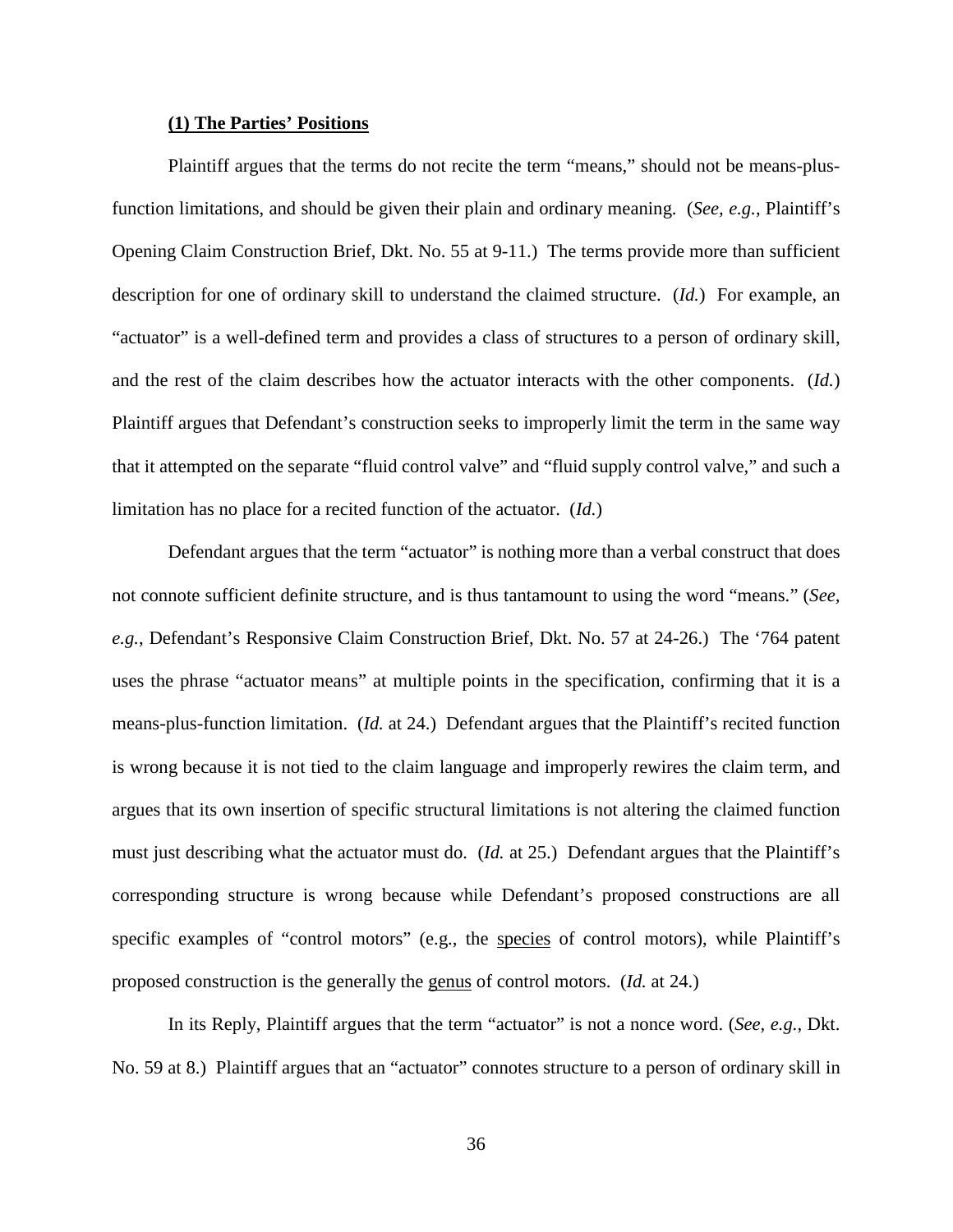## **(1) The Parties' Positions**

Plaintiff argues that the terms do not recite the term "means," should not be means-plusfunction limitations, and should be given their plain and ordinary meaning. (*See, e.g.*, Plaintiff's Opening Claim Construction Brief, Dkt. No. 55 at 9-11.) The terms provide more than sufficient description for one of ordinary skill to understand the claimed structure. (*Id.*) For example, an "actuator" is a well-defined term and provides a class of structures to a person of ordinary skill, and the rest of the claim describes how the actuator interacts with the other components. (*Id.*) Plaintiff argues that Defendant's construction seeks to improperly limit the term in the same way that it attempted on the separate "fluid control valve" and "fluid supply control valve," and such a limitation has no place for a recited function of the actuator. (*Id.*)

Defendant argues that the term "actuator" is nothing more than a verbal construct that does not connote sufficient definite structure, and is thus tantamount to using the word "means." (*See, e.g.*, Defendant's Responsive Claim Construction Brief, Dkt. No. 57 at 24-26.) The '764 patent uses the phrase "actuator means" at multiple points in the specification, confirming that it is a means-plus-function limitation. (*Id.* at 24.) Defendant argues that the Plaintiff's recited function is wrong because it is not tied to the claim language and improperly rewires the claim term, and argues that its own insertion of specific structural limitations is not altering the claimed function must just describing what the actuator must do. (*Id.* at 25.) Defendant argues that the Plaintiff's corresponding structure is wrong because while Defendant's proposed constructions are all specific examples of "control motors" (e.g., the species of control motors), while Plaintiff's proposed construction is the generally the genus of control motors. (*Id.* at 24.)

In its Reply, Plaintiff argues that the term "actuator" is not a nonce word. (*See, e.g.*, Dkt. No. 59 at 8.) Plaintiff argues that an "actuator" connotes structure to a person of ordinary skill in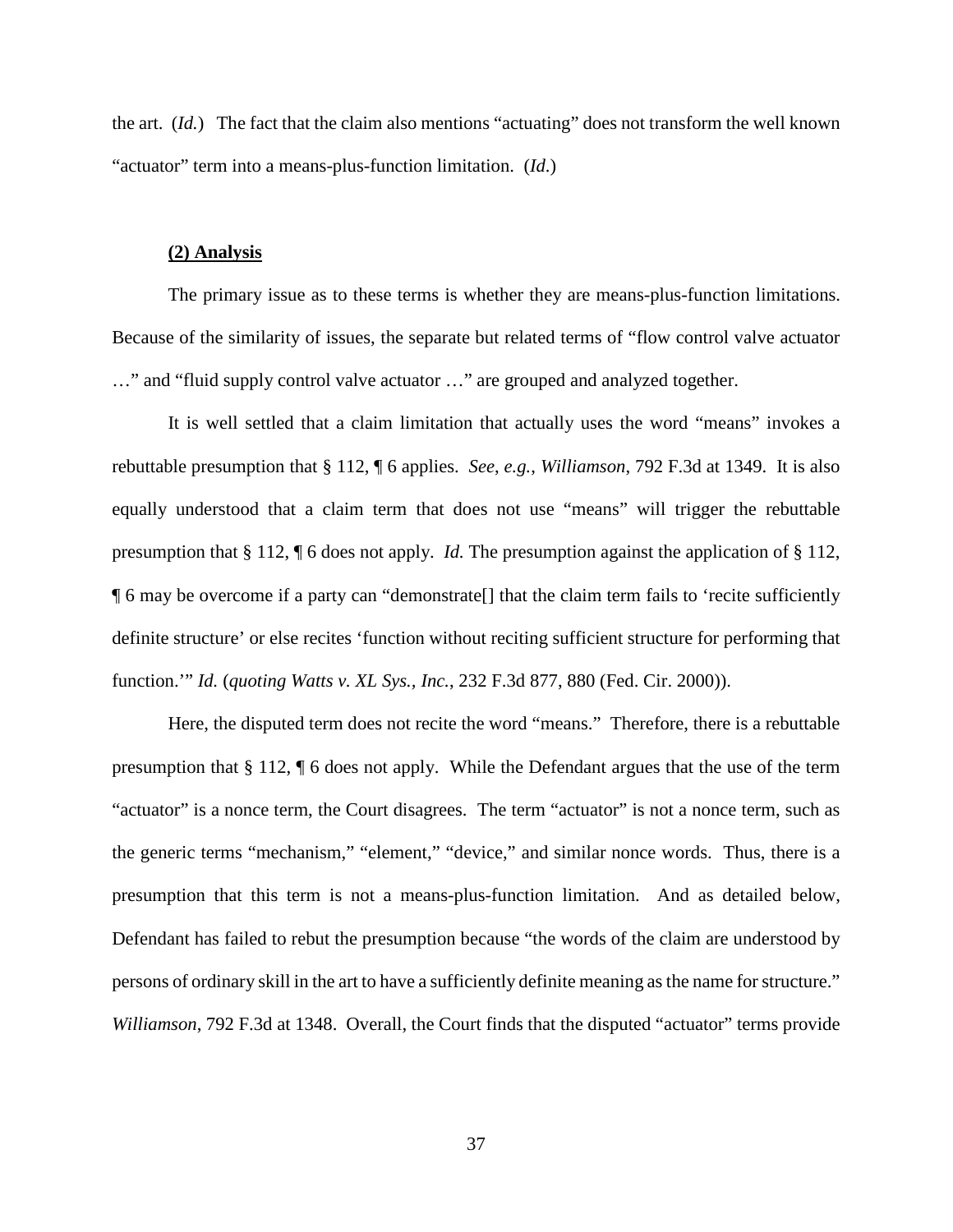the art. (*Id.*) The fact that the claim also mentions "actuating" does not transform the well known "actuator" term into a means-plus-function limitation. (*Id*.)

#### **(2) Analysis**

The primary issue as to these terms is whether they are means-plus-function limitations. Because of the similarity of issues, the separate but related terms of "flow control valve actuator …" and "fluid supply control valve actuator …" are grouped and analyzed together.

It is well settled that a claim limitation that actually uses the word "means" invokes a rebuttable presumption that § 112, ¶ 6 applies. *See*, *e.g.*, *Williamson*, 792 F.3d at 1349. It is also equally understood that a claim term that does not use "means" will trigger the rebuttable presumption that § 112, ¶ 6 does not apply. *Id.* The presumption against the application of § 112, ¶ 6 may be overcome if a party can "demonstrate[] that the claim term fails to 'recite sufficiently definite structure' or else recites 'function without reciting sufficient structure for performing that function.'" *Id.* (*quoting Watts v. XL Sys., Inc.*, 232 F.3d 877, 880 (Fed. Cir. 2000)).

Here, the disputed term does not recite the word "means." Therefore, there is a rebuttable presumption that § 112, ¶ 6 does not apply. While the Defendant argues that the use of the term "actuator" is a nonce term, the Court disagrees. The term "actuator" is not a nonce term, such as the generic terms "mechanism," "element," "device," and similar nonce words. Thus, there is a presumption that this term is not a means-plus-function limitation. And as detailed below, Defendant has failed to rebut the presumption because "the words of the claim are understood by persons of ordinary skill in the art to have a sufficiently definite meaning as the name for structure." *Williamson*, 792 F.3d at 1348. Overall, the Court finds that the disputed "actuator" terms provide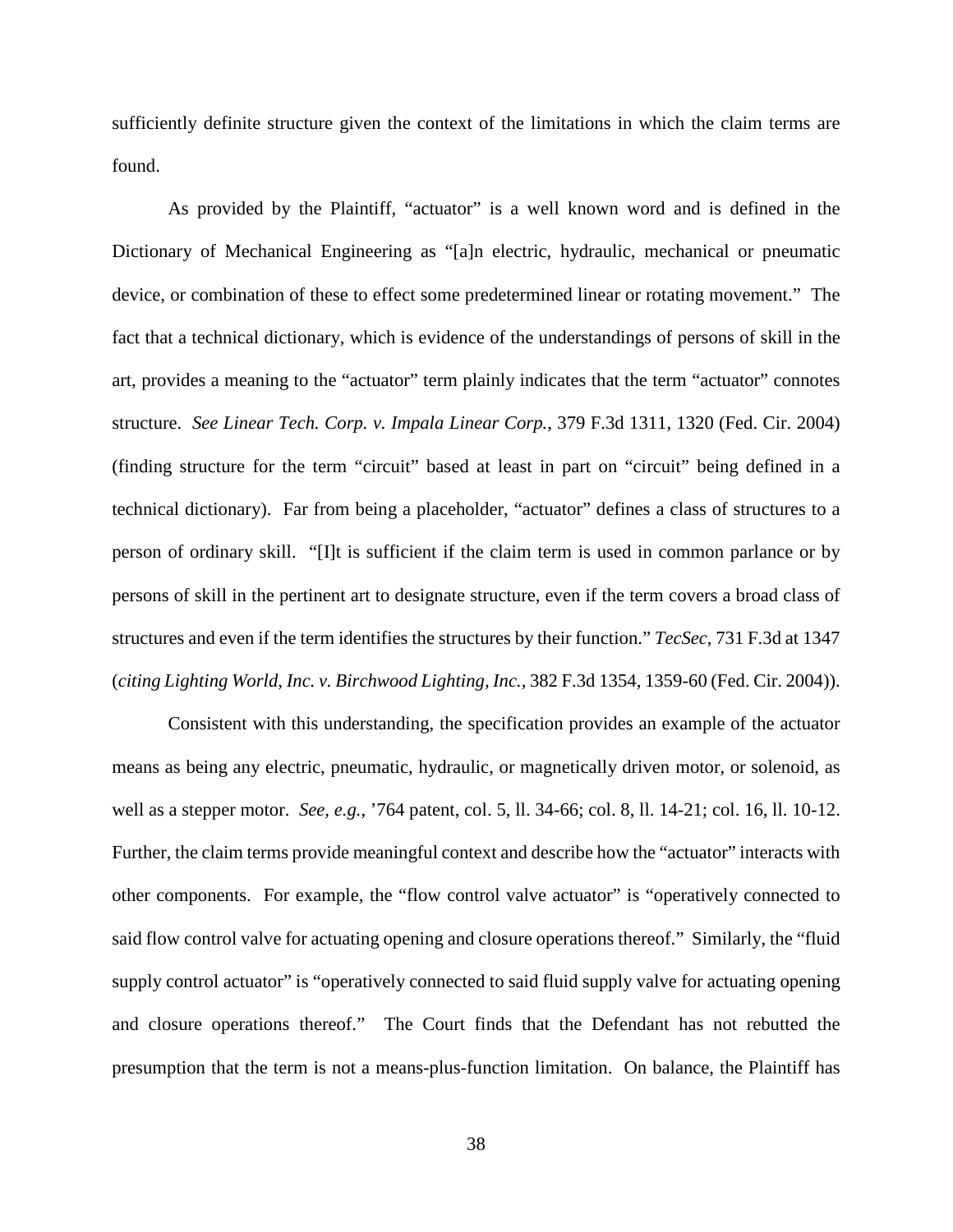sufficiently definite structure given the context of the limitations in which the claim terms are found.

As provided by the Plaintiff, "actuator" is a well known word and is defined in the Dictionary of Mechanical Engineering as "[a]n electric, hydraulic, mechanical or pneumatic device, or combination of these to effect some predetermined linear or rotating movement." The fact that a technical dictionary, which is evidence of the understandings of persons of skill in the art, provides a meaning to the "actuator" term plainly indicates that the term "actuator" connotes structure. *See Linear Tech. Corp. v. Impala Linear Corp.*, 379 F.3d 1311, 1320 (Fed. Cir. 2004) (finding structure for the term "circuit" based at least in part on "circuit" being defined in a technical dictionary). Far from being a placeholder, "actuator" defines a class of structures to a person of ordinary skill. "[I]t is sufficient if the claim term is used in common parlance or by persons of skill in the pertinent art to designate structure, even if the term covers a broad class of structures and even if the term identifies the structures by their function." *TecSec*, 731 F.3d at 1347 (*citing Lighting World, Inc. v. Birchwood Lighting, Inc.*, 382 F.3d 1354, 1359-60 (Fed. Cir. 2004)).

Consistent with this understanding, the specification provides an example of the actuator means as being any electric, pneumatic, hydraulic, or magnetically driven motor, or solenoid, as well as a stepper motor. *See, e.g.*, '764 patent, col. 5, ll. 34-66; col. 8, ll. 14-21; col. 16, ll. 10-12. Further, the claim terms provide meaningful context and describe how the "actuator" interacts with other components. For example, the "flow control valve actuator" is "operatively connected to said flow control valve for actuating opening and closure operations thereof." Similarly, the "fluid supply control actuator" is "operatively connected to said fluid supply valve for actuating opening and closure operations thereof." The Court finds that the Defendant has not rebutted the presumption that the term is not a means-plus-function limitation. On balance, the Plaintiff has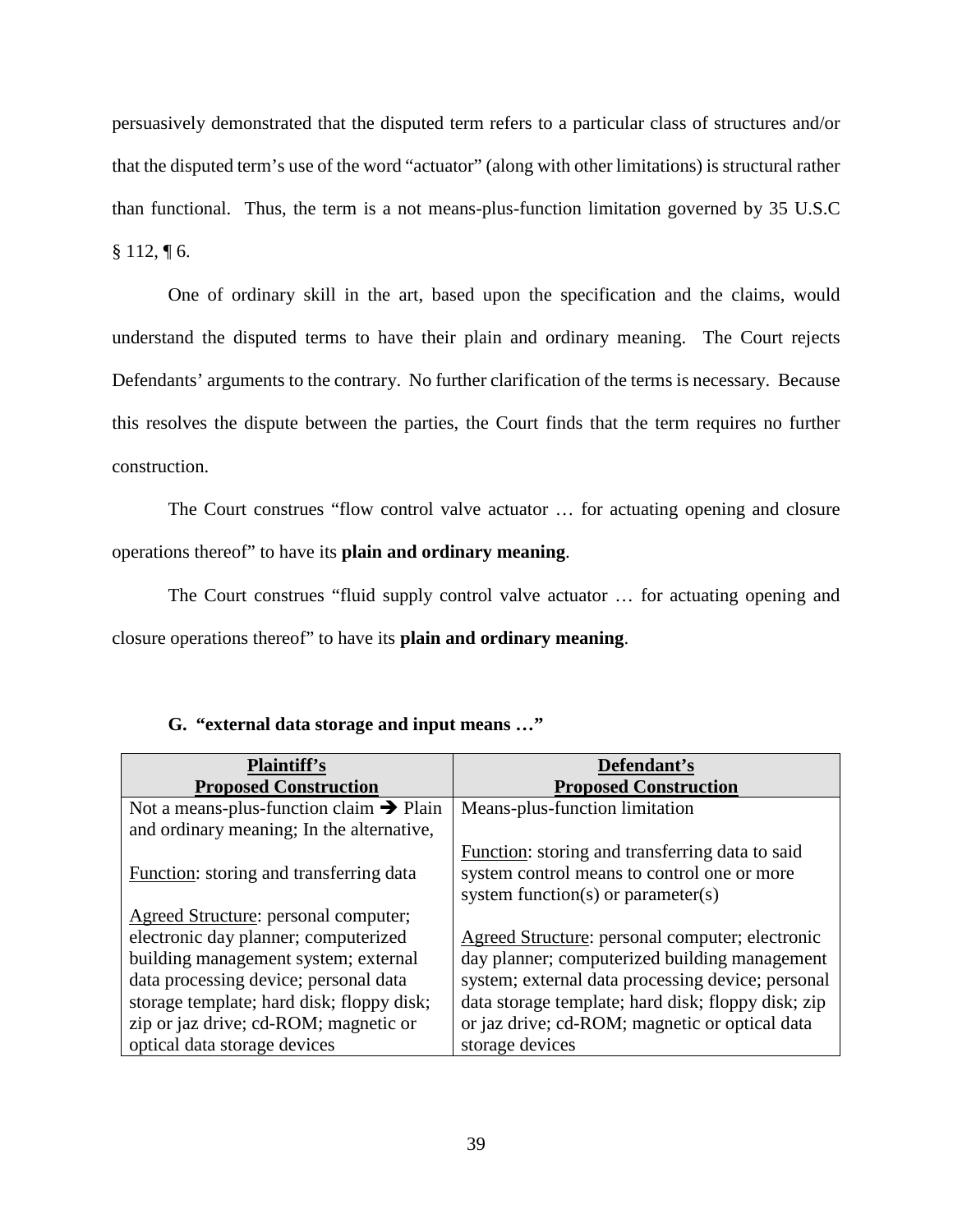persuasively demonstrated that the disputed term refers to a particular class of structures and/or that the disputed term's use of the word "actuator" (along with other limitations) is structural rather than functional. Thus, the term is a not means-plus-function limitation governed by 35 U.S.C  $§ 112, \P 6.$ 

One of ordinary skill in the art, based upon the specification and the claims, would understand the disputed terms to have their plain and ordinary meaning. The Court rejects Defendants' arguments to the contrary. No further clarification of the terms is necessary. Because this resolves the dispute between the parties, the Court finds that the term requires no further construction.

The Court construes "flow control valve actuator … for actuating opening and closure operations thereof" to have its **plain and ordinary meaning**.

The Court construes "fluid supply control valve actuator … for actuating opening and closure operations thereof" to have its **plain and ordinary meaning**.

## **G. "external data storage and input means …"**

| <b>Plaintiff's</b>                                  | Defendant's                                        |
|-----------------------------------------------------|----------------------------------------------------|
| <b>Proposed Construction</b>                        | <b>Proposed Construction</b>                       |
| Not a means-plus-function claim $\rightarrow$ Plain | Means-plus-function limitation                     |
| and ordinary meaning; In the alternative,           |                                                    |
|                                                     | Function: storing and transferring data to said    |
| Function: storing and transferring data             | system control means to control one or more        |
|                                                     | system function(s) or parameter(s)                 |
| Agreed Structure: personal computer;                |                                                    |
| electronic day planner; computerized                | Agreed Structure: personal computer; electronic    |
| building management system; external                | day planner; computerized building management      |
| data processing device; personal data               | system; external data processing device; personal  |
| storage template; hard disk; floppy disk;           | data storage template; hard disk; floppy disk; zip |
| zip or jaz drive; cd-ROM; magnetic or               | or jaz drive; cd-ROM; magnetic or optical data     |
| optical data storage devices                        | storage devices                                    |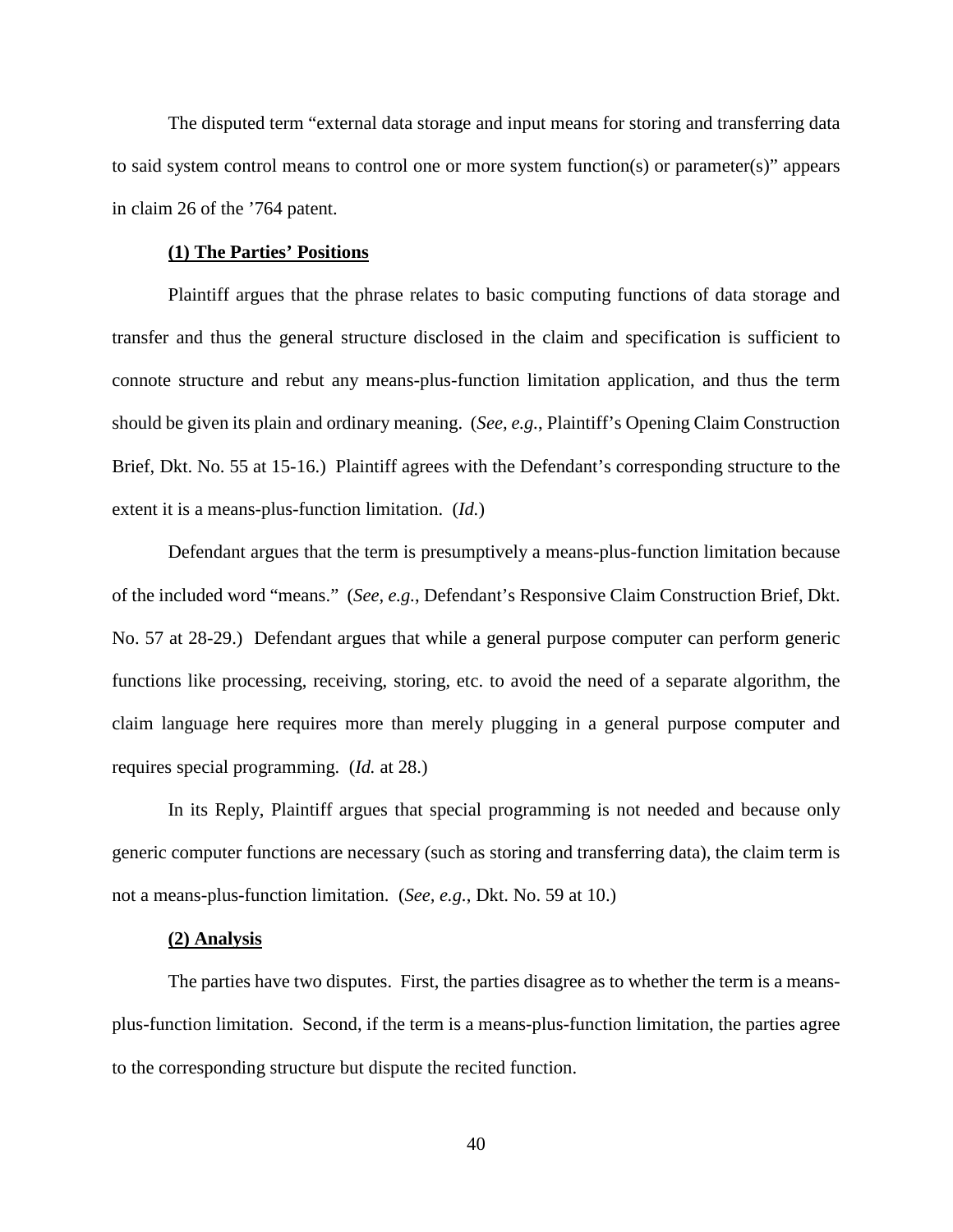The disputed term "external data storage and input means for storing and transferring data to said system control means to control one or more system function(s) or parameter(s)" appears in claim 26 of the '764 patent.

#### **(1) The Parties' Positions**

Plaintiff argues that the phrase relates to basic computing functions of data storage and transfer and thus the general structure disclosed in the claim and specification is sufficient to connote structure and rebut any means-plus-function limitation application, and thus the term should be given its plain and ordinary meaning. (*See, e.g.*, Plaintiff's Opening Claim Construction Brief, Dkt. No. 55 at 15-16.) Plaintiff agrees with the Defendant's corresponding structure to the extent it is a means-plus-function limitation. (*Id.*)

Defendant argues that the term is presumptively a means-plus-function limitation because of the included word "means." (*See, e.g.*, Defendant's Responsive Claim Construction Brief, Dkt. No. 57 at 28-29.) Defendant argues that while a general purpose computer can perform generic functions like processing, receiving, storing, etc. to avoid the need of a separate algorithm, the claim language here requires more than merely plugging in a general purpose computer and requires special programming. (*Id.* at 28.)

In its Reply, Plaintiff argues that special programming is not needed and because only generic computer functions are necessary (such as storing and transferring data), the claim term is not a means-plus-function limitation. (*See, e.g.*, Dkt. No. 59 at 10.)

#### **(2) Analysis**

The parties have two disputes. First, the parties disagree as to whether the term is a meansplus-function limitation. Second, if the term is a means-plus-function limitation, the parties agree to the corresponding structure but dispute the recited function.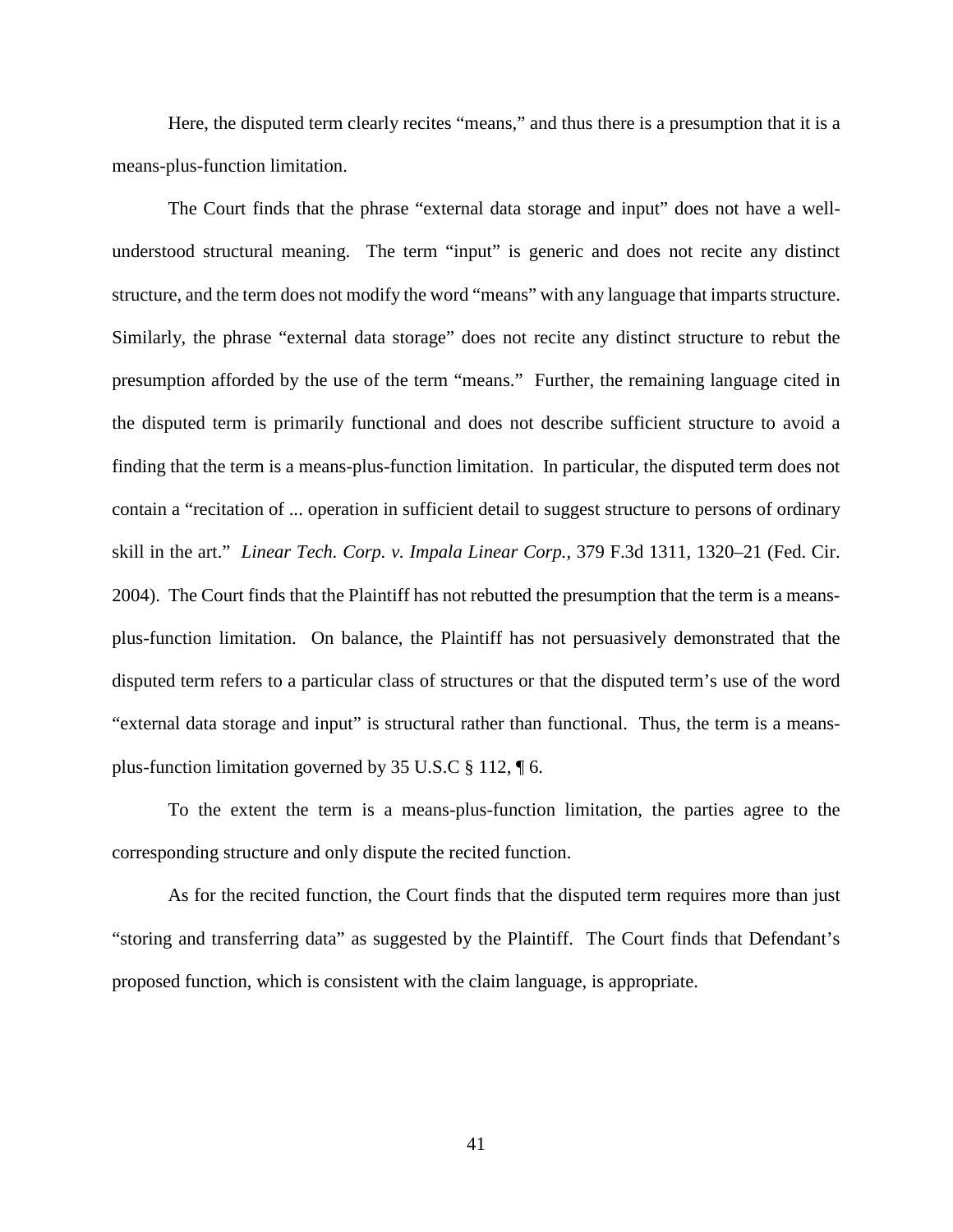Here, the disputed term clearly recites "means," and thus there is a presumption that it is a means-plus-function limitation.

The Court finds that the phrase "external data storage and input" does not have a wellunderstood structural meaning. The term "input" is generic and does not recite any distinct structure, and the term does not modify the word "means" with any language that imparts structure. Similarly, the phrase "external data storage" does not recite any distinct structure to rebut the presumption afforded by the use of the term "means." Further, the remaining language cited in the disputed term is primarily functional and does not describe sufficient structure to avoid a finding that the term is a means-plus-function limitation. In particular, the disputed term does not contain a "recitation of ... operation in sufficient detail to suggest structure to persons of ordinary skill in the art." *Linear Tech. Corp. v. Impala Linear Corp.*, 379 F.3d 1311, 1320–21 (Fed. Cir. 2004). The Court finds that the Plaintiff has not rebutted the presumption that the term is a meansplus-function limitation. On balance, the Plaintiff has not persuasively demonstrated that the disputed term refers to a particular class of structures or that the disputed term's use of the word "external data storage and input" is structural rather than functional. Thus, the term is a meansplus-function limitation governed by 35 U.S.C § 112, ¶ 6.

To the extent the term is a means-plus-function limitation, the parties agree to the corresponding structure and only dispute the recited function.

As for the recited function, the Court finds that the disputed term requires more than just "storing and transferring data" as suggested by the Plaintiff. The Court finds that Defendant's proposed function, which is consistent with the claim language, is appropriate.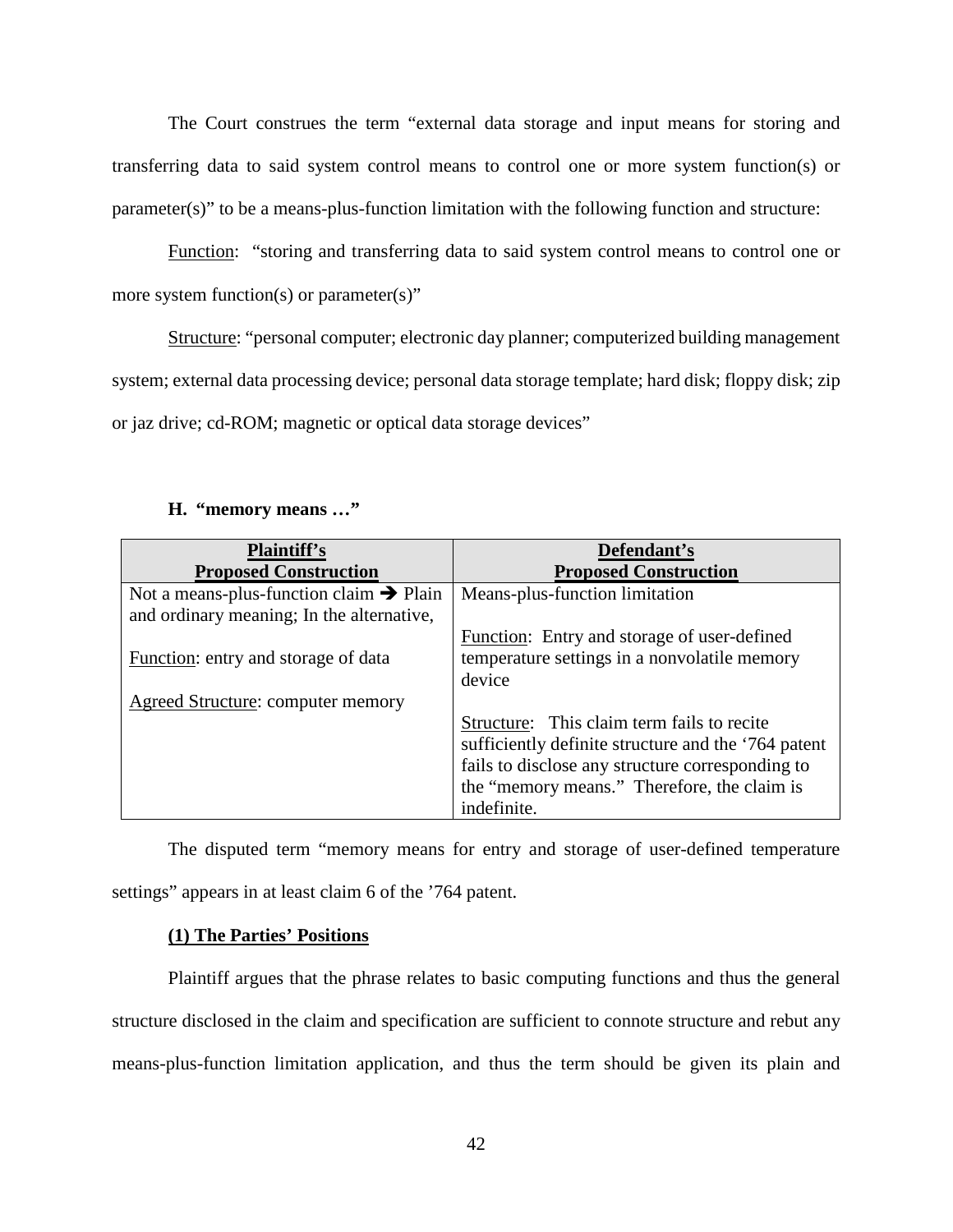The Court construes the term "external data storage and input means for storing and transferring data to said system control means to control one or more system function(s) or parameter(s)" to be a means-plus-function limitation with the following function and structure:

Function: "storing and transferring data to said system control means to control one or more system function(s) or parameter(s)"

Structure: "personal computer; electronic day planner; computerized building management system; external data processing device; personal data storage template; hard disk; floppy disk; zip or jaz drive; cd-ROM; magnetic or optical data storage devices"

| <b>Plaintiff's</b>                                  | Defendant's                                         |
|-----------------------------------------------------|-----------------------------------------------------|
| <b>Proposed Construction</b>                        | <b>Proposed Construction</b>                        |
| Not a means-plus-function claim $\rightarrow$ Plain | Means-plus-function limitation                      |
| and ordinary meaning; In the alternative,           |                                                     |
|                                                     | Function: Entry and storage of user-defined         |
| Function: entry and storage of data                 | temperature settings in a nonvolatile memory        |
|                                                     | device                                              |
| Agreed Structure: computer memory                   |                                                     |
|                                                     | Structure: This claim term fails to recite          |
|                                                     | sufficiently definite structure and the '764 patent |
|                                                     | fails to disclose any structure corresponding to    |
|                                                     | the "memory means." Therefore, the claim is         |
|                                                     | indefinite.                                         |

### **H. "memory means …"**

The disputed term "memory means for entry and storage of user-defined temperature settings" appears in at least claim 6 of the '764 patent.

## **(1) The Parties' Positions**

Plaintiff argues that the phrase relates to basic computing functions and thus the general structure disclosed in the claim and specification are sufficient to connote structure and rebut any means-plus-function limitation application, and thus the term should be given its plain and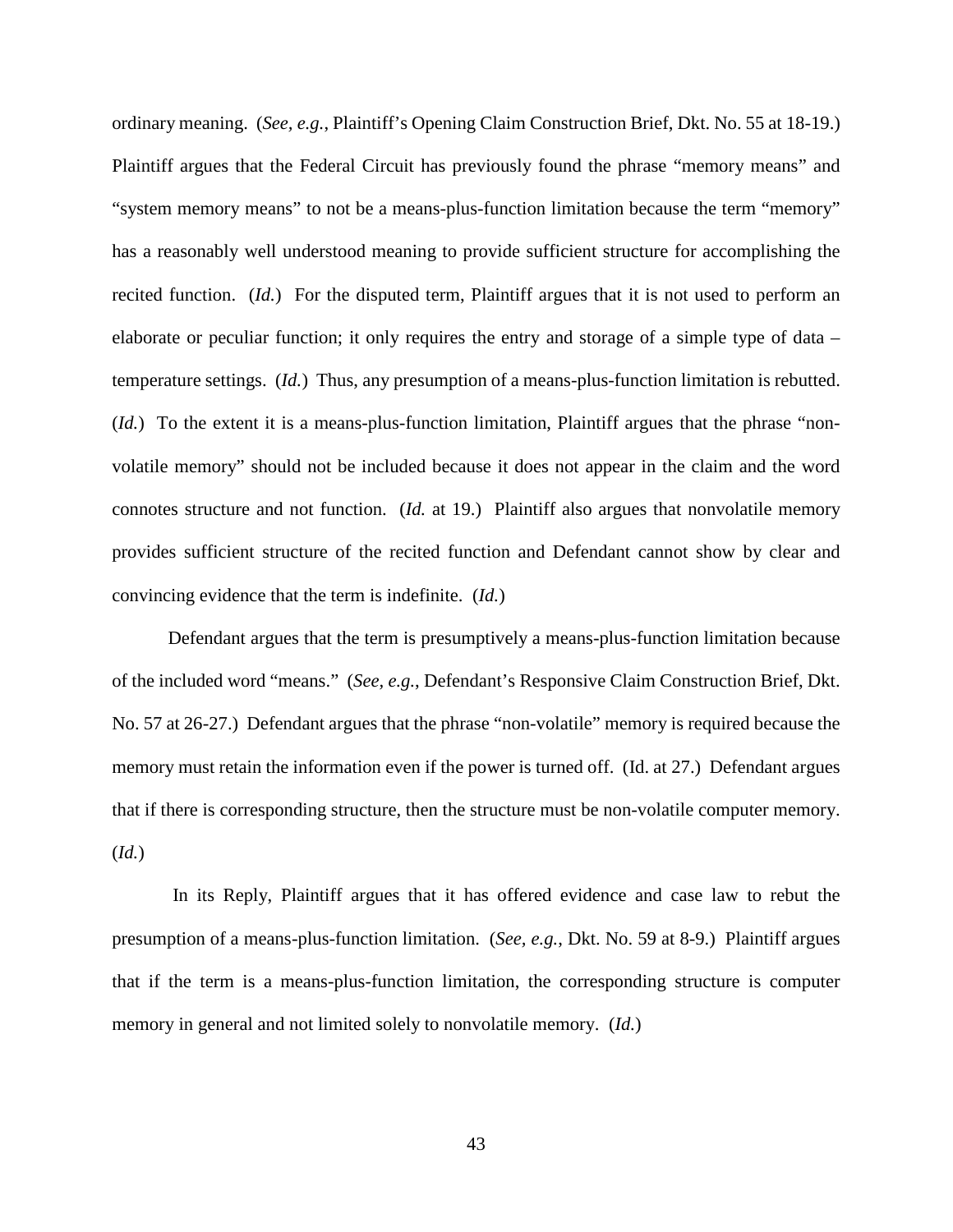ordinary meaning. (*See, e.g.*, Plaintiff's Opening Claim Construction Brief, Dkt. No. 55 at 18-19.) Plaintiff argues that the Federal Circuit has previously found the phrase "memory means" and "system memory means" to not be a means-plus-function limitation because the term "memory" has a reasonably well understood meaning to provide sufficient structure for accomplishing the recited function. (*Id.*) For the disputed term, Plaintiff argues that it is not used to perform an elaborate or peculiar function; it only requires the entry and storage of a simple type of data – temperature settings. (*Id.*) Thus, any presumption of a means-plus-function limitation is rebutted. (*Id.*) To the extent it is a means-plus-function limitation, Plaintiff argues that the phrase "nonvolatile memory" should not be included because it does not appear in the claim and the word connotes structure and not function. (*Id.* at 19.) Plaintiff also argues that nonvolatile memory provides sufficient structure of the recited function and Defendant cannot show by clear and convincing evidence that the term is indefinite. (*Id.*)

Defendant argues that the term is presumptively a means-plus-function limitation because of the included word "means." (*See, e.g.*, Defendant's Responsive Claim Construction Brief, Dkt. No. 57 at 26-27.) Defendant argues that the phrase "non-volatile" memory is required because the memory must retain the information even if the power is turned off. (Id. at 27.) Defendant argues that if there is corresponding structure, then the structure must be non-volatile computer memory. (*Id.*)

In its Reply, Plaintiff argues that it has offered evidence and case law to rebut the presumption of a means-plus-function limitation. (*See, e.g.*, Dkt. No. 59 at 8-9.) Plaintiff argues that if the term is a means-plus-function limitation, the corresponding structure is computer memory in general and not limited solely to nonvolatile memory. (*Id.*)

43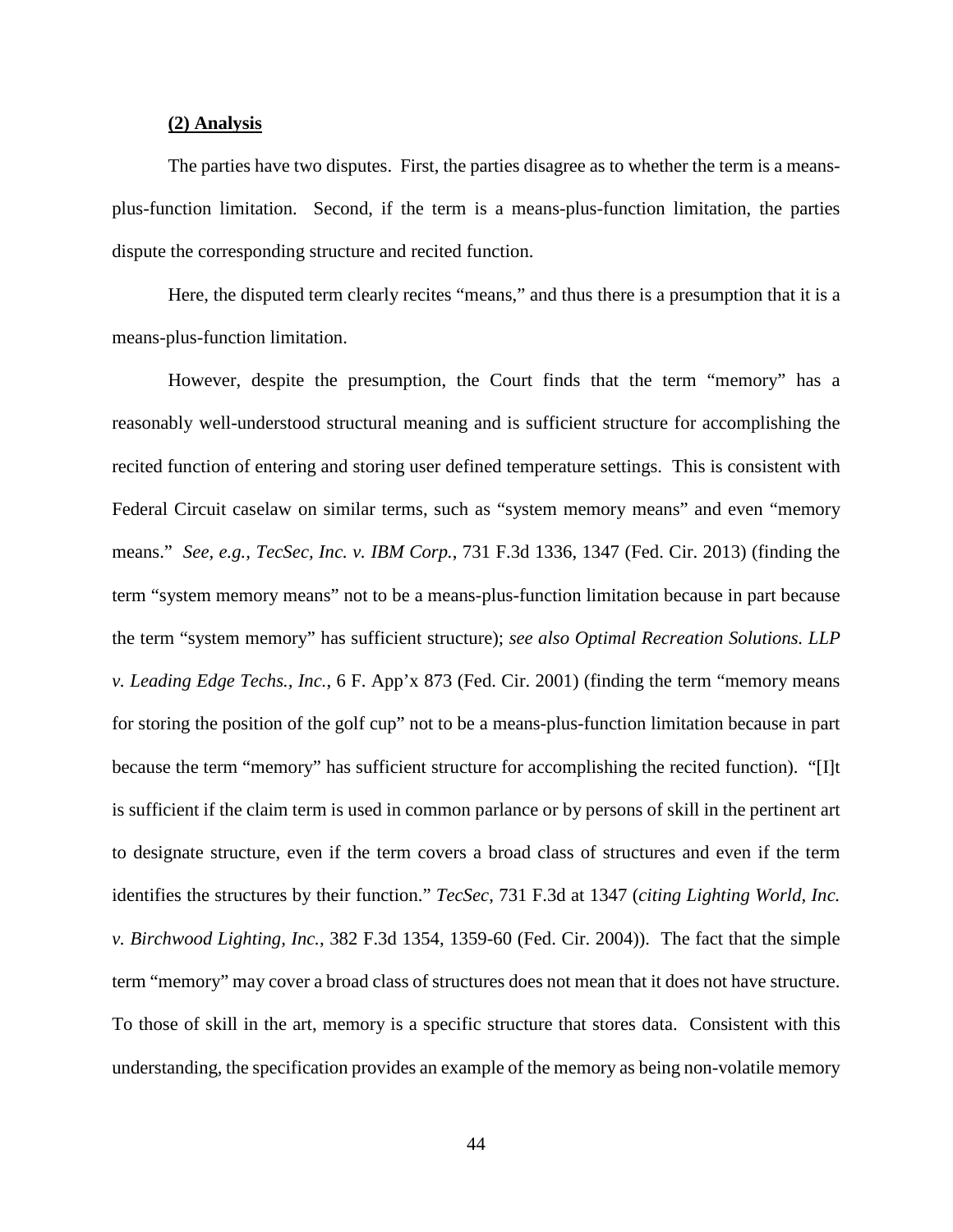#### **(2) Analysis**

The parties have two disputes. First, the parties disagree as to whether the term is a meansplus-function limitation. Second, if the term is a means-plus-function limitation, the parties dispute the corresponding structure and recited function.

Here, the disputed term clearly recites "means," and thus there is a presumption that it is a means-plus-function limitation.

However, despite the presumption, the Court finds that the term "memory" has a reasonably well-understood structural meaning and is sufficient structure for accomplishing the recited function of entering and storing user defined temperature settings. This is consistent with Federal Circuit caselaw on similar terms, such as "system memory means" and even "memory means." *See, e.g., TecSec, Inc. v. IBM Corp.*, 731 F.3d 1336, 1347 (Fed. Cir. 2013) (finding the term "system memory means" not to be a means-plus-function limitation because in part because the term "system memory" has sufficient structure); *see also Optimal Recreation Solutions. LLP v. Leading Edge Techs., Inc.*, 6 F. App'x 873 (Fed. Cir. 2001) (finding the term "memory means for storing the position of the golf cup" not to be a means-plus-function limitation because in part because the term "memory" has sufficient structure for accomplishing the recited function). "[I]t is sufficient if the claim term is used in common parlance or by persons of skill in the pertinent art to designate structure, even if the term covers a broad class of structures and even if the term identifies the structures by their function." *TecSec*, 731 F.3d at 1347 (*citing Lighting World, Inc. v. Birchwood Lighting, Inc.*, 382 F.3d 1354, 1359-60 (Fed. Cir. 2004)). The fact that the simple term "memory" may cover a broad class of structures does not mean that it does not have structure. To those of skill in the art, memory is a specific structure that stores data. Consistent with this understanding, the specification provides an example of the memory as being non-volatile memory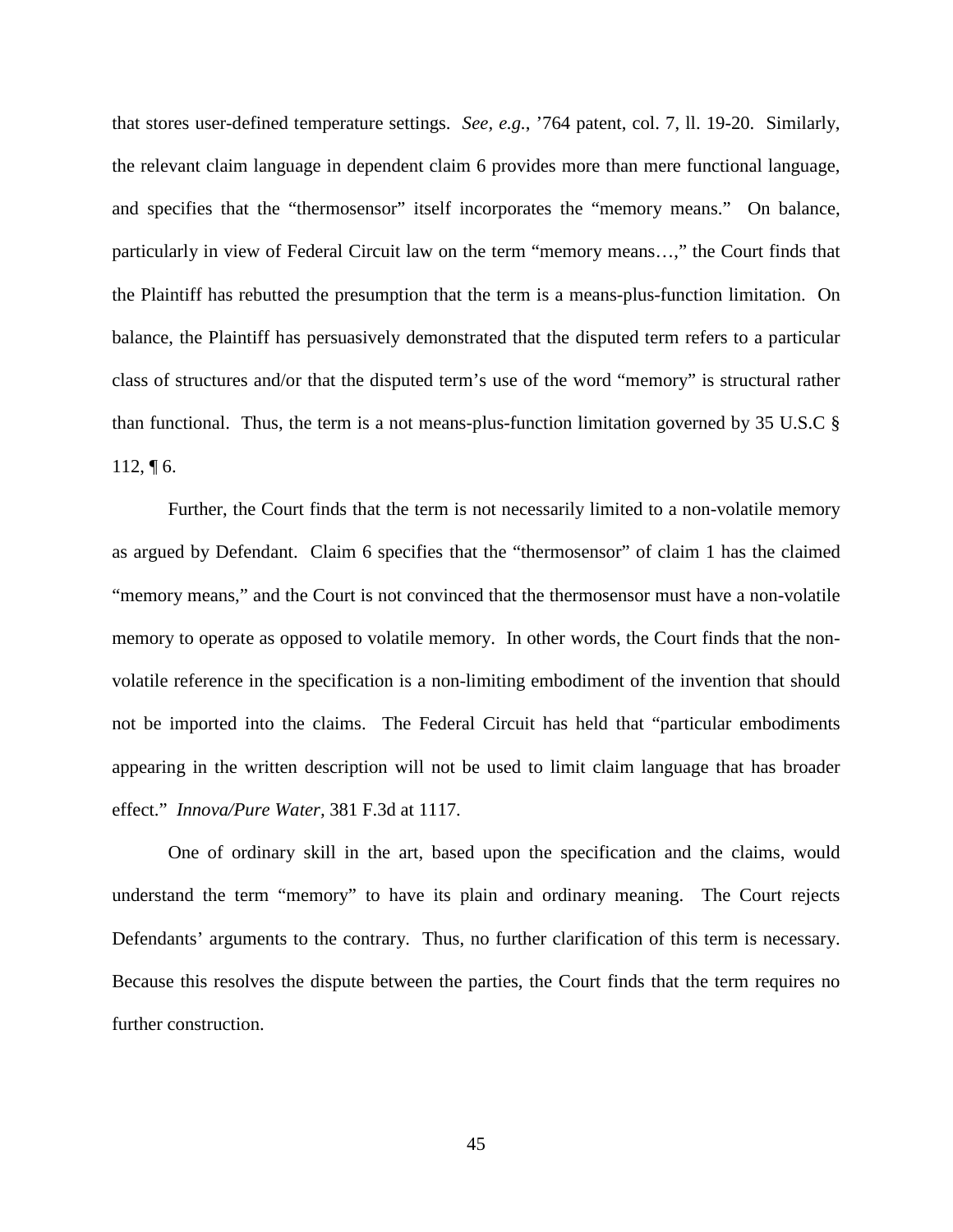that stores user-defined temperature settings. *See, e.g.*, '764 patent, col. 7, ll. 19-20. Similarly, the relevant claim language in dependent claim 6 provides more than mere functional language, and specifies that the "thermosensor" itself incorporates the "memory means." On balance, particularly in view of Federal Circuit law on the term "memory means…," the Court finds that the Plaintiff has rebutted the presumption that the term is a means-plus-function limitation. On balance, the Plaintiff has persuasively demonstrated that the disputed term refers to a particular class of structures and/or that the disputed term's use of the word "memory" is structural rather than functional. Thus, the term is a not means-plus-function limitation governed by 35 U.S.C §  $112, \P 6$ .

Further, the Court finds that the term is not necessarily limited to a non-volatile memory as argued by Defendant. Claim 6 specifies that the "thermosensor" of claim 1 has the claimed "memory means," and the Court is not convinced that the thermosensor must have a non-volatile memory to operate as opposed to volatile memory. In other words, the Court finds that the nonvolatile reference in the specification is a non-limiting embodiment of the invention that should not be imported into the claims. The Federal Circuit has held that "particular embodiments appearing in the written description will not be used to limit claim language that has broader effect." *Innova/Pure Water,* 381 F.3d at 1117.

One of ordinary skill in the art, based upon the specification and the claims, would understand the term "memory" to have its plain and ordinary meaning. The Court rejects Defendants' arguments to the contrary. Thus, no further clarification of this term is necessary. Because this resolves the dispute between the parties, the Court finds that the term requires no further construction.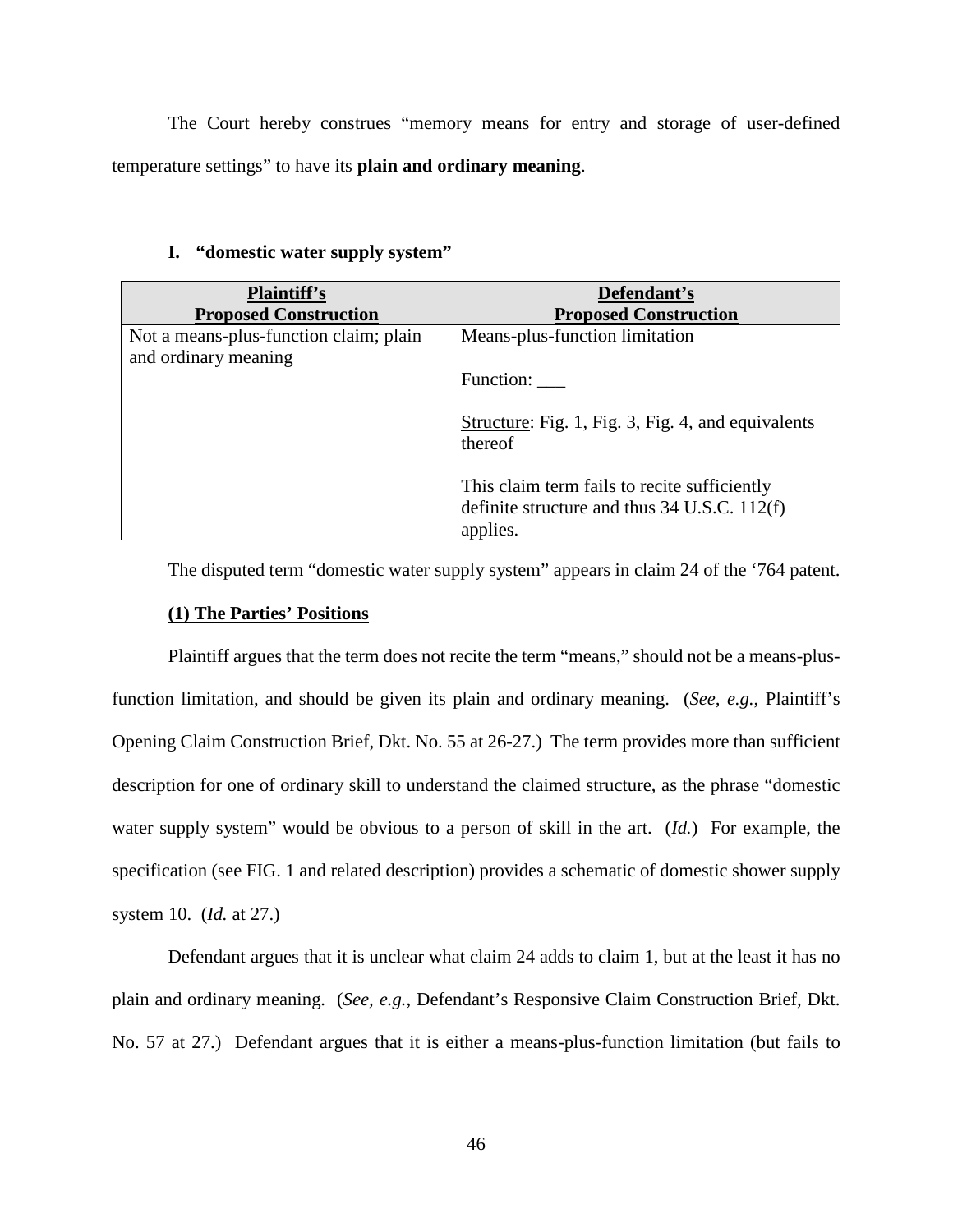The Court hereby construes "memory means for entry and storage of user-defined temperature settings" to have its **plain and ordinary meaning**.

| <b>Plaintiff's</b><br><b>Proposed Construction</b>             | Defendant's<br><b>Proposed Construction</b>                                                                |
|----------------------------------------------------------------|------------------------------------------------------------------------------------------------------------|
| Not a means-plus-function claim; plain<br>and ordinary meaning | Means-plus-function limitation                                                                             |
|                                                                | Function:                                                                                                  |
|                                                                | Structure: Fig. 1, Fig. 3, Fig. 4, and equivalents<br>thereof                                              |
|                                                                | This claim term fails to recite sufficiently<br>definite structure and thus $34$ U.S.C. 112(f)<br>applies. |

## **I. "domestic water supply system"**

The disputed term "domestic water supply system" appears in claim 24 of the '764 patent.

## **(1) The Parties' Positions**

Plaintiff argues that the term does not recite the term "means," should not be a means-plusfunction limitation, and should be given its plain and ordinary meaning. (*See, e.g.*, Plaintiff's Opening Claim Construction Brief, Dkt. No. 55 at 26-27.) The term provides more than sufficient description for one of ordinary skill to understand the claimed structure, as the phrase "domestic water supply system" would be obvious to a person of skill in the art. (*Id.*) For example, the specification (see FIG. 1 and related description) provides a schematic of domestic shower supply system 10. (*Id.* at 27.)

Defendant argues that it is unclear what claim 24 adds to claim 1, but at the least it has no plain and ordinary meaning. (*See, e.g.*, Defendant's Responsive Claim Construction Brief, Dkt. No. 57 at 27.) Defendant argues that it is either a means-plus-function limitation (but fails to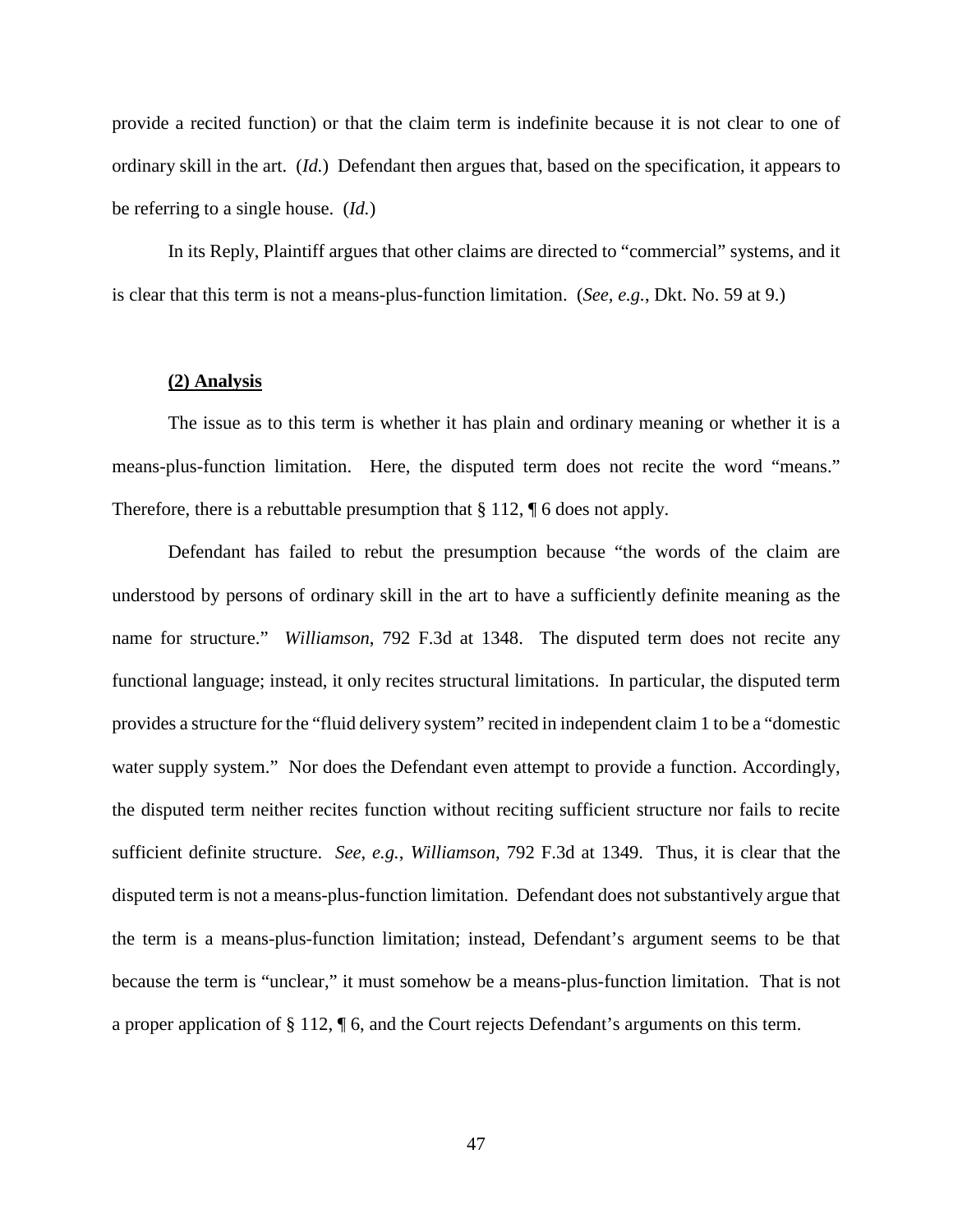provide a recited function) or that the claim term is indefinite because it is not clear to one of ordinary skill in the art. (*Id.*) Defendant then argues that, based on the specification, it appears to be referring to a single house. (*Id.*)

In its Reply, Plaintiff argues that other claims are directed to "commercial" systems, and it is clear that this term is not a means-plus-function limitation. (*See, e.g.*, Dkt. No. 59 at 9.)

#### **(2) Analysis**

The issue as to this term is whether it has plain and ordinary meaning or whether it is a means-plus-function limitation. Here, the disputed term does not recite the word "means." Therefore, there is a rebuttable presumption that § 112, ¶ 6 does not apply.

Defendant has failed to rebut the presumption because "the words of the claim are understood by persons of ordinary skill in the art to have a sufficiently definite meaning as the name for structure." *Williamson*, 792 F.3d at 1348. The disputed term does not recite any functional language; instead, it only recites structural limitations. In particular, the disputed term provides a structure for the "fluid delivery system" recited in independent claim 1 to be a "domestic water supply system." Nor does the Defendant even attempt to provide a function. Accordingly, the disputed term neither recites function without reciting sufficient structure nor fails to recite sufficient definite structure. *See*, *e.g.*, *Williamson*, 792 F.3d at 1349. Thus, it is clear that the disputed term is not a means-plus-function limitation. Defendant does not substantively argue that the term is a means-plus-function limitation; instead, Defendant's argument seems to be that because the term is "unclear," it must somehow be a means-plus-function limitation. That is not a proper application of § 112, ¶ 6, and the Court rejects Defendant's arguments on this term.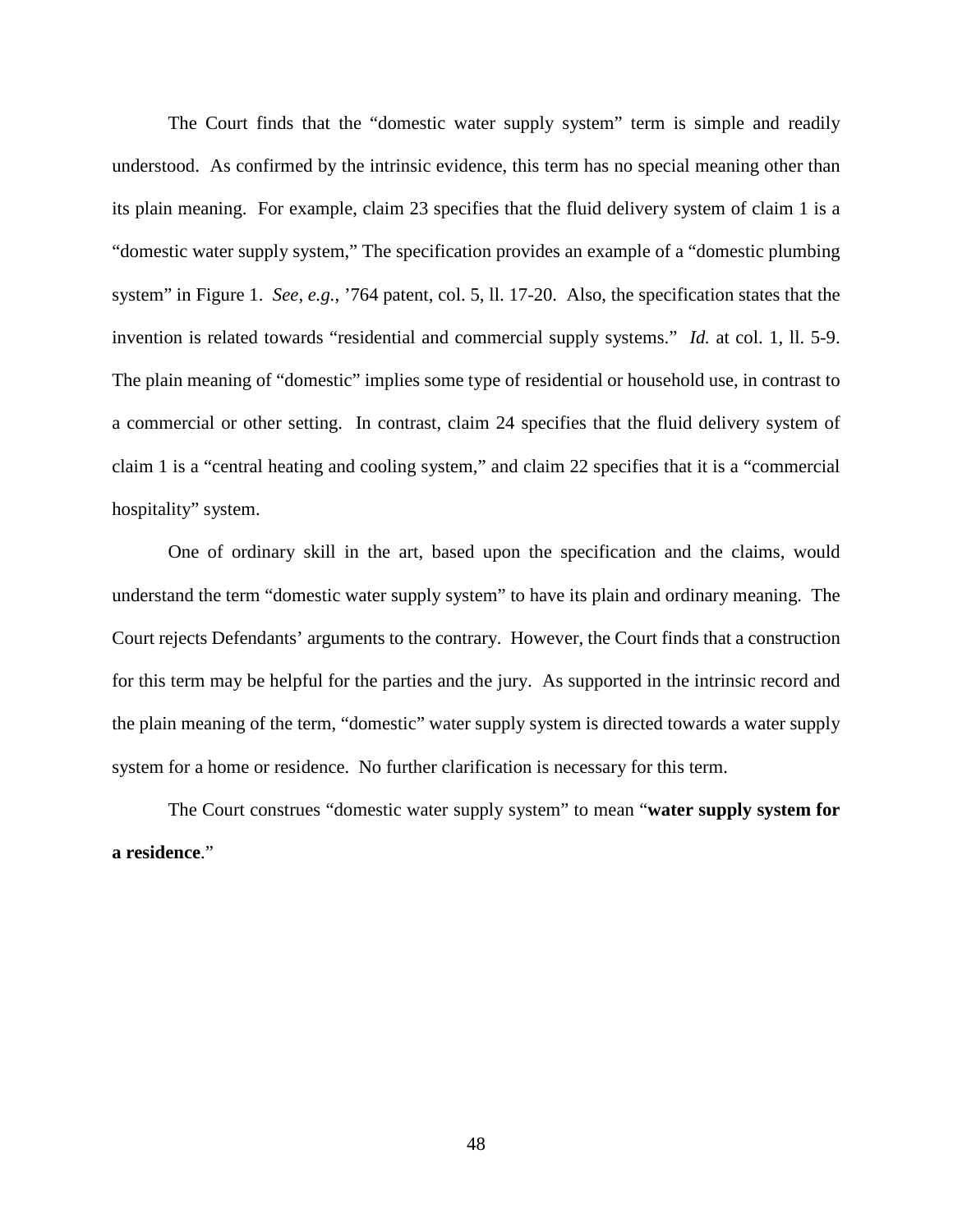The Court finds that the "domestic water supply system" term is simple and readily understood. As confirmed by the intrinsic evidence, this term has no special meaning other than its plain meaning. For example, claim 23 specifies that the fluid delivery system of claim 1 is a "domestic water supply system," The specification provides an example of a "domestic plumbing system" in Figure 1. *See, e.g.*, '764 patent, col. 5, ll. 17-20. Also, the specification states that the invention is related towards "residential and commercial supply systems." *Id.* at col. 1, ll. 5-9. The plain meaning of "domestic" implies some type of residential or household use, in contrast to a commercial or other setting. In contrast, claim 24 specifies that the fluid delivery system of claim 1 is a "central heating and cooling system," and claim 22 specifies that it is a "commercial hospitality" system.

One of ordinary skill in the art, based upon the specification and the claims, would understand the term "domestic water supply system" to have its plain and ordinary meaning. The Court rejects Defendants' arguments to the contrary. However, the Court finds that a construction for this term may be helpful for the parties and the jury. As supported in the intrinsic record and the plain meaning of the term, "domestic" water supply system is directed towards a water supply system for a home or residence. No further clarification is necessary for this term.

The Court construes "domestic water supply system" to mean "**water supply system for a residence**."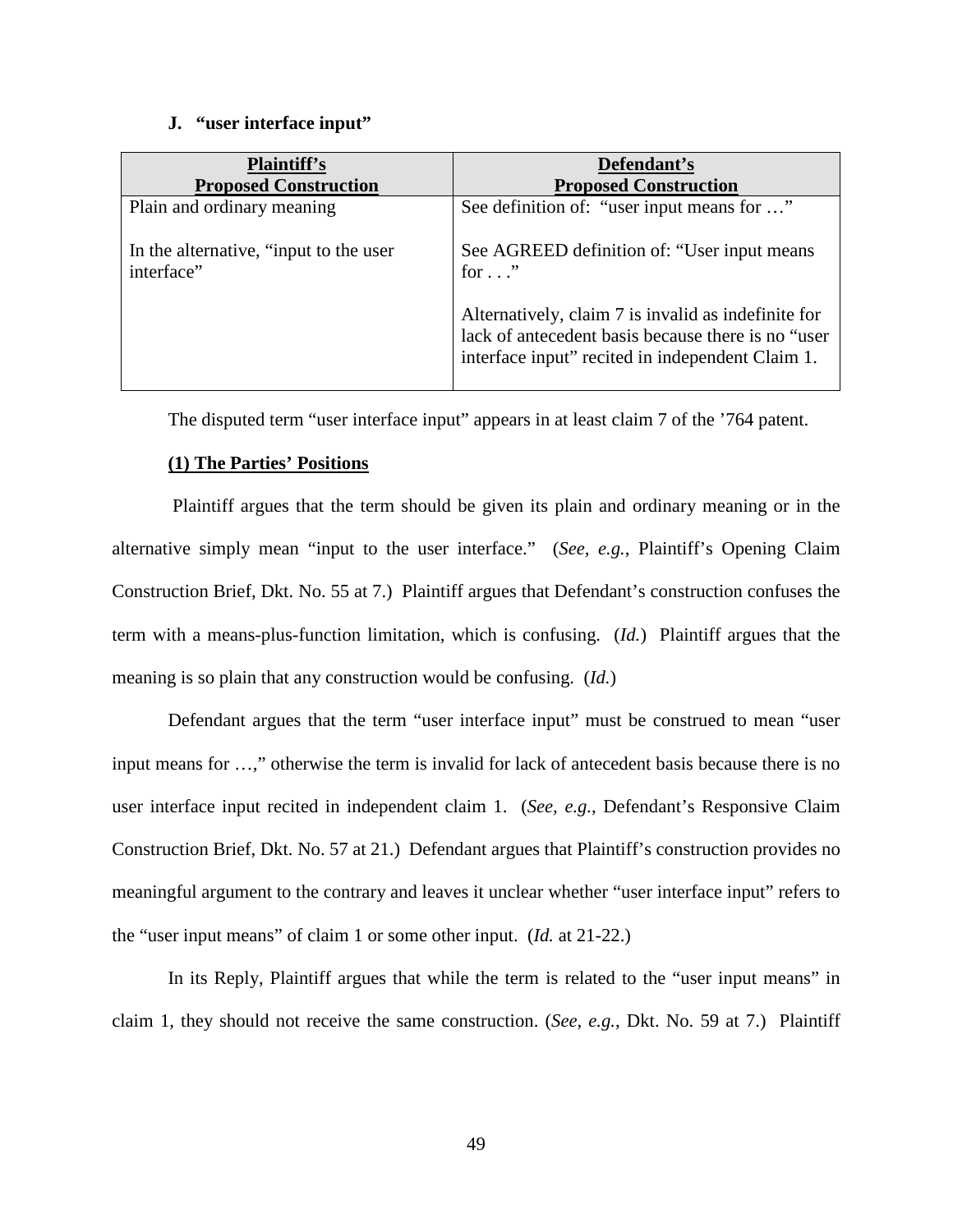#### **J. "user interface input"**

| <b>Plaintiff's</b>                                    | Defendant's                                                                                                                                                   |
|-------------------------------------------------------|---------------------------------------------------------------------------------------------------------------------------------------------------------------|
| <b>Proposed Construction</b>                          | <b>Proposed Construction</b>                                                                                                                                  |
| Plain and ordinary meaning                            | See definition of: "user input means for "                                                                                                                    |
| In the alternative, "input to the user"<br>interface" | See AGREED definition of: "User input means"<br>for $\ldots$ "                                                                                                |
|                                                       | Alternatively, claim 7 is invalid as indefinite for<br>lack of antecedent basis because there is no "user<br>interface input" recited in independent Claim 1. |

The disputed term "user interface input" appears in at least claim 7 of the '764 patent.

## **(1) The Parties' Positions**

 Plaintiff argues that the term should be given its plain and ordinary meaning or in the alternative simply mean "input to the user interface." (*See, e.g.*, Plaintiff's Opening Claim Construction Brief, Dkt. No. 55 at 7.) Plaintiff argues that Defendant's construction confuses the term with a means-plus-function limitation, which is confusing. (*Id.*) Plaintiff argues that the meaning is so plain that any construction would be confusing. (*Id.*)

Defendant argues that the term "user interface input" must be construed to mean "user input means for …," otherwise the term is invalid for lack of antecedent basis because there is no user interface input recited in independent claim 1. (*See, e.g.*, Defendant's Responsive Claim Construction Brief, Dkt. No. 57 at 21.) Defendant argues that Plaintiff's construction provides no meaningful argument to the contrary and leaves it unclear whether "user interface input" refers to the "user input means" of claim 1 or some other input. (*Id.* at 21-22.)

In its Reply, Plaintiff argues that while the term is related to the "user input means" in claim 1, they should not receive the same construction. (*See, e.g.*, Dkt. No. 59 at 7.) Plaintiff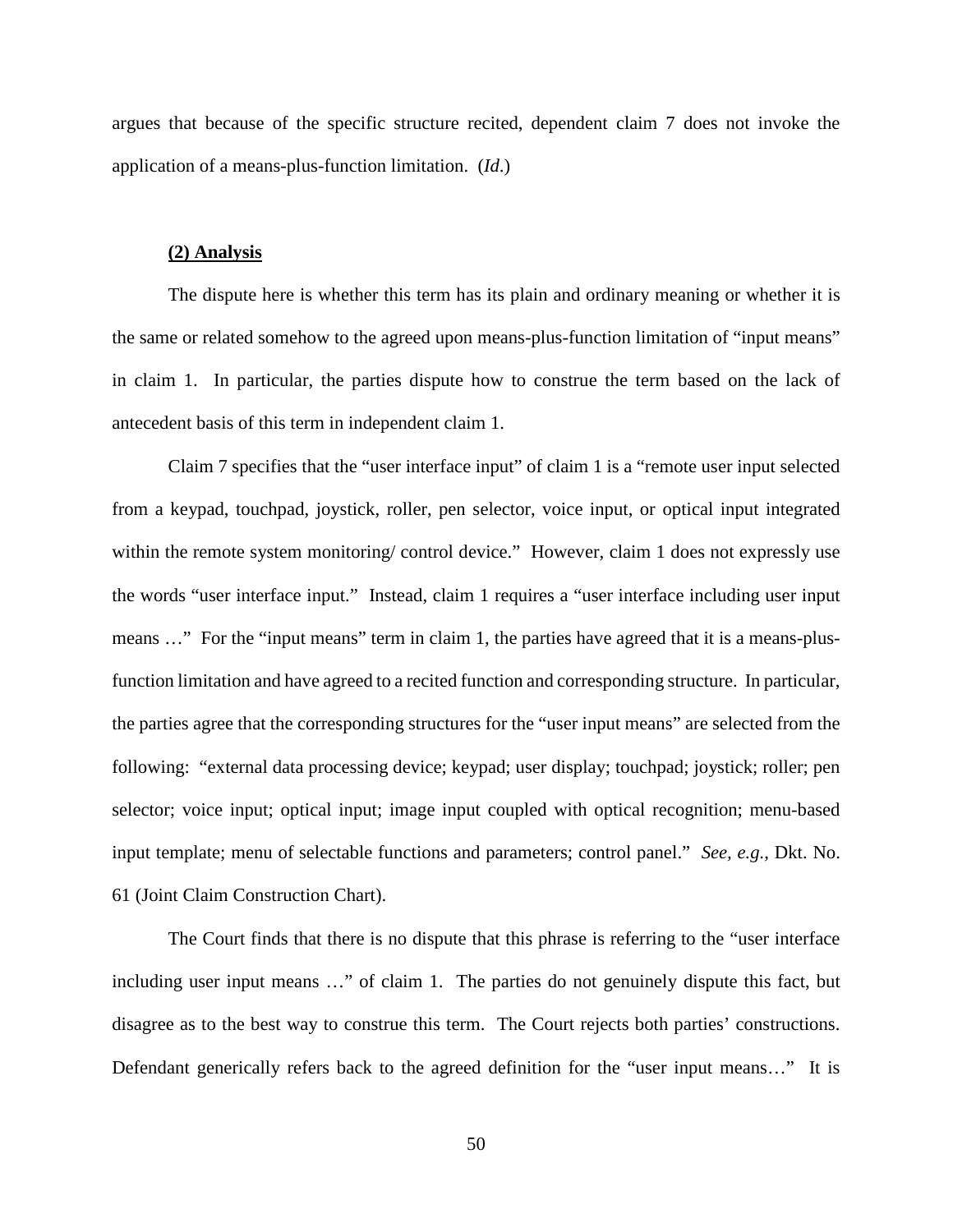argues that because of the specific structure recited, dependent claim 7 does not invoke the application of a means-plus-function limitation. (*Id*.)

#### **(2) Analysis**

The dispute here is whether this term has its plain and ordinary meaning or whether it is the same or related somehow to the agreed upon means-plus-function limitation of "input means" in claim 1. In particular, the parties dispute how to construe the term based on the lack of antecedent basis of this term in independent claim 1.

Claim 7 specifies that the "user interface input" of claim 1 is a "remote user input selected from a keypad, touchpad, joystick, roller, pen selector, voice input, or optical input integrated within the remote system monitoring/ control device." However, claim 1 does not expressly use the words "user interface input." Instead, claim 1 requires a "user interface including user input means ..." For the "input means" term in claim 1, the parties have agreed that it is a means-plusfunction limitation and have agreed to a recited function and corresponding structure. In particular, the parties agree that the corresponding structures for the "user input means" are selected from the following: "external data processing device; keypad; user display; touchpad; joystick; roller; pen selector; voice input; optical input; image input coupled with optical recognition; menu-based input template; menu of selectable functions and parameters; control panel." *See, e.g.*, Dkt. No. 61 (Joint Claim Construction Chart).

The Court finds that there is no dispute that this phrase is referring to the "user interface including user input means …" of claim 1. The parties do not genuinely dispute this fact, but disagree as to the best way to construe this term. The Court rejects both parties' constructions. Defendant generically refers back to the agreed definition for the "user input means…" It is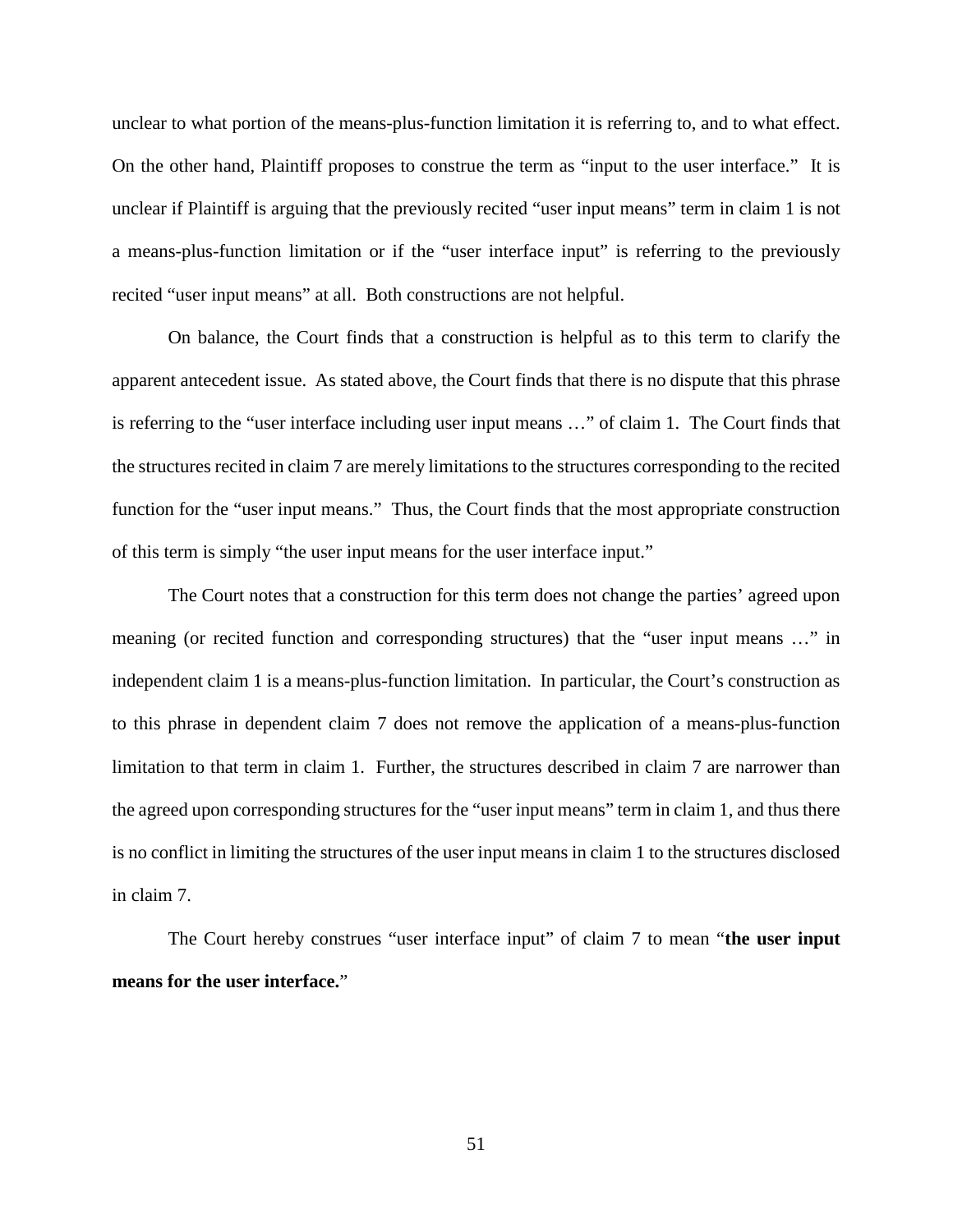unclear to what portion of the means-plus-function limitation it is referring to, and to what effect. On the other hand, Plaintiff proposes to construe the term as "input to the user interface." It is unclear if Plaintiff is arguing that the previously recited "user input means" term in claim 1 is not a means-plus-function limitation or if the "user interface input" is referring to the previously recited "user input means" at all. Both constructions are not helpful.

On balance, the Court finds that a construction is helpful as to this term to clarify the apparent antecedent issue. As stated above, the Court finds that there is no dispute that this phrase is referring to the "user interface including user input means …" of claim 1. The Court finds that the structures recited in claim 7 are merely limitations to the structures corresponding to the recited function for the "user input means." Thus, the Court finds that the most appropriate construction of this term is simply "the user input means for the user interface input."

The Court notes that a construction for this term does not change the parties' agreed upon meaning (or recited function and corresponding structures) that the "user input means …" in independent claim 1 is a means-plus-function limitation. In particular, the Court's construction as to this phrase in dependent claim 7 does not remove the application of a means-plus-function limitation to that term in claim 1. Further, the structures described in claim 7 are narrower than the agreed upon corresponding structures for the "user input means" term in claim 1, and thus there is no conflict in limiting the structures of the user input means in claim 1 to the structures disclosed in claim 7.

The Court hereby construes "user interface input" of claim 7 to mean "**the user input means for the user interface.**"